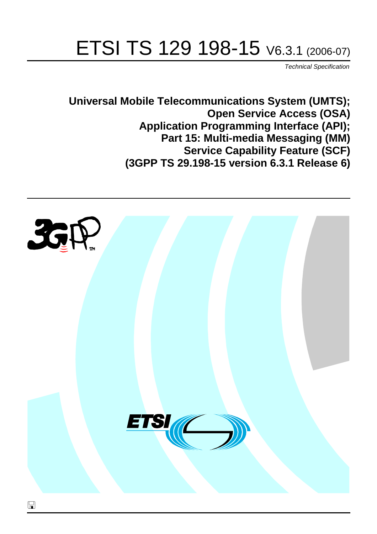# ETSI TS 129 198-15 V6.3.1 (2006-07)

Technical Specification

**Universal Mobile Telecommunications System (UMTS); Open Service Access (OSA) Application Programming Interface (API); Part 15: Multi-media Messaging (MM) Service Capability Feature (SCF) (3GPP TS 29.198-15 version 6.3.1 Release 6)**

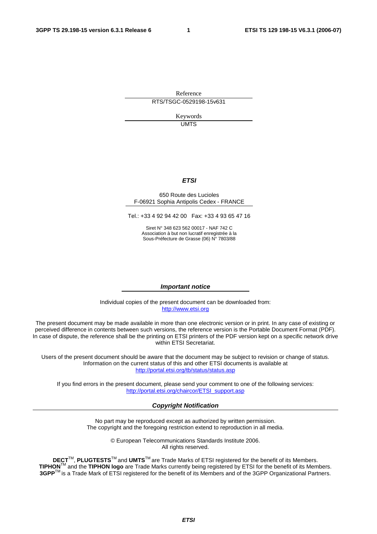Reference RTS/TSGC-0529198-15v631

> Keywords UMTS

#### **ETSI**

#### 650 Route des Lucioles F-06921 Sophia Antipolis Cedex - FRANCE

Tel.: +33 4 92 94 42 00 Fax: +33 4 93 65 47 16

Siret N° 348 623 562 00017 - NAF 742 C Association à but non lucratif enregistrée à la Sous-Préfecture de Grasse (06) N° 7803/88

#### **Important notice**

Individual copies of the present document can be downloaded from: [http://www.etsi.org](http://www.etsi.org/)

The present document may be made available in more than one electronic version or in print. In any case of existing or perceived difference in contents between such versions, the reference version is the Portable Document Format (PDF). In case of dispute, the reference shall be the printing on ETSI printers of the PDF version kept on a specific network drive within ETSI Secretariat.

Users of the present document should be aware that the document may be subject to revision or change of status. Information on the current status of this and other ETSI documents is available at <http://portal.etsi.org/tb/status/status.asp>

If you find errors in the present document, please send your comment to one of the following services: [http://portal.etsi.org/chaircor/ETSI\\_support.asp](http://portal.etsi.org/chaircor/ETSI_support.asp)

#### **Copyright Notification**

No part may be reproduced except as authorized by written permission. The copyright and the foregoing restriction extend to reproduction in all media.

> © European Telecommunications Standards Institute 2006. All rights reserved.

**DECT**TM, **PLUGTESTS**TM and **UMTS**TM are Trade Marks of ETSI registered for the benefit of its Members. **TIPHON**TM and the **TIPHON logo** are Trade Marks currently being registered by ETSI for the benefit of its Members. **3GPP**TM is a Trade Mark of ETSI registered for the benefit of its Members and of the 3GPP Organizational Partners.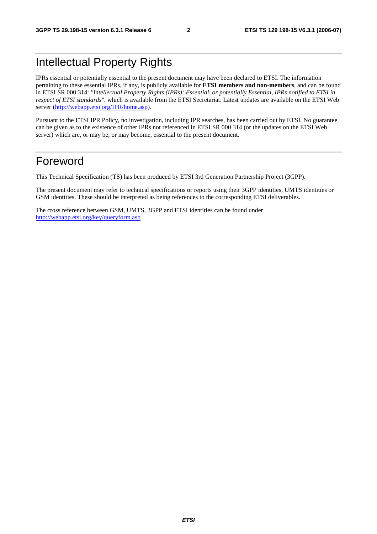## Intellectual Property Rights

IPRs essential or potentially essential to the present document may have been declared to ETSI. The information pertaining to these essential IPRs, if any, is publicly available for **ETSI members and non-members**, and can be found in ETSI SR 000 314: *"Intellectual Property Rights (IPRs); Essential, or potentially Essential, IPRs notified to ETSI in respect of ETSI standards"*, which is available from the ETSI Secretariat. Latest updates are available on the ETSI Web server (<http://webapp.etsi.org/IPR/home.asp>).

Pursuant to the ETSI IPR Policy, no investigation, including IPR searches, has been carried out by ETSI. No guarantee can be given as to the existence of other IPRs not referenced in ETSI SR 000 314 (or the updates on the ETSI Web server) which are, or may be, or may become, essential to the present document.

### Foreword

This Technical Specification (TS) has been produced by ETSI 3rd Generation Partnership Project (3GPP).

The present document may refer to technical specifications or reports using their 3GPP identities, UMTS identities or GSM identities. These should be interpreted as being references to the corresponding ETSI deliverables.

The cross reference between GSM, UMTS, 3GPP and ETSI identities can be found under <http://webapp.etsi.org/key/queryform.asp>.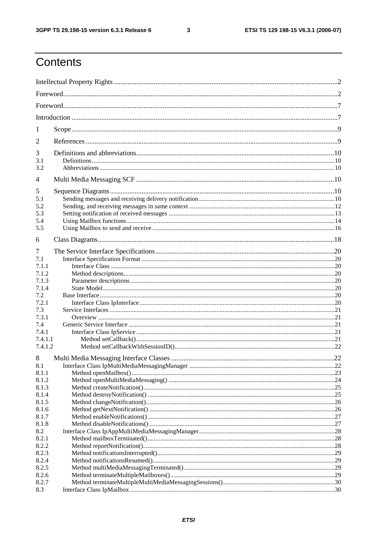$\mathbf{3}$ 

## Contents

| 1<br>2<br>3<br>3.1<br>3.2<br>$\overline{4}$<br>5<br>5.1<br>5.2<br>5.3<br>5.4<br>5.5<br>6<br>7<br>7.1<br>7.1.1<br>7.1.2<br>7.1.3<br>7.1.4<br>7.2<br>7.2.1<br>7.3<br>7.3.1<br>7.4<br>7.4.1<br>7.4.1.1<br>7.4.1.2<br>8<br>8.1<br>8.1.1<br>8.1.2<br>8.1.3<br>8.1.4<br>8.1.5<br>8.1.6<br>8.1.7<br>8.1.8<br>8.2<br>8.2.1<br>8.2.2<br>8.2.3<br>8.2.4<br>8.2.5<br>8.2.6<br>8.2.7 |     |  |  |  |
|--------------------------------------------------------------------------------------------------------------------------------------------------------------------------------------------------------------------------------------------------------------------------------------------------------------------------------------------------------------------------|-----|--|--|--|
|                                                                                                                                                                                                                                                                                                                                                                          |     |  |  |  |
|                                                                                                                                                                                                                                                                                                                                                                          |     |  |  |  |
|                                                                                                                                                                                                                                                                                                                                                                          |     |  |  |  |
|                                                                                                                                                                                                                                                                                                                                                                          |     |  |  |  |
|                                                                                                                                                                                                                                                                                                                                                                          |     |  |  |  |
|                                                                                                                                                                                                                                                                                                                                                                          |     |  |  |  |
|                                                                                                                                                                                                                                                                                                                                                                          |     |  |  |  |
|                                                                                                                                                                                                                                                                                                                                                                          |     |  |  |  |
|                                                                                                                                                                                                                                                                                                                                                                          |     |  |  |  |
|                                                                                                                                                                                                                                                                                                                                                                          |     |  |  |  |
|                                                                                                                                                                                                                                                                                                                                                                          |     |  |  |  |
|                                                                                                                                                                                                                                                                                                                                                                          |     |  |  |  |
|                                                                                                                                                                                                                                                                                                                                                                          |     |  |  |  |
|                                                                                                                                                                                                                                                                                                                                                                          |     |  |  |  |
|                                                                                                                                                                                                                                                                                                                                                                          |     |  |  |  |
|                                                                                                                                                                                                                                                                                                                                                                          |     |  |  |  |
|                                                                                                                                                                                                                                                                                                                                                                          |     |  |  |  |
|                                                                                                                                                                                                                                                                                                                                                                          | 8.3 |  |  |  |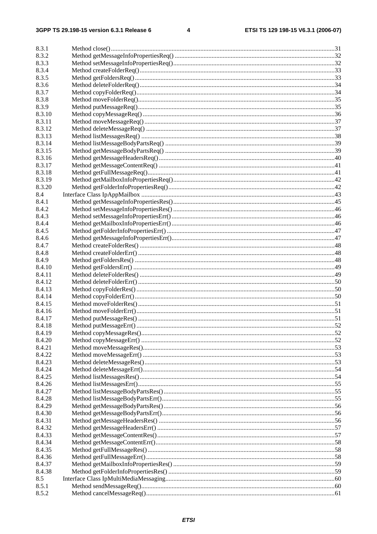| 8.3.1  |     |
|--------|-----|
| 8.3.2  |     |
| 8.3.3  |     |
| 8.3.4  |     |
| 8.3.5  |     |
| 8.3.6  |     |
| 8.3.7  |     |
| 8.3.8  |     |
| 8.3.9  |     |
| 8.3.10 |     |
| 8.3.11 |     |
| 8.3.12 |     |
| 8.3.13 |     |
|        |     |
| 8.3.14 |     |
| 8.3.15 |     |
| 8.3.16 |     |
| 8.3.17 |     |
| 8.3.18 |     |
| 8.3.19 |     |
| 8.3.20 |     |
| 8.4    |     |
| 8.4.1  |     |
| 8.4.2  |     |
| 8.4.3  |     |
| 8.4.4  |     |
| 8.4.5  |     |
| 8.4.6  |     |
| 8.4.7  |     |
| 8.4.8  |     |
| 8.4.9  |     |
|        |     |
| 8.4.10 |     |
| 8.4.11 |     |
| 8.4.12 |     |
| 8.4.13 |     |
| 8.4.14 |     |
| 8.4.15 |     |
| 8.4.16 |     |
| 8.4.17 |     |
| 8.4.18 | .52 |
| 8.4.19 |     |
| 8.4.20 |     |
| 8.4.21 |     |
| 8.4.22 |     |
| 8.4.23 |     |
| 8.4.24 |     |
| 8.4.25 |     |
| 8.4.26 |     |
| 8.4.27 |     |
| 8.4.28 |     |
| 8.4.29 |     |
|        |     |
| 8.4.30 |     |
| 8.4.31 |     |
| 8.4.32 |     |
| 8.4.33 |     |
| 8.4.34 |     |
| 8.4.35 |     |
| 8.4.36 |     |
| 8.4.37 |     |
| 8.4.38 |     |
| 8.5    |     |
| 8.5.1  |     |
| 8.5.2  |     |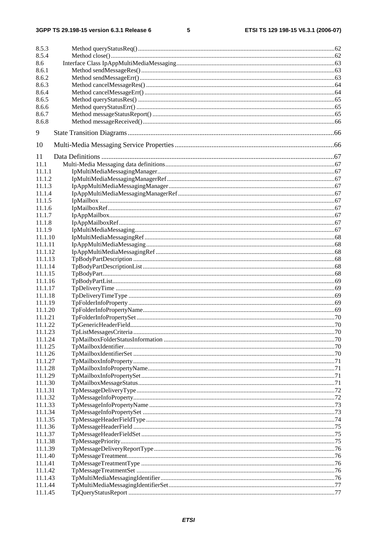$5\phantom{a}$ 

| 8.5.3   |  |
|---------|--|
| 8.5.4   |  |
| 8.6     |  |
| 8.6.1   |  |
| 8.6.2   |  |
| 8.6.3   |  |
| 8.6.4   |  |
| 8.6.5   |  |
| 8.6.6   |  |
| 8.6.7   |  |
| 8.6.8   |  |
|         |  |
| 9       |  |
| 10      |  |
| 11      |  |
| 11.1    |  |
| 11.1.1  |  |
| 11.1.2  |  |
| 11.1.3  |  |
| 11.1.4  |  |
| 11.1.5  |  |
| 11.1.6  |  |
| 11.1.7  |  |
| 11.1.8  |  |
| 11.1.9  |  |
| 11.1.10 |  |
| 11.1.11 |  |
| 11.1.12 |  |
| 11.1.13 |  |
| 11.1.14 |  |
| 11.1.15 |  |
| 11.1.16 |  |
| 11.1.17 |  |
| 11.1.18 |  |
| 11.1.19 |  |
| 11.1.20 |  |
| 11.1.21 |  |
| 11.1.22 |  |
| 11.1.23 |  |
| 11.1.24 |  |
| 11.1.25 |  |
| 11.1.26 |  |
| 11.1.27 |  |
| 11.1.28 |  |
| 11.1.29 |  |
| 11.1.30 |  |
| 11.1.31 |  |
| 11.1.32 |  |
| 11.1.33 |  |
| 11.1.34 |  |
| 11.1.35 |  |
| 11.1.36 |  |
| 11.1.37 |  |
| 11.1.38 |  |
| 11.1.39 |  |
| 11.1.40 |  |
| 11.1.41 |  |
| 11.1.42 |  |
| 11.1.43 |  |
| 11.1.44 |  |
| 11.1.45 |  |
|         |  |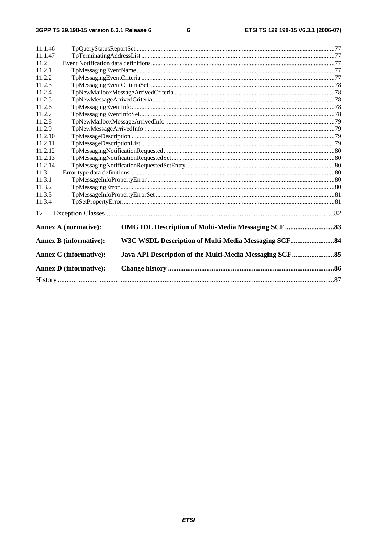$\bf 6$ 

| 11.1.46 |                                                                                      |  |  |  |  |  |
|---------|--------------------------------------------------------------------------------------|--|--|--|--|--|
| 11.1.47 |                                                                                      |  |  |  |  |  |
| 11.2    |                                                                                      |  |  |  |  |  |
| 11.2.1  |                                                                                      |  |  |  |  |  |
| 11.2.2  |                                                                                      |  |  |  |  |  |
| 11.2.3  |                                                                                      |  |  |  |  |  |
| 11.2.4  |                                                                                      |  |  |  |  |  |
| 11.2.5  |                                                                                      |  |  |  |  |  |
| 11.2.6  |                                                                                      |  |  |  |  |  |
| 11.2.7  |                                                                                      |  |  |  |  |  |
| 11.2.8  |                                                                                      |  |  |  |  |  |
| 11.2.9  |                                                                                      |  |  |  |  |  |
| 11.2.10 |                                                                                      |  |  |  |  |  |
| 11.2.11 |                                                                                      |  |  |  |  |  |
| 11.2.12 |                                                                                      |  |  |  |  |  |
| 11.2.13 |                                                                                      |  |  |  |  |  |
| 11.2.14 |                                                                                      |  |  |  |  |  |
| 11.3    |                                                                                      |  |  |  |  |  |
| 11.3.1  |                                                                                      |  |  |  |  |  |
| 11.3.2  |                                                                                      |  |  |  |  |  |
| 11.3.3  |                                                                                      |  |  |  |  |  |
| 11.3.4  |                                                                                      |  |  |  |  |  |
| 12      |                                                                                      |  |  |  |  |  |
|         | <b>Annex A (normative):</b>                                                          |  |  |  |  |  |
|         | <b>Annex B (informative):</b><br>W3C WSDL Description of Multi-Media Messaging SCF84 |  |  |  |  |  |
|         |                                                                                      |  |  |  |  |  |
|         | <b>Annex C</b> (informative):                                                        |  |  |  |  |  |
|         | <b>Annex D</b> (informative):                                                        |  |  |  |  |  |
|         |                                                                                      |  |  |  |  |  |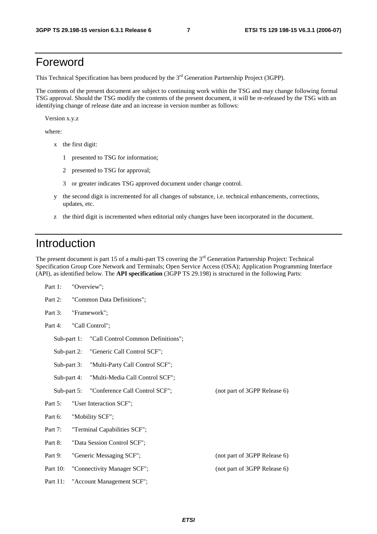### Foreword

This Technical Specification has been produced by the 3<sup>rd</sup> Generation Partnership Project (3GPP).

The contents of the present document are subject to continuing work within the TSG and may change following formal TSG approval. Should the TSG modify the contents of the present document, it will be re-released by the TSG with an identifying change of release date and an increase in version number as follows:

Version x.y.z

where:

- x the first digit:
	- 1 presented to TSG for information;
	- 2 presented to TSG for approval;
	- 3 or greater indicates TSG approved document under change control.
- y the second digit is incremented for all changes of substance, i.e. technical enhancements, corrections, updates, etc.
- z the third digit is incremented when editorial only changes have been incorporated in the document.

### Introduction

The present document is part 15 of a multi-part TS covering the 3<sup>rd</sup> Generation Partnership Project: Technical Specification Group Core Network and Terminals; Open Service Access (OSA); Application Programming Interface (API), as identified below. The **API specification** (3GPP TS 29.198) is structured in the following Parts:

| Part 1:                               |  | "Overview";                        |                              |
|---------------------------------------|--|------------------------------------|------------------------------|
| Part 2:<br>"Common Data Definitions"; |  |                                    |                              |
| Part 3:                               |  | "Framework";                       |                              |
| Part 4:                               |  | "Call Control";                    |                              |
| Sub-part 1:                           |  | "Call Control Common Definitions"; |                              |
| Sub-part 2:                           |  | "Generic Call Control SCF";        |                              |
| Sub-part 3:                           |  | "Multi-Party Call Control SCF";    |                              |
| Sub-part 4:                           |  | "Multi-Media Call Control SCF";    |                              |
| Sub-part $5$ :                        |  | "Conference Call Control SCF";     | (not part of 3GPP Release 6) |
| Part 5:                               |  | "User Interaction SCF";            |                              |
| Part 6:                               |  | "Mobility SCF";                    |                              |
| Part 7:                               |  | "Terminal Capabilities SCF";       |                              |
| Part 8:                               |  | "Data Session Control SCF";        |                              |
| Part 9:                               |  | "Generic Messaging SCF";           | (not part of 3GPP Release 6) |
| Part 10:                              |  | "Connectivity Manager SCF";        | (not part of 3GPP Release 6) |
| Part 11:                              |  | "Account Management SCF";          |                              |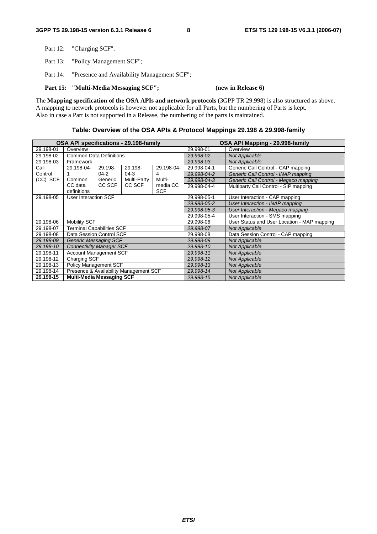Part 12: "Charging SCF".

Part 13: "Policy Management SCF";

Part 14: "Presence and Availability Management SCF";

Part 15: "Multi-Media Messaging SCF"; (new in Release 6)

The **Mapping specification of the OSA APIs and network protocols** (3GPP TR 29.998) is also structured as above. A mapping to network protocols is however not applicable for all Parts, but the numbering of Parts is kept. Also in case a Part is not supported in a Release, the numbering of the parts is maintained.

#### **Table: Overview of the OSA APIs & Protocol Mappings 29.198 & 29.998-family**

| OSA API specifications - 29.198-family |                                        | OSA API Mapping - 29.998-family |             |                                |                                             |                                       |
|----------------------------------------|----------------------------------------|---------------------------------|-------------|--------------------------------|---------------------------------------------|---------------------------------------|
| 29.198-01                              | Overview                               |                                 |             |                                | 29.998-01                                   | Overview                              |
| 29.198-02                              | <b>Common Data Definitions</b>         |                                 |             |                                | 29.998-02                                   | <b>Not Applicable</b>                 |
| 29.198-03                              | Framework                              |                                 |             |                                | 29.998-03                                   | <b>Not Applicable</b>                 |
| Call                                   | 29.198-04-                             | 29.198-                         | 29.198-     | 29.198-04-                     | 29.998-04-1                                 | Generic Call Control - CAP mapping    |
| Control                                |                                        | $04 - 2$                        | $04-3$      | 4                              | 29.998-04-2                                 | Generic Call Control - INAP mapping   |
| (CC) SCF                               | Common                                 | Generic                         | Multi-Party | Multi-                         | 29.998-04-3                                 | Generic Call Control - Megaco mapping |
|                                        | CC data<br>definitions                 | CC SCF                          | CC SCF      | media CC<br><b>SCF</b>         | 29.998-04-4                                 | Multiparty Call Control - SIP mapping |
| 29.198-05                              | User Interaction SCF                   |                                 |             |                                | 29.998-05-1                                 | User Interaction - CAP mapping        |
|                                        |                                        |                                 |             | 29.998-05-2                    | User Interaction - INAP mapping             |                                       |
|                                        |                                        |                                 |             |                                | 29.998-05-3                                 | User Interaction - Megaco mapping     |
|                                        |                                        |                                 | 29.998-05-4 | User Interaction - SMS mapping |                                             |                                       |
| 29.198-06                              | <b>Mobility SCF</b>                    |                                 |             | 29.998-06                      | User Status and User Location - MAP mapping |                                       |
| 29.198-07                              | <b>Terminal Capabilities SCF</b>       |                                 | 29.998-07   | <b>Not Applicable</b>          |                                             |                                       |
| 29.198-08                              | Data Session Control SCF               |                                 |             | 29.998-08                      | Data Session Control - CAP mapping          |                                       |
| 29.198-09                              | Generic Messaging SCF                  |                                 |             | 29.998-09                      | <b>Not Applicable</b>                       |                                       |
| 29.198-10                              | <b>Connectivity Manager SCF</b>        |                                 | 29.998-10   | <b>Not Applicable</b>          |                                             |                                       |
| 29.198-11                              | <b>Account Management SCF</b>          |                                 | 29.998-11   | <b>Not Applicable</b>          |                                             |                                       |
| 29.198-12                              | Charging SCF                           |                                 | 29.998-12   | <b>Not Applicable</b>          |                                             |                                       |
| 29.198-13                              | Policy Management SCF                  |                                 | 29.998-13   | <b>Not Applicable</b>          |                                             |                                       |
| 29.198-14                              | Presence & Availability Management SCF |                                 | 29.998-14   | <b>Not Applicable</b>          |                                             |                                       |
| 29.198-15                              | <b>Multi-Media Messaging SCF</b>       |                                 | 29.998-15   | <b>Not Applicable</b>          |                                             |                                       |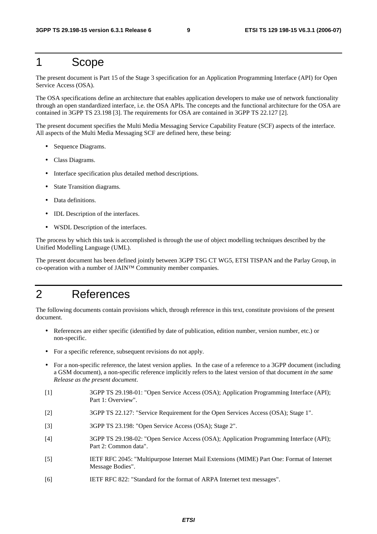### 1 Scope

The present document is Part 15 of the Stage 3 specification for an Application Programming Interface (API) for Open Service Access (OSA).

The OSA specifications define an architecture that enables application developers to make use of network functionality through an open standardized interface, i.e. the OSA APIs. The concepts and the functional architecture for the OSA are contained in 3GPP TS 23.198 [3]. The requirements for OSA are contained in 3GPP TS 22.127 [2].

The present document specifies the Multi Media Messaging Service Capability Feature (SCF) aspects of the interface. All aspects of the Multi Media Messaging SCF are defined here, these being:

- Sequence Diagrams.
- Class Diagrams.
- Interface specification plus detailed method descriptions.
- State Transition diagrams.
- Data definitions.
- IDL Description of the interfaces.
- WSDL Description of the interfaces.

The process by which this task is accomplished is through the use of object modelling techniques described by the Unified Modelling Language (UML).

The present document has been defined jointly between 3GPP TSG CT WG5, ETSI TISPAN and the Parlay Group, in co-operation with a number of JAIN™ Community member companies.

### 2 References

The following documents contain provisions which, through reference in this text, constitute provisions of the present document.

- References are either specific (identified by date of publication, edition number, version number, etc.) or non-specific.
- For a specific reference, subsequent revisions do not apply.
- For a non-specific reference, the latest version applies. In the case of a reference to a 3GPP document (including a GSM document), a non-specific reference implicitly refers to the latest version of that document *in the same Release as the present document*.
- [1] 3GPP TS 29.198-01: "Open Service Access (OSA); Application Programming Interface (API); Part 1: Overview".
- [2] 3GPP TS 22.127: "Service Requirement for the Open Services Access (OSA); Stage 1".
- [3] 3GPP TS 23.198: "Open Service Access (OSA); Stage 2".
- [4] 3GPP TS 29.198-02: "Open Service Access (OSA); Application Programming Interface (API); Part 2: Common data".
- [5] IETF RFC 2045: "Multipurpose Internet Mail Extensions (MIME) Part One: Format of Internet Message Bodies".
- [6] IETF RFC 822: "Standard for the format of ARPA Internet text messages".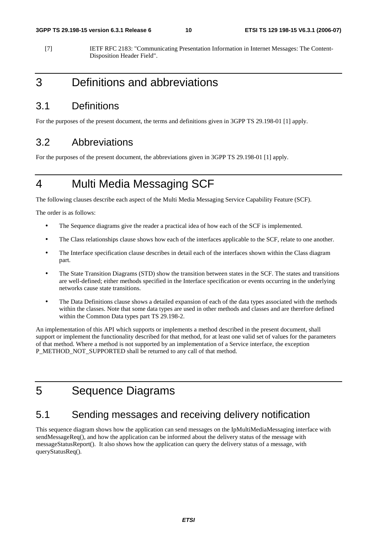[7] IETF RFC 2183: "Communicating Presentation Information in Internet Messages: The Content-Disposition Header Field".

### 3 Definitions and abbreviations

### 3.1 Definitions

For the purposes of the present document, the terms and definitions given in 3GPP TS 29.198-01 [1] apply.

### 3.2 Abbreviations

For the purposes of the present document, the abbreviations given in 3GPP TS 29.198-01 [1] apply.

## 4 Multi Media Messaging SCF

The following clauses describe each aspect of the Multi Media Messaging Service Capability Feature (SCF).

The order is as follows:

- The Sequence diagrams give the reader a practical idea of how each of the SCF is implemented.
- The Class relationships clause shows how each of the interfaces applicable to the SCF, relate to one another.
- The Interface specification clause describes in detail each of the interfaces shown within the Class diagram part.
- The State Transition Diagrams (STD) show the transition between states in the SCF. The states and transitions are well-defined; either methods specified in the Interface specification or events occurring in the underlying networks cause state transitions.
- The Data Definitions clause shows a detailed expansion of each of the data types associated with the methods within the classes. Note that some data types are used in other methods and classes and are therefore defined within the Common Data types part TS 29.198-2.

An implementation of this API which supports or implements a method described in the present document, shall support or implement the functionality described for that method, for at least one valid set of values for the parameters of that method. Where a method is not supported by an implementation of a Service interface, the exception P\_METHOD\_NOT\_SUPPORTED shall be returned to any call of that method.

### 5 Sequence Diagrams

### 5.1 Sending messages and receiving delivery notification

This sequence diagram shows how the application can send messages on the IpMultiMediaMessaging interface with sendMessageReq(), and how the application can be informed about the delivery status of the message with messageStatusReport(). It also shows how the application can query the delivery status of a message, with queryStatusReq().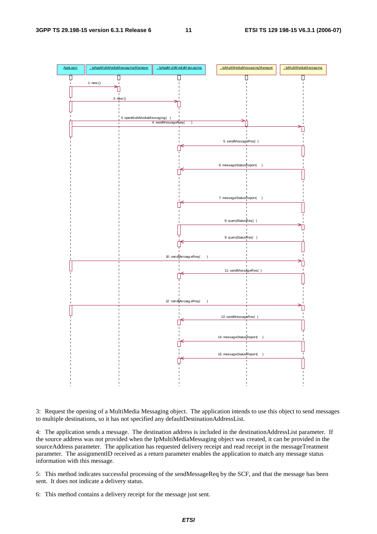

3: Request the opening of a MultiMedia Messaging object. The application intends to use this object to send messages to multiple destinations, so it has not specified any defaultDestinationAddressList.

4: The application sends a message. The destination address is included in the destinationAddressList parameter. If the source address was not provided when the IpMultiMediaMessaging object was created, it can be provided in the sourceAddress parameter. The application has requested delivery receipt and read receipt in the messageTreatment parameter. The assignmentID received as a return parameter enables the application to match any message status information with this message.

5: This method indicates successful processing of the sendMessageReq by the SCF, and that the message has been sent. It does not indicate a delivery status.

6: This method contains a delivery receipt for the message just sent.

**ETSI**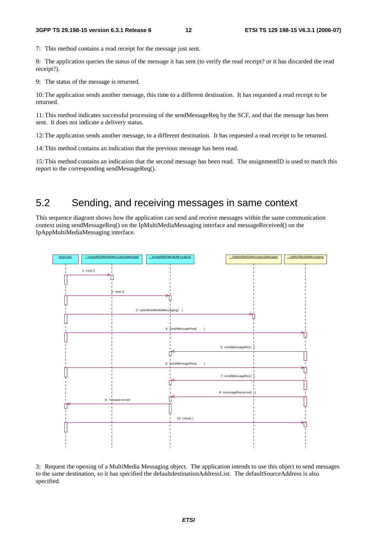7: This method contains a read receipt for the message just sent.

8: The application queries the status of the message it has sent (to verify the read receipt? or it has discarded the read receipt?).

9: The status of the message is returned.

10: The application sends another message, this time to a different destination. It has requested a read receipt to be returned.

11: This method indicates successful processing of the sendMessageReq by the SCF, and that the message has been sent. It does not indicate a delivery status.

12: The application sends another message, to a different destination. It has requested a read receipt to be returned.

14: This method contains an indication that the previous message has been read.

15: This method contains an indication that the second message has been read. The assignmentID is used to match this report to the corresponding sendMessageReq().

### 5.2 Sending, and receiving messages in same context

This sequence diagram shows how the application can send and receive messages within the same communication context using sendMessageReq() on the IpMultiMediaMessaging interface and messageReceived() on the IpAppMultiMediaMessaging interface.



3: Request the opening of a MultiMedia Messaging object. The application intends to use this object to send messages to the same destination, so it has specified the defaultdestinationAddressList. The defaultSourceAddress is also specified.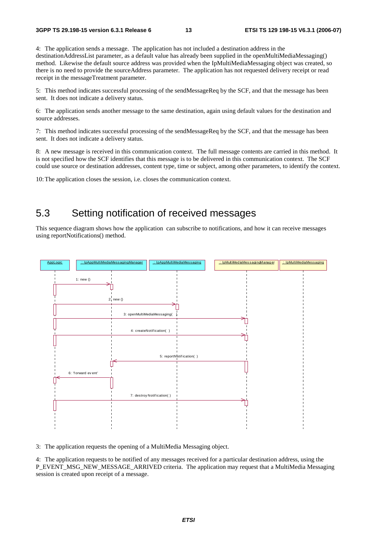4: The application sends a message. The application has not included a destination address in the destinationAddressList parameter, as a default value has already been supplied in the openMultiMediaMessaging() method. Likewise the default source address was provided when the IpMultiMediaMessaging object was created, so there is no need to provide the sourceAddress parameter. The application has not requested delivery receipt or read receipt in the messageTreatment parameter.

5: This method indicates successful processing of the sendMessageReq by the SCF, and that the message has been sent. It does not indicate a delivery status.

6: The application sends another message to the same destination, again using default values for the destination and source addresses.

7: This method indicates successful processing of the sendMessageReq by the SCF, and that the message has been sent. It does not indicate a delivery status.

8: A new message is received in this communication context. The full message contents are carried in this method. It is not specified how the SCF identifies that this message is to be delivered in this communication context. The SCF could use source or destination addresses, content type, time or subject, among other parameters, to identify the context.

10: The application closes the session, i.e. closes the communication context.

### 5.3 Setting notification of received messages

This sequence diagram shows how the application can subscribe to notifications, and how it can receive messages using reportNotifications() method.



3: The application requests the opening of a MultiMedia Messaging object.

4: The application requests to be notified of any messages received for a particular destination address, using the P\_EVENT\_MSG\_NEW\_MESSAGE\_ARRIVED criteria. The application may request that a MultiMedia Messaging session is created upon receipt of a message.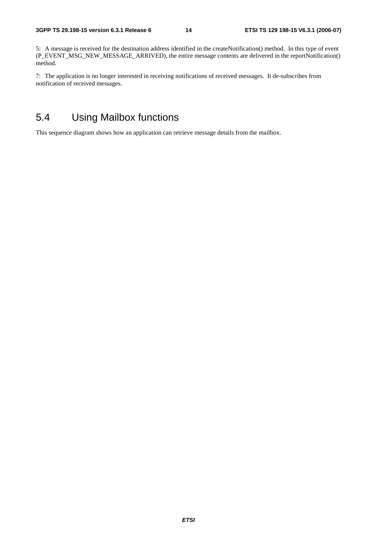5: A message is received for the destination address identified in the createNotification() method. In this type of event (P\_EVENT\_MSG\_NEW\_MESSAGE\_ARRIVED), the entire message contents are delivered in the reportNotification() method.

7: The application is no longer interested in receiving notifications of received messages. It de-subscribes from notification of received messages.

### 5.4 Using Mailbox functions

This sequence diagram shows how an application can retrieve message details from the mailbox.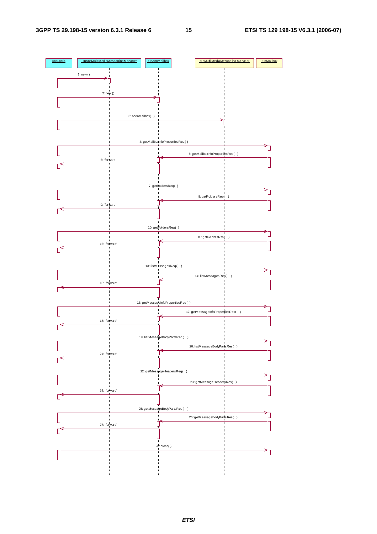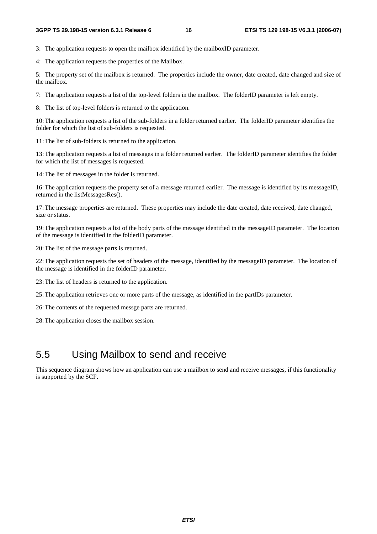3: The application requests to open the mailbox identified by the mailboxID parameter.

4: The application requests the properties of the Mailbox.

5: The property set of the mailbox is returned. The properties include the owner, date created, date changed and size of the mailbox.

7: The application requests a list of the top-level folders in the mailbox. The folderID parameter is left empty.

8: The list of top-level folders is returned to the application.

10: The application requests a list of the sub-folders in a folder returned earlier. The folderID parameter identifies the folder for which the list of sub-folders is requested.

11: The list of sub-folders is returned to the application.

13: The application requests a list of messages in a folder returned earlier. The folderID parameter identifies the folder for which the list of messages is requested.

14: The list of messages in the folder is returned.

16: The application requests the property set of a message returned earlier. The message is identified by its messageID, returned in the listMessagesRes().

17: The message properties are returned. These properties may include the date created, date received, date changed, size or status.

19: The application requests a list of the body parts of the message identified in the messageID parameter. The location of the message is identified in the folderID parameter.

20: The list of the message parts is returned.

22: The application requests the set of headers of the message, identified by the messageID parameter. The location of the message is identified in the folderID parameter.

23: The list of headers is returned to the application.

25: The application retrieves one or more parts of the message, as identified in the partIDs parameter.

26: The contents of the requested messge parts are returned.

28: The application closes the mailbox session.

### 5.5 Using Mailbox to send and receive

This sequence diagram shows how an application can use a mailbox to send and receive messages, if this functionality is supported by the SCF.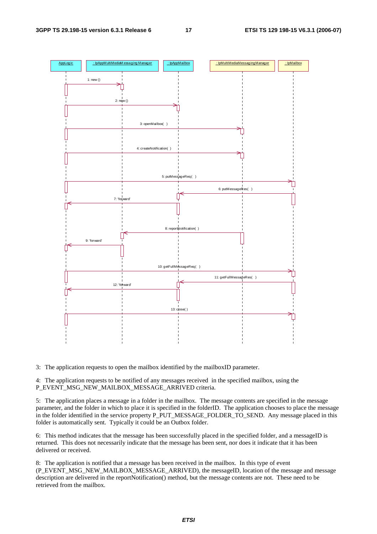

3: The application requests to open the mailbox identified by the mailboxID parameter.

4: The application requests to be notified of any messages received in the specified mailbox, using the P\_EVENT\_MSG\_NEW\_MAILBOX\_MESSAGE\_ARRIVED criteria.

5: The application places a message in a folder in the mailbox. The message contents are specified in the message parameter, and the folder in which to place it is specified in the folderID. The application chooses to place the message in the folder identified in the service property P\_PUT\_MESSAGE\_FOLDER\_TO\_SEND. Any message placed in this folder is automatically sent. Typically it could be an Outbox folder.

6: This method indicates that the message has been successfully placed in the specified folder, and a messageID is returned. This does not necessarily indicate that the message has been sent, nor does it indicate that it has been delivered or received.

8: The application is notified that a message has been received in the mailbox. In this type of event (P\_EVENT\_MSG\_NEW\_MAILBOX\_MESSAGE\_ARRIVED), the messageID, location of the message and message description are delivered in the reportNotification() method, but the message contents are not. These need to be retrieved from the mailbox.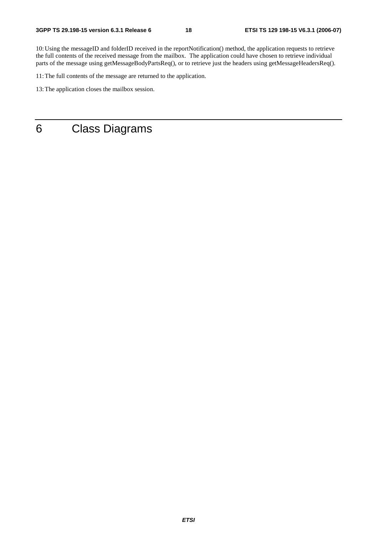10: Using the messageID and folderID received in the reportNotification() method, the application requests to retrieve the full contents of the received message from the mailbox. The application could have chosen to retrieve individual parts of the message using getMessageBodyPartsReq(), or to retrieve just the headers using getMessageHeadersReq().

11: The full contents of the message are returned to the application.

13: The application closes the mailbox session.

6 Class Diagrams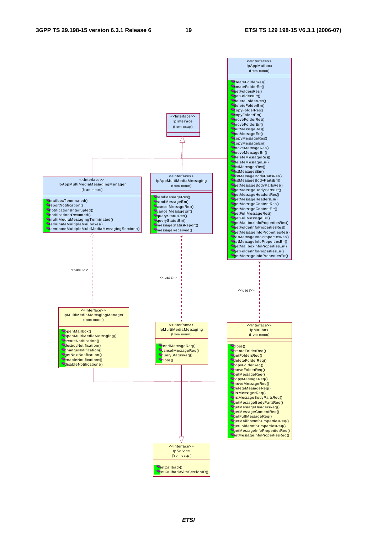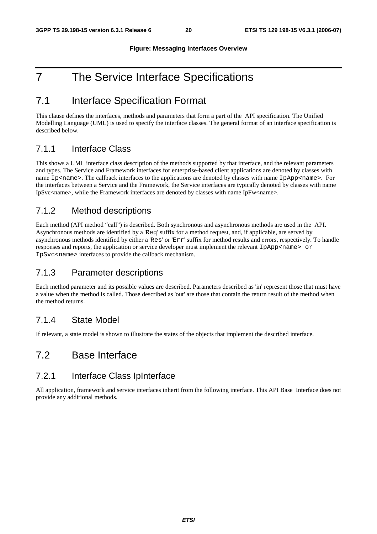#### **Figure: Messaging Interfaces Overview**

## 7 The Service Interface Specifications

### 7.1 Interface Specification Format

This clause defines the interfaces, methods and parameters that form a part of the API specification. The Unified Modelling Language (UML) is used to specify the interface classes. The general format of an interface specification is described below.

### 7.1.1 Interface Class

This shows a UML interface class description of the methods supported by that interface, and the relevant parameters and types. The Service and Framework interfaces for enterprise-based client applications are denoted by classes with name Ip<name>. The callback interfaces to the applications are denoted by classes with name IpApp<name>. For the interfaces between a Service and the Framework, the Service interfaces are typically denoted by classes with name IpSvc<name>, while the Framework interfaces are denoted by classes with name IpFw<name>.

### 7.1.2 Method descriptions

Each method (API method "call") is described. Both synchronous and asynchronous methods are used in the API. Asynchronous methods are identified by a 'Req' suffix for a method request, and, if applicable, are served by asynchronous methods identified by either a 'Res' or 'Err' suffix for method results and errors, respectively. To handle responses and reports, the application or service developer must implement the relevant IpApp<name> or IpSvc<name> interfaces to provide the callback mechanism.

### 7.1.3 Parameter descriptions

Each method parameter and its possible values are described. Parameters described as 'in' represent those that must have a value when the method is called. Those described as 'out' are those that contain the return result of the method when the method returns.

### 7.1.4 State Model

If relevant, a state model is shown to illustrate the states of the objects that implement the described interface.

### 7.2 Base Interface

### 7.2.1 Interface Class IpInterface

All application, framework and service interfaces inherit from the following interface. This API Base Interface does not provide any additional methods.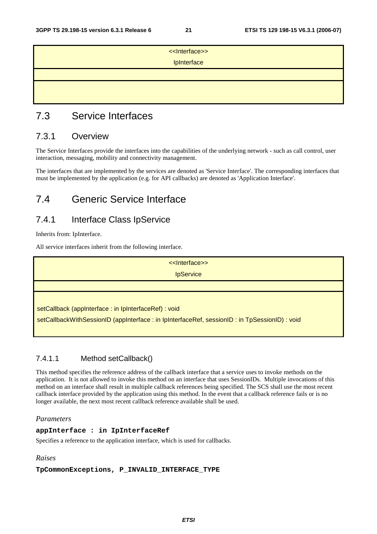| < <lnterface>&gt;<br/>IpInterface</lnterface> |  |
|-----------------------------------------------|--|
|                                               |  |
|                                               |  |

### 7.3 Service Interfaces

### 7.3.1 Overview

The Service Interfaces provide the interfaces into the capabilities of the underlying network - such as call control, user interaction, messaging, mobility and connectivity management.

The interfaces that are implemented by the services are denoted as 'Service Interface'. The corresponding interfaces that must be implemented by the application (e.g. for API callbacks) are denoted as 'Application Interface'.

### 7.4 Generic Service Interface

### 7.4.1 Interface Class IpService

Inherits from: IpInterface.

All service interfaces inherit from the following interface.

<<Interface>> **IpService** 

setCallback (appInterface : in IpInterfaceRef) : void

setCallbackWithSessionID (appInterface : in IpInterfaceRef, sessionID : in TpSessionID) : void

### 7.4.1.1 Method setCallback()

This method specifies the reference address of the callback interface that a service uses to invoke methods on the application. It is not allowed to invoke this method on an interface that uses SessionIDs. Multiple invocations of this method on an interface shall result in multiple callback references being specified. The SCS shall use the most recent callback interface provided by the application using this method. In the event that a callback reference fails or is no longer available, the next most recent callback reference available shall be used.

#### *Parameters*

#### **appInterface : in IpInterfaceRef**

Specifies a reference to the application interface, which is used for callbacks.

#### *Raises*

#### **TpCommonExceptions, P\_INVALID\_INTERFACE\_TYPE**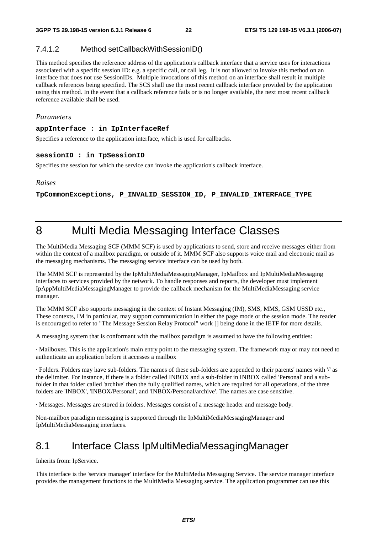#### 7.4.1.2 Method setCallbackWithSessionID()

This method specifies the reference address of the application's callback interface that a service uses for interactions associated with a specific session ID: e.g. a specific call, or call leg. It is not allowed to invoke this method on an interface that does not use SessionIDs. Multiple invocations of this method on an interface shall result in multiple callback references being specified. The SCS shall use the most recent callback interface provided by the application using this method. In the event that a callback reference fails or is no longer available, the next most recent callback reference available shall be used.

#### *Parameters*

#### **appInterface : in IpInterfaceRef**

Specifies a reference to the application interface, which is used for callbacks.

#### **sessionID : in TpSessionID**

Specifies the session for which the service can invoke the application's callback interface.

#### *Raises*

**TpCommonExceptions, P\_INVALID\_SESSION\_ID, P\_INVALID\_INTERFACE\_TYPE** 

### 8 Multi Media Messaging Interface Classes

The MultiMedia Messaging SCF (MMM SCF) is used by applications to send, store and receive messages either from within the context of a mailbox paradigm, or outside of it. MMM SCF also supports voice mail and electronic mail as the messaging mechanisms. The messaging service interface can be used by both.

The MMM SCF is represented by the IpMultiMediaMessagingManager, IpMailbox and IpMultiMediaMessaging interfaces to services provided by the network. To handle responses and reports, the developer must implement IpAppMultiMediaMessagingManager to provide the callback mechanism for the MultiMediaMessaging service manager.

The MMM SCF also supports messaging in the context of Instant Messaging (IM), SMS, MMS, GSM USSD etc., These contexts, IM in particular, may support communication in either the page mode or the session mode. The reader is encouraged to refer to "The Message Session Relay Protocol" work [] being done in the IETF for more details.

A messaging system that is conformant with the mailbox paradigm is assumed to have the following entities:

· Mailboxes. This is the application's main entry point to the messaging system. The framework may or may not need to authenticate an application before it accesses a mailbox

· Folders. Folders may have sub-folders. The names of these sub-folders are appended to their parents' names with '/' as the delimiter. For instance, if there is a folder called INBOX and a sub-folder in INBOX called 'Personal' and a subfolder in that folder called 'archive' then the fully qualified names, which are required for all operations, of the three folders are 'INBOX', 'INBOX/Personal', and 'INBOX/Personal/archive'. The names are case sensitive.

· Messages. Messages are stored in folders. Messages consist of a message header and message body.

Non-mailbox paradigm messaging is supported through the IpMultiMediaMessagingManager and IpMultiMediaMessaging interfaces.

### 8.1 Interface Class IpMultiMediaMessagingManager

Inherits from: IpService.

This interface is the 'service manager' interface for the MultiMedia Messaging Service. The service manager interface provides the management functions to the MultiMedia Messaging service. The application programmer can use this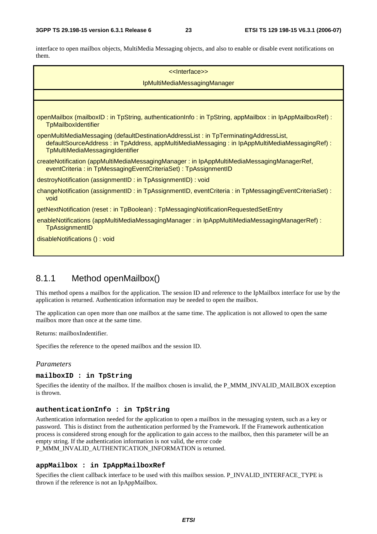interface to open mailbox objects, MultiMedia Messaging objects, and also to enable or disable event notifications on them.

| << Interface>>                                                                                                                                                                                                          |
|-------------------------------------------------------------------------------------------------------------------------------------------------------------------------------------------------------------------------|
| IpMultiMediaMessagingManager                                                                                                                                                                                            |
|                                                                                                                                                                                                                         |
|                                                                                                                                                                                                                         |
| openMailbox (mailboxID: in TpString, authenticationInfo: in TpString, appMailbox: in IpAppMailboxRef):<br>TpMailboxIdentifier                                                                                           |
| openMultiMediaMessaging (defaultDestinationAddressList: in TpTerminatingAddressList,<br>defaultSourceAddress: in TpAddress, appMultiMediaMessaging: in IpAppMultiMediaMessagingRef):<br>TpMultiMediaMessagingIdentifier |
| createNotification (appMultiMediaMessagingManager: in IpAppMultiMediaMessagingManagerRef,<br>eventCriteria: in TpMessagingEventCriteriaSet): TpAssignmentID                                                             |
| destroyNotification (assignmentID: in TpAssignmentID): void                                                                                                                                                             |
| changeNotification (assignmentID: in TpAssignmentID, eventCriteria: in TpMessagingEventCriteriaSet):<br>void                                                                                                            |
| getNextNotification (reset: in TpBoolean): TpMessagingNotificationRequestedSetEntry                                                                                                                                     |
| enableNotifications (appMultiMediaMessagingManager: in IpAppMultiMediaMessagingManagerRef):<br><b>TpAssignmentID</b>                                                                                                    |
| disableNotifications (): void                                                                                                                                                                                           |

### 8.1.1 Method openMailbox()

This method opens a mailbox for the application. The session ID and reference to the IpMailbox interface for use by the application is returned. Authentication information may be needed to open the mailbox.

The application can open more than one mailbox at the same time. The application is not allowed to open the same mailbox more than once at the same time.

Returns: mailboxIndentifier.

Specifies the reference to the opened mailbox and the session ID.

### *Parameters*

#### **mailboxID : in TpString**

Specifies the identity of the mailbox. If the mailbox chosen is invalid, the P\_MMM\_INVALID\_MAILBOX exception is thrown.

#### **authenticationInfo : in TpString**

Authentication information needed for the application to open a mailbox in the messaging system, such as a key or password. This is distinct from the authentication performed by the Framework. If the Framework authentication process is considered strong enough for the application to gain access to the mailbox, then this parameter will be an empty string. If the authentication information is not valid, the error code P\_MMM\_INVALID\_AUTHENTICATION\_INFORMATION is returned.

#### **appMailbox : in IpAppMailboxRef**

Specifies the client callback interface to be used with this mailbox session. P\_INVALID\_INTERFACE\_TYPE is thrown if the reference is not an IpAppMailbox.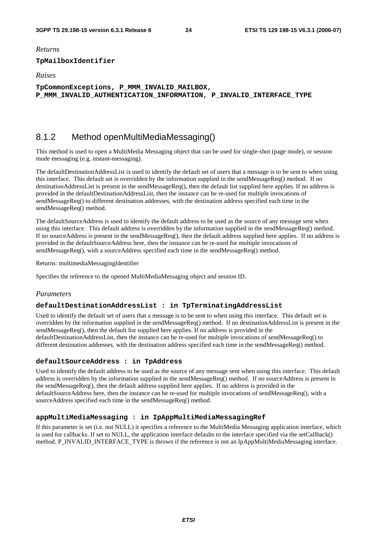*Returns* 

#### **TpMailboxIdentifier**

*Raises* 

**TpCommonExceptions, P\_MMM\_INVALID\_MAILBOX, P\_MMM\_INVALID\_AUTHENTICATION\_INFORMATION, P\_INVALID\_INTERFACE\_TYPE** 

### 8.1.2 Method openMultiMediaMessaging()

This method is used to open a MultiMedia Messaging object that can be used for single-shot (page mode), or session mode messaging (e.g. instant-messaging).

The defaultDestinationAddressList is used to identify the default set of users that a message is to be sent to when using this interface. This default set is overridden by the information supplied in the sendMessageReq() method. If no destinationAddressList is present in the sendMessageReq(), then the default list supplied here applies. If no address is provided in the defaultDestinationAddressList, then the instance can be re-used for multiple invocations of sendMessageReq() to different destination addresses, with the destination address specified each time in the sendMessageReq() method.

The defaultSourceAddress is used to identify the default address to be used as the source of any message sent when using this interface. This default address is overridden by the information supplied in the sendMessageReq() method. If no sourceAddress is present in the sendMessageReq(), then the default address supplied here applies. If no address is provided in the defaultSourceAddress here, then the instance can be re-used for multiple invocations of sendMessageReq(), with a sourceAddress specified each time in the sendMessageReq() method.

Returns: multimediaMessagingIdentifier

Specifies the reference to the opened MultiMediaMessaging object and session ID.

#### *Parameters*

#### **defaultDestinationAddressList : in TpTerminatingAddressList**

Used to identify the default set of users that a message is to be sent to when using this interface. This default set is overridden by the information supplied in the sendMessageReq() method. If no destinationAddressList is present in the sendMessageReq(), then the default list supplied here applies. If no address is provided in the defaultDestinationAddressList, then the instance can be re-used for multiple invocations of sendMessageReq() to different destination addresses, with the destination address specified each time in the sendMessageReq() method.

#### **defaultSourceAddress : in TpAddress**

Used to identify the default address to be used as the source of any message sent when using this interface. This default address is overridden by the information supplied in the sendMessageReq() method. If no sourceAddress is present in the sendMessageReq(), then the default address supplied here applies. If no address is provided in the defaultSourceAddress here, then the instance can be re-used for multiple invocations of sendMessageReq(), with a sourceAddress specified each time in the sendMessageReq() method.

#### **appMultiMediaMessaging : in IpAppMultiMediaMessagingRef**

If this parameter is set (i.e. not NULL) it specifies a reference to the MultiMedia Messaging application interface, which is used for callbacks. If set to NULL, the application interface defaults to the interface specified via the setCallback() method. P\_INVALID\_INTERFACE\_TYPE is thrown if the reference is not an IpAppMultiMediaMessaging interface.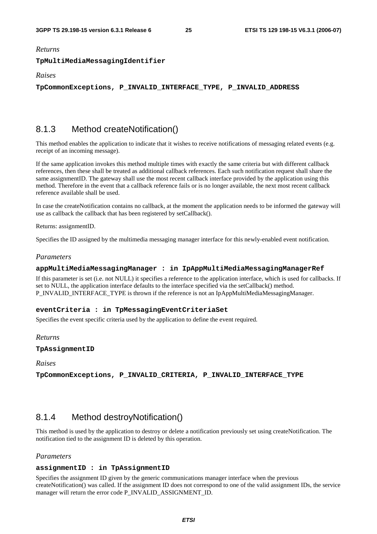*Returns* 

#### **TpMultiMediaMessagingIdentifier**

*Raises* 

**TpCommonExceptions, P\_INVALID\_INTERFACE\_TYPE, P\_INVALID\_ADDRESS** 

### 8.1.3 Method createNotification()

This method enables the application to indicate that it wishes to receive notifications of messaging related events (e.g. receipt of an incoming message).

If the same application invokes this method multiple times with exactly the same criteria but with different callback references, then these shall be treated as additional callback references. Each such notification request shall share the same assignmentID. The gateway shall use the most recent callback interface provided by the application using this method. Therefore in the event that a callback reference fails or is no longer available, the next most recent callback reference available shall be used.

In case the createNotification contains no callback, at the moment the application needs to be informed the gateway will use as callback the callback that has been registered by setCallback().

Returns: assignmentID.

Specifies the ID assigned by the multimedia messaging manager interface for this newly-enabled event notification.

#### *Parameters*

#### **appMultiMediaMessagingManager : in IpAppMultiMediaMessagingManagerRef**

If this parameter is set (i.e. not NULL) it specifies a reference to the application interface, which is used for callbacks. If set to NULL, the application interface defaults to the interface specified via the setCallback() method. P\_INVALID\_INTERFACE\_TYPE is thrown if the reference is not an IpAppMultiMediaMessagingManager.

#### **eventCriteria : in TpMessagingEventCriteriaSet**

Specifies the event specific criteria used by the application to define the event required.

#### *Returns*

#### **TpAssignmentID**

*Raises* 

**TpCommonExceptions, P\_INVALID\_CRITERIA, P\_INVALID\_INTERFACE\_TYPE** 

### 8.1.4 Method destroyNotification()

This method is used by the application to destroy or delete a notification previously set using createNotification. The notification tied to the assignment ID is deleted by this operation.

#### *Parameters*

#### **assignmentID : in TpAssignmentID**

Specifies the assignment ID given by the generic communications manager interface when the previous createNotification() was called. If the assignment ID does not correspond to one of the valid assignment IDs, the service manager will return the error code P\_INVALID\_ASSIGNMENT\_ID.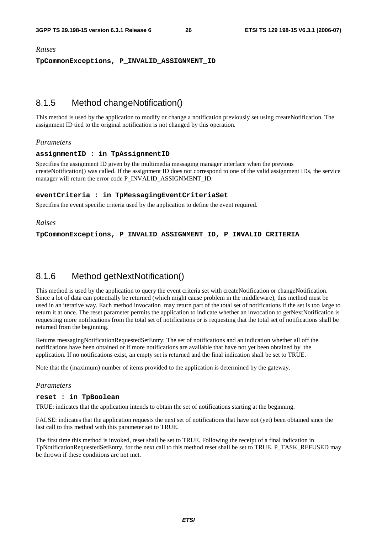#### *Raises*

**TpCommonExceptions, P\_INVALID\_ASSIGNMENT\_ID** 

### 8.1.5 Method changeNotification()

This method is used by the application to modify or change a notification previously set using createNotification. The assignment ID tied to the original notification is not changed by this operation.

#### *Parameters*

#### **assignmentID : in TpAssignmentID**

Specifies the assignment ID given by the multimedia messaging manager interface when the previous createNotification() was called. If the assignment ID does not correspond to one of the valid assignment IDs, the service manager will return the error code P\_INVALID\_ASSIGNMENT\_ID.

#### **eventCriteria : in TpMessagingEventCriteriaSet**

Specifies the event specific criteria used by the application to define the event required.

#### *Raises*

**TpCommonExceptions, P\_INVALID\_ASSIGNMENT\_ID, P\_INVALID\_CRITERIA** 

### 8.1.6 Method getNextNotification()

This method is used by the application to query the event criteria set with createNotification or changeNotification. Since a lot of data can potentially be returned (which might cause problem in the middleware), this method must be used in an iterative way. Each method invocation may return part of the total set of notifications if the set is too large to return it at once. The reset parameter permits the application to indicate whether an invocation to getNextNotification is requesting more notifications from the total set of notifications or is requesting that the total set of notifications shall be returned from the beginning.

Returns messagingNotificationRequestedSetEntry: The set of notifications and an indication whether all off the notifications have been obtained or if more notifications are available that have not yet been obtained by the application. If no notifications exist, an empty set is returned and the final indication shall be set to TRUE.

Note that the (maximum) number of items provided to the application is determined by the gateway.

#### *Parameters*

#### **reset : in TpBoolean**

TRUE: indicates that the application intends to obtain the set of notifications starting at the beginning.

FALSE: indicates that the application requests the next set of notifications that have not (yet) been obtained since the last call to this method with this parameter set to TRUE.

The first time this method is invoked, reset shall be set to TRUE. Following the receipt of a final indication in TpNotificationRequestedSetEntry, for the next call to this method reset shall be set to TRUE. P\_TASK\_REFUSED may be thrown if these conditions are not met.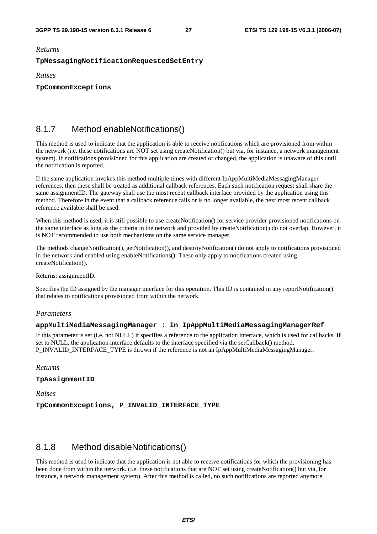*Returns* 

#### **TpMessagingNotificationRequestedSetEntry**

*Raises* 

**TpCommonExceptions** 

### 8.1.7 Method enableNotifications()

This method is used to indicate that the application is able to receive notifications which are provisioned from within the network (i.e. these notifications are NOT set using createNotification() but via, for instance, a network management system). If notifications provisioned for this application are created or changed, the application is unaware of this until the notification is reported.

If the same application invokes this method multiple times with different IpAppMultiMediaMessagingManager references, then these shall be treated as additional callback references. Each such notification request shall share the same assignmentID. The gateway shall use the most recent callback interface provided by the application using this method. Therefore in the event that a callback reference fails or is no longer available, the next most recent callback reference available shall be used.

When this method is used, it is still possible to use createNotification() for service provider provisioned notifications on the same interface as long as the criteria in the network and provided by createNotification() do not overlap. However, it is NOT recommended to use both mechanisms on the same service manager.

The methods changeNotification(), getNotification(), and destroyNotification() do not apply to notifications provisioned in the network and enabled using enableNotifications(). These only apply to notifications created using createNotification().

Returns: assignmentID.

Specifies the ID assigned by the manager interface for this operation. This ID is contained in any reportNotification() that relates to notifications provisioned from within the network.

#### *Parameters*

#### **appMultiMediaMessagingManager : in IpAppMultiMediaMessagingManagerRef**

If this parameter is set (i.e. not NULL) it specifies a reference to the application interface, which is used for callbacks. If set to NULL, the application interface defaults to the interface specified via the setCallback() method. P\_INVALID\_INTERFACE\_TYPE is thrown if the reference is not an IpAppMultiMediaMessagingManager.

*Returns* 

**TpAssignmentID** 

*Raises* 

**TpCommonExceptions, P\_INVALID\_INTERFACE\_TYPE** 

### 8.1.8 Method disableNotifications()

This method is used to indicate that the application is not able to receive notifications for which the provisioning has been done from within the network. (i.e. these notifications that are NOT set using createNotification() but via, for instance, a network management system). After this method is called, no such notifications are reported anymore.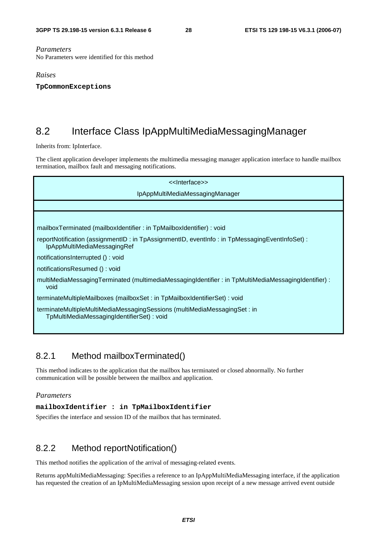#### *Parameters*

No Parameters were identified for this method

#### *Raises*

**TpCommonExceptions** 

### 8.2 Interface Class IpAppMultiMediaMessagingManager

Inherits from: IpInterface.

The client application developer implements the multimedia messaging manager application interface to handle mailbox termination, mailbox fault and messaging notifications.

| < <lnterface>&gt;</lnterface>                                                                                               |
|-----------------------------------------------------------------------------------------------------------------------------|
| IpAppMultiMediaMessagingManager                                                                                             |
|                                                                                                                             |
|                                                                                                                             |
| mailboxTerminated (mailboxIdentifier: in TpMailboxIdentifier) : void                                                        |
| reportNotification (assignmentID: in TpAssignmentID, eventInfo: in TpMessagingEventInfoSet):<br>IpAppMultiMediaMessagingRef |
| notificationsInterrupted (): void                                                                                           |
| notificationsResumed (): void                                                                                               |
| multiMediaMessagingTerminated (multimediaMessagingIdentifier: in TpMultiMediaMessagingIdentifier):<br>void                  |
| terminateMultipleMailboxes (mailboxSet : in TpMailboxIdentifierSet) : void                                                  |
| terminateMultipleMultiMediaMessagingSessions (multiMediaMessagingSet : in<br>TpMultiMediaMessagingIdentifierSet) : void     |

### 8.2.1 Method mailboxTerminated()

This method indicates to the application that the mailbox has terminated or closed abnormally. No further communication will be possible between the mailbox and application.

#### *Parameters*

**mailboxIdentifier : in TpMailboxIdentifier** 

Specifies the interface and session ID of the mailbox that has terminated.

### 8.2.2 Method reportNotification()

This method notifies the application of the arrival of messaging-related events.

Returns appMultiMediaMessaging: Specifies a reference to an IpAppMultiMediaMessaging interface, if the application has requested the creation of an IpMultiMediaMessaging session upon receipt of a new message arrived event outside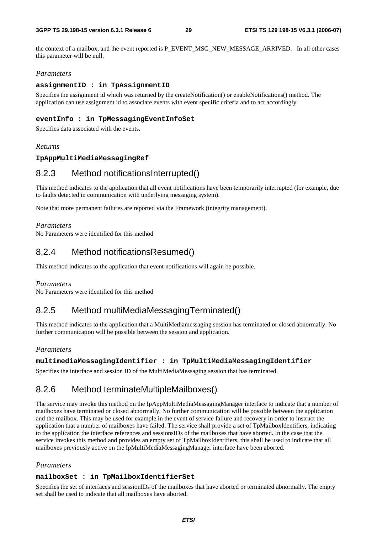the context of a mailbox, and the event reported is P\_EVENT\_MSG\_NEW\_MESSAGE\_ARRIVED. In all other cases this parameter will be null.

#### *Parameters*

#### **assignmentID : in TpAssignmentID**

Specifies the assignment id which was returned by the createNotification() or enableNotifications() method. The application can use assignment id to associate events with event specific criteria and to act accordingly.

#### **eventInfo : in TpMessagingEventInfoSet**

Specifies data associated with the events.

#### *Returns*

#### **IpAppMultiMediaMessagingRef**

### 8.2.3 Method notificationsInterrupted()

This method indicates to the application that all event notifications have been temporarily interrupted (for example, due to faults detected in communication with underlying messaging system).

Note that more permanent failures are reported via the Framework (integrity management).

#### *Parameters*

No Parameters were identified for this method

### 8.2.4 Method notificationsResumed()

This method indicates to the application that event notifications will again be possible.

#### *Parameters*

No Parameters were identified for this method

### 8.2.5 Method multiMediaMessagingTerminated()

This method indicates to the application that a MultiMediamessaging session has terminated or closed abnormally. No further communication will be possible between the session and application.

#### *Parameters*

#### **multimediaMessagingIdentifier : in TpMultiMediaMessagingIdentifier**

Specifies the interface and session ID of the MultiMediaMessaging session that has terminated.

### 8.2.6 Method terminateMultipleMailboxes()

The service may invoke this method on the IpAppMultiMediaMessagingManager interface to indicate that a number of mailboxes have terminated or closed abnormally. No further communication will be possible between the application and the mailbox. This may be used for example in the event of service failure and recovery in order to instruct the application that a number of mailboxes have failed. The service shall provide a set of TpMailboxIdentifiers, indicating to the application the interface references and sessionsIDs of the mailboxes that have aborted. In the case that the service invokes this method and provides an empty set of TpMailboxIdentifiers, this shall be used to indicate that all mailboxes previously active on the IpMultiMediaMessagingManager interface have been aborted.

#### *Parameters*

#### **mailboxSet : in TpMailboxIdentifierSet**

Specifies the set of interfaces and sessionIDs of the mailboxes that have aborted or terminated abnormally. The empty set shall be used to indicate that all mailboxes have aborted.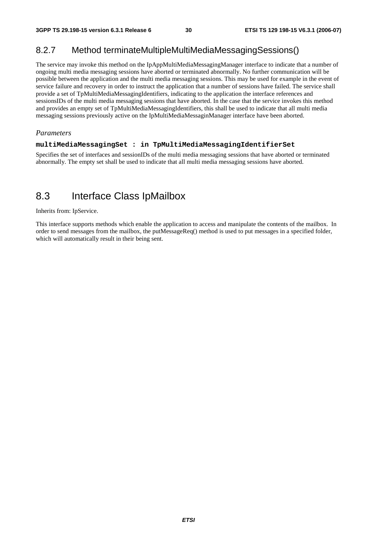### 8.2.7 Method terminateMultipleMultiMediaMessagingSessions()

The service may invoke this method on the IpAppMultiMediaMessagingManager interface to indicate that a number of ongoing multi media messaging sessions have aborted or terminated abnormally. No further communication will be possible between the application and the multi media messaging sessions. This may be used for example in the event of service failure and recovery in order to instruct the application that a number of sessions have failed. The service shall provide a set of TpMultiMediaMessagingIdentifiers, indicating to the application the interface references and sessionsIDs of the multi media messaging sessions that have aborted. In the case that the service invokes this method and provides an empty set of TpMultiMediaMessagingIdentifiers, this shall be used to indicate that all multi media messaging sessions previously active on the IpMultiMediaMessaginManager interface have been aborted.

#### *Parameters*

#### **multiMediaMessagingSet : in TpMultiMediaMessagingIdentifierSet**

Specifies the set of interfaces and sessionIDs of the multi media messaging sessions that have aborted or terminated abnormally. The empty set shall be used to indicate that all multi media messaging sessions have aborted.

### 8.3 Interface Class IpMailbox

Inherits from: IpService.

This interface supports methods which enable the application to access and manipulate the contents of the mailbox. In order to send messages from the mailbox, the putMessageReq() method is used to put messages in a specified folder, which will automatically result in their being sent.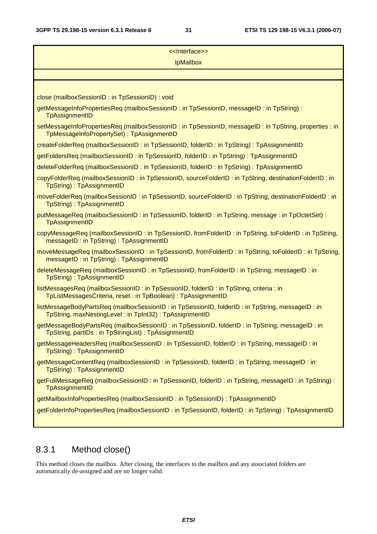| < <lnterface>&gt;</lnterface>                                                                                                                             |
|-----------------------------------------------------------------------------------------------------------------------------------------------------------|
| <b>IpMailbox</b>                                                                                                                                          |
|                                                                                                                                                           |
|                                                                                                                                                           |
| close (mailboxSessionID: in TpSessionID): void                                                                                                            |
| getMessageInfoPropertiesReq (mailboxSessionID: in TpSessionID, messageID: in TpString):<br>TpAssignmentID                                                 |
| setMessageInfoPropertiesReq (mailboxSessionID: in TpSessionID, messageID: in TpString, properties: in<br>TpMessageInfoPropertySet): TpAssignmentID        |
| createFolderReq (mailboxSessionID: in TpSessionID, folderID: in TpString): TpAssignmentID                                                                 |
| getFoldersReq (mailboxSessionID: in TpSessionID, folderID: in TpString): TpAssignmentID                                                                   |
| deleteFolderReq (mailboxSessionID: in TpSessionID, folderID: in TpString): TpAssignmentID                                                                 |
| copyFolderReq (mailboxSessionID: in TpSessionID, sourceFolderID: in TpString, destinationFolderID: in<br>TpString): TpAssignmentID                        |
| moveFolderReq (mailboxSessionID: in TpSessionID, sourceFolderID: in TpString, destinationFolderID: in<br>TpString): TpAssignmentID                        |
| putMessageReq (mailboxSessionID: in TpSessionID, folderID: in TpString, message: in TpOctetSet):<br>TpAssignmentID                                        |
| copyMessageReq (mailboxSessionID: in TpSessionID, fromFolderID: in TpString, toFolderID: in TpString,<br>messageID: in TpString): TpAssignmentID          |
| moveMessageReq (mailboxSessionID: in TpSessionID, fromFolderID: in TpString, toFolderID: in TpString,<br>messageID: in TpString): TpAssignmentID          |
| deleteMessageReq (mailboxSessionID: in TpSessionID, fromFolderID: in TpString, messageID: in<br>TpString): TpAssignmentID                                 |
| listMessagesReq (mailboxSessionID: in TpSessionID, folderID: in TpString, criteria: in<br>TpListMessagesCriteria, reset : in TpBoolean) : TpAssignmentID  |
| listMessageBodyPartsReq (mailboxSessionID: in TpSessionID, folderID: in TpString, messageID: in<br>TpString, maxNestingLevel: in TpInt32): TpAssignmentID |
| getMessageBodyPartsReq (mailboxSessionID: in TpSessionID, folderID: in TpString, messageID: in<br>TpString, partIDs: in TpStringList): TpAssignmentID     |
| getMessageHeadersReq (mailboxSessionID: in TpSessionID, folderID: in TpString, messageID: in<br>TpString): TpAssignmentID                                 |
| getMessageContentReq (mailboxSessionID: in TpSessionID, folderID: in TpString, messageID: in<br>TpString): TpAssignmentID                                 |
| getFullMessageReq (mailboxSessionID : in TpSessionID, folderID : in TpString, messageID : in TpString) :<br>TpAssignmentID                                |
| getMailboxInfoPropertiesReq (mailboxSessionID: in TpSessionID): TpAssignmentID                                                                            |
| getFolderInfoPropertiesReq (mailboxSessionID: in TpSessionID, folderID: in TpString): TpAssignmentID                                                      |
|                                                                                                                                                           |

### 8.3.1 Method close()

This method closes the mailbox. After closing, the interfaces to the mailbox and any associated folders are automatically de-assigned and are no longer valid.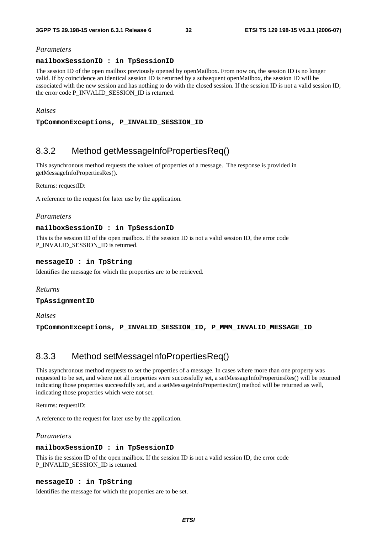#### *Parameters*

#### **mailboxSessionID : in TpSessionID**

The session ID of the open mailbox previously opened by openMailbox. From now on, the session ID is no longer valid. If by coincidence an identical session ID is returned by a subsequent openMailbox, the session ID will be associated with the new session and has nothing to do with the closed session. If the session ID is not a valid session ID, the error code P\_INVALID\_SESSION\_ID is returned.

#### *Raises*

**TpCommonExceptions, P\_INVALID\_SESSION\_ID** 

### 8.3.2 Method getMessageInfoPropertiesReq()

This asynchronous method requests the values of properties of a message. The response is provided in getMessageInfoPropertiesRes().

Returns: requestID:

A reference to the request for later use by the application.

#### *Parameters*

#### **mailboxSessionID : in TpSessionID**

This is the session ID of the open mailbox. If the session ID is not a valid session ID, the error code P\_INVALID\_SESSION\_ID is returned.

#### **messageID : in TpString**

Identifies the message for which the properties are to be retrieved.

#### *Returns*

**TpAssignmentID** 

*Raises* 

**TpCommonExceptions, P\_INVALID\_SESSION\_ID, P\_MMM\_INVALID\_MESSAGE\_ID** 

### 8.3.3 Method setMessageInfoPropertiesReq()

This asynchronous method requests to set the properties of a message. In cases where more than one property was requested to be set, and where not all properties were successfully set, a setMessageInfoPropertiesRes() will be returned indicating those properties successfully set, and a setMessageInfoPropertiesErr() method will be returned as well, indicating those properties which were not set.

Returns: requestID:

A reference to the request for later use by the application.

#### *Parameters*

#### **mailboxSessionID : in TpSessionID**

This is the session ID of the open mailbox. If the session ID is not a valid session ID, the error code P\_INVALID\_SESSION\_ID is returned.

#### **messageID : in TpString**

Identifies the message for which the properties are to be set.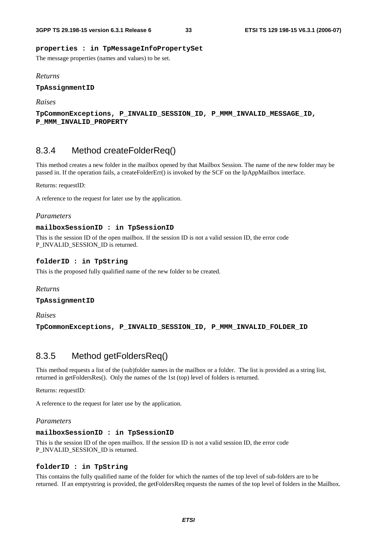#### **properties : in TpMessageInfoPropertySet**

The message properties (names and values) to be set.

#### *Returns*

**TpAssignmentID** 

*Raises* 

```
TpCommonExceptions, P_INVALID_SESSION_ID, P_MMM_INVALID_MESSAGE_ID, 
P_MMM_INVALID_PROPERTY
```
### 8.3.4 Method createFolderReq()

This method creates a new folder in the mailbox opened by that Mailbox Session. The name of the new folder may be passed in. If the operation fails, a createFolderErr() is invoked by the SCF on the IpAppMailbox interface.

Returns: requestID:

A reference to the request for later use by the application.

#### *Parameters*

#### **mailboxSessionID : in TpSessionID**

This is the session ID of the open mailbox. If the session ID is not a valid session ID, the error code P\_INVALID\_SESSION\_ID is returned.

#### **folderID : in TpString**

This is the proposed fully qualified name of the new folder to be created.

*Returns* 

**TpAssignmentID** 

*Raises* 

**TpCommonExceptions, P\_INVALID\_SESSION\_ID, P\_MMM\_INVALID\_FOLDER\_ID** 

### 8.3.5 Method getFoldersReq()

This method requests a list of the (sub)folder names in the mailbox or a folder. The list is provided as a string list, returned in getFoldersRes(). Only the names of the 1st (top) level of folders is returned.

Returns: requestID:

A reference to the request for later use by the application.

#### *Parameters*

#### **mailboxSessionID : in TpSessionID**

This is the session ID of the open mailbox. If the session ID is not a valid session ID, the error code P\_INVALID\_SESSION\_ID is returned.

#### **folderID : in TpString**

This contains the fully qualified name of the folder for which the names of the top level of sub-folders are to be returned. If an emptystring is provided, the getFoldersReq requests the names of the top level of folders in the Mailbox.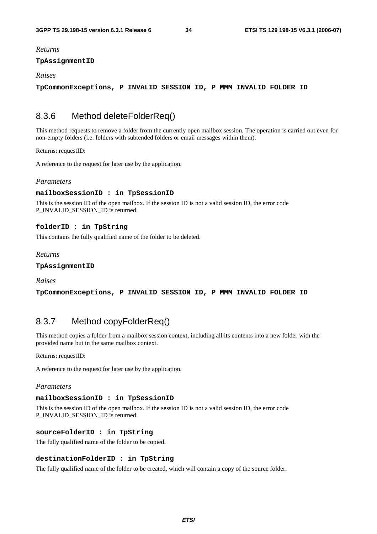*Returns* 

#### **TpAssignmentID**

#### *Raises*

**TpCommonExceptions, P\_INVALID\_SESSION\_ID, P\_MMM\_INVALID\_FOLDER\_ID** 

### 8.3.6 Method deleteFolderReq()

This method requests to remove a folder from the currently open mailbox session. The operation is carried out even for non-empty folders (i.e. folders with subtended folders or email messages within them).

Returns: requestID:

A reference to the request for later use by the application.

#### *Parameters*

#### **mailboxSessionID : in TpSessionID**

This is the session ID of the open mailbox. If the session ID is not a valid session ID, the error code P\_INVALID\_SESSION\_ID is returned.

#### **folderID : in TpString**

This contains the fully qualified name of the folder to be deleted.

#### *Returns*

**TpAssignmentID** 

*Raises* 

```
TpCommonExceptions, P_INVALID_SESSION_ID, P_MMM_INVALID_FOLDER_ID
```
### 8.3.7 Method copyFolderReq()

This method copies a folder from a mailbox session context, including all its contents into a new folder with the provided name but in the same mailbox context.

Returns: requestID:

A reference to the request for later use by the application.

#### *Parameters*

#### **mailboxSessionID : in TpSessionID**

This is the session ID of the open mailbox. If the session ID is not a valid session ID, the error code P\_INVALID\_SESSION\_ID is returned.

#### **sourceFolderID : in TpString**

The fully qualified name of the folder to be copied.

#### **destinationFolderID : in TpString**

The fully qualified name of the folder to be created, which will contain a copy of the source folder.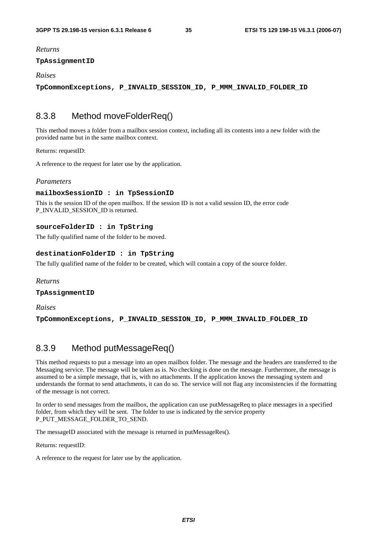#### *Returns*

#### **TpAssignmentID**

#### *Raises*

**TpCommonExceptions, P\_INVALID\_SESSION\_ID, P\_MMM\_INVALID\_FOLDER\_ID** 

### 8.3.8 Method moveFolderReq()

This method moves a folder from a mailbox session context, including all its contents into a new folder with the provided name but in the same mailbox context.

Returns: requestID:

A reference to the request for later use by the application.

#### *Parameters*

#### **mailboxSessionID : in TpSessionID**

This is the session ID of the open mailbox. If the session ID is not a valid session ID, the error code P\_INVALID\_SESSION\_ID is returned.

#### **sourceFolderID : in TpString**

The fully qualified name of the folder to be moved.

#### **destinationFolderID : in TpString**

The fully qualified name of the folder to be created, which will contain a copy of the source folder.

#### *Returns*

**TpAssignmentID** 

*Raises* 

**TpCommonExceptions, P\_INVALID\_SESSION\_ID, P\_MMM\_INVALID\_FOLDER\_ID** 

### 8.3.9 Method putMessageReq()

This method requests to put a message into an open mailbox folder. The message and the headers are transferred to the Messaging service. The message will be taken as is. No checking is done on the message. Furthermore, the message is assumed to be a simple message, that is, with no attachments. If the application knows the messaging system and understands the format to send attachments, it can do so. The service will not flag any inconsistencies if the formatting of the message is not correct.

In order to send messages from the mailbox, the application can use putMessageReq to place messages in a specified folder, from which they will be sent. The folder to use is indicated by the service property P\_PUT\_MESSAGE\_FOLDER\_TO\_SEND.

The messageID associated with the message is returned in putMessageRes().

Returns: requestID:

A reference to the request for later use by the application.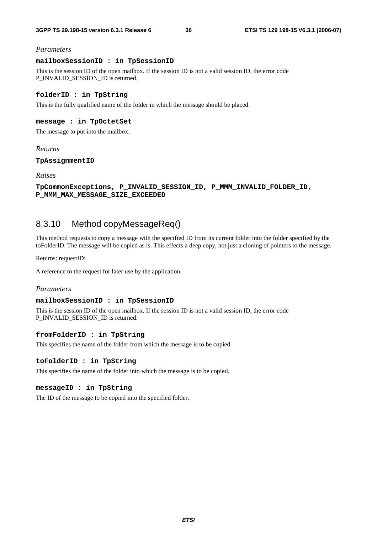### *Parameters*

#### **mailboxSessionID : in TpSessionID**

This is the session ID of the open mailbox. If the session ID is not a valid session ID, the error code P\_INVALID\_SESSION\_ID is returned.

### **folderID : in TpString**

This is the fully qualified name of the folder in which the message should be placed.

## **message : in TpOctetSet**

The message to put into the mailbox.

#### *Returns*

**TpAssignmentID** 

*Raises* 

```
TpCommonExceptions, P_INVALID_SESSION_ID, P_MMM_INVALID_FOLDER_ID, 
P_MMM_MAX_MESSAGE_SIZE_EXCEEDED
```
## 8.3.10 Method copyMessageReq()

This method requests to copy a message with the specified ID from its current folder into the folder specified by the toFolderID. The message will be copied as is. This effects a deep copy, not just a cloning of pointers to the message.

Returns: requestID:

A reference to the request for later use by the application.

### *Parameters*

#### **mailboxSessionID : in TpSessionID**

This is the session ID of the open mailbox. If the session ID is not a valid session ID, the error code P\_INVALID\_SESSION\_ID is returned.

#### **fromFolderID : in TpString**

This specifies the name of the folder from which the message is to be copied.

#### **toFolderID : in TpString**

This specifies the name of the folder into which the message is to be copied.

#### **messageID : in TpString**

The ID of the message to be copied into the specified folder.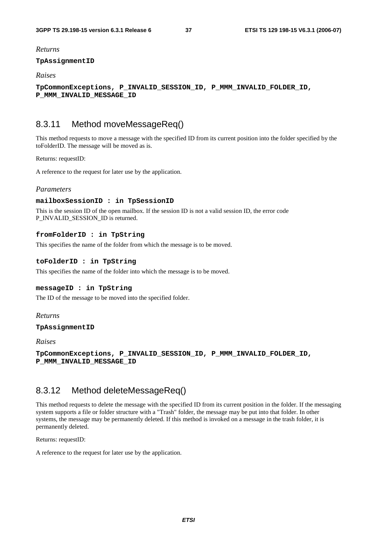### *Returns*

#### **TpAssignmentID**

## *Raises*

**TpCommonExceptions, P\_INVALID\_SESSION\_ID, P\_MMM\_INVALID\_FOLDER\_ID, P\_MMM\_INVALID\_MESSAGE\_ID** 

## 8.3.11 Method moveMessageReq()

This method requests to move a message with the specified ID from its current position into the folder specified by the toFolderID. The message will be moved as is.

Returns: requestID:

A reference to the request for later use by the application.

### *Parameters*

#### **mailboxSessionID : in TpSessionID**

This is the session ID of the open mailbox. If the session ID is not a valid session ID, the error code P\_INVALID\_SESSION\_ID is returned.

### **fromFolderID : in TpString**

This specifies the name of the folder from which the message is to be moved.

### **toFolderID : in TpString**

This specifies the name of the folder into which the message is to be moved.

## **messageID : in TpString**

The ID of the message to be moved into the specified folder.

### *Returns*

#### **TpAssignmentID**

#### *Raises*

**TpCommonExceptions, P\_INVALID\_SESSION\_ID, P\_MMM\_INVALID\_FOLDER\_ID, P\_MMM\_INVALID\_MESSAGE\_ID** 

## 8.3.12 Method deleteMessageReq()

This method requests to delete the message with the specified ID from its current position in the folder. If the messaging system supports a file or folder structure with a "Trash" folder, the message may be put into that folder. In other systems, the message may be permanently deleted. If this method is invoked on a message in the trash folder, it is permanently deleted.

Returns: requestID:

A reference to the request for later use by the application.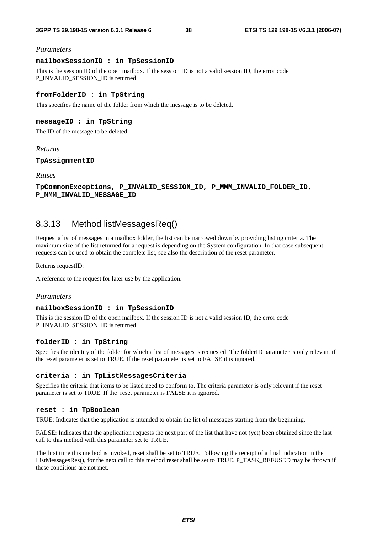#### *Parameters*

### **mailboxSessionID : in TpSessionID**

This is the session ID of the open mailbox. If the session ID is not a valid session ID, the error code P\_INVALID\_SESSION\_ID is returned.

#### **fromFolderID : in TpString**

This specifies the name of the folder from which the message is to be deleted.

## **messageID : in TpString**

The ID of the message to be deleted.

#### *Returns*

**TpAssignmentID** 

*Raises* 

```
TpCommonExceptions, P_INVALID_SESSION_ID, P_MMM_INVALID_FOLDER_ID, 
P_MMM_INVALID_MESSAGE_ID
```
## 8.3.13 Method listMessagesReq()

Request a list of messages in a mailbox folder, the list can be narrowed down by providing listing criteria. The maximum size of the list returned for a request is depending on the System configuration. In that case subsequent requests can be used to obtain the complete list, see also the description of the reset parameter.

Returns requestID:

A reference to the request for later use by the application.

#### *Parameters*

#### **mailboxSessionID : in TpSessionID**

This is the session ID of the open mailbox. If the session ID is not a valid session ID, the error code P\_INVALID\_SESSION\_ID is returned.

#### **folderID : in TpString**

Specifies the identity of the folder for which a list of messages is requested. The folderID parameter is only relevant if the reset parameter is set to TRUE. If the reset parameter is set to FALSE it is ignored.

#### **criteria : in TpListMessagesCriteria**

Specifies the criteria that items to be listed need to conform to. The criteria parameter is only relevant if the reset parameter is set to TRUE. If the reset parameter is FALSE it is ignored.

#### **reset : in TpBoolean**

TRUE: Indicates that the application is intended to obtain the list of messages starting from the beginning.

FALSE: Indicates that the application requests the next part of the list that have not (yet) been obtained since the last call to this method with this parameter set to TRUE.

The first time this method is invoked, reset shall be set to TRUE. Following the receipt of a final indication in the ListMessagesRes(), for the next call to this method reset shall be set to TRUE. P\_TASK\_REFUSED may be thrown if these conditions are not met.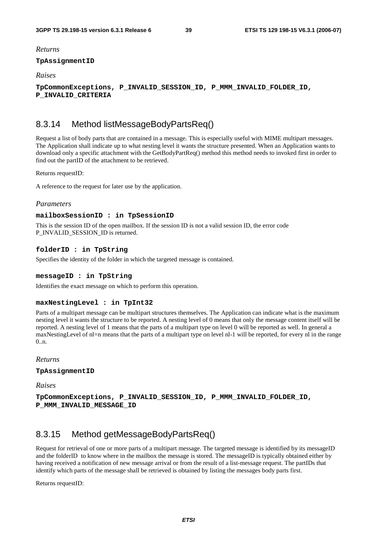#### *Returns*

## **TpAssignmentID**

### *Raises*

**TpCommonExceptions, P\_INVALID\_SESSION\_ID, P\_MMM\_INVALID\_FOLDER\_ID, P\_INVALID\_CRITERIA** 

## 8.3.14 Method listMessageBodyPartsReq()

Request a list of body parts that are contained in a message. This is especially useful with MIME multipart messages. The Application shall indicate up to what nesting level it wants the structure presented. When an Application wants to download only a specific attachment with the GetBodyPartReq() method this method needs to invoked first in order to find out the partID of the attachment to be retrieved.

Returns requestID:

A reference to the request for later use by the application.

#### *Parameters*

#### **mailboxSessionID : in TpSessionID**

This is the session ID of the open mailbox. If the session ID is not a valid session ID, the error code P\_INVALID\_SESSION\_ID is returned.

### **folderID : in TpString**

Specifies the identity of the folder in which the targeted message is contained.

#### **messageID : in TpString**

Identifies the exact message on which to perform this operation.

#### **maxNestingLevel : in TpInt32**

Parts of a multipart message can be multipart structures themselves. The Application can indicate what is the maximum nesting level it wants the structure to be reported. A nesting level of 0 means that only the message content itself will be reported. A nesting level of 1 means that the parts of a multipart type on level 0 will be reported as well. In general a maxNestingLevel of nl=n means that the parts of a multipart type on level nl-1 will be reported, for every nl in the range  $0.5n$ .

*Returns* 

#### **TpAssignmentID**

*Raises* 

**TpCommonExceptions, P\_INVALID\_SESSION\_ID, P\_MMM\_INVALID\_FOLDER\_ID, P\_MMM\_INVALID\_MESSAGE\_ID** 

## 8.3.15 Method getMessageBodyPartsReq()

Request for retrieval of one or more parts of a multipart message. The targeted message is identified by its messageID and the folderID to know where in the mailbox the message is stored. The messageID is typically obtained either by having received a notification of new message arrival or from the result of a list-message request. The partIDs that identify which parts of the message shall be retrieved is obtained by listing the messages body parts first.

Returns requestID: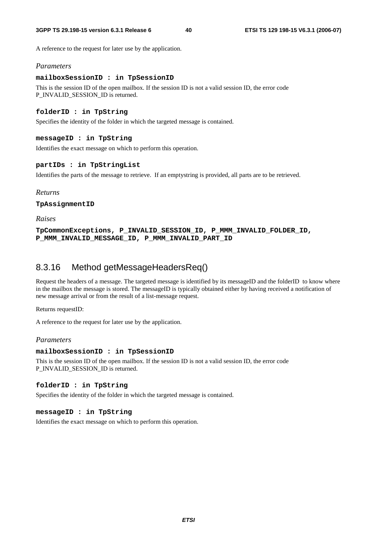A reference to the request for later use by the application.

### *Parameters*

#### **mailboxSessionID : in TpSessionID**

This is the session ID of the open mailbox. If the session ID is not a valid session ID, the error code P\_INVALID\_SESSION\_ID is returned.

### **folderID : in TpString**

Specifies the identity of the folder in which the targeted message is contained.

#### **messageID : in TpString**

Identifies the exact message on which to perform this operation.

### **partIDs : in TpStringList**

Identifies the parts of the message to retrieve. If an emptystring is provided, all parts are to be retrieved.

## *Returns*

#### **TpAssignmentID**

*Raises* 

**TpCommonExceptions, P\_INVALID\_SESSION\_ID, P\_MMM\_INVALID\_FOLDER\_ID, P\_MMM\_INVALID\_MESSAGE\_ID, P\_MMM\_INVALID\_PART\_ID** 

## 8.3.16 Method getMessageHeadersReq()

Request the headers of a message. The targeted message is identified by its messageID and the folderID to know where in the mailbox the message is stored. The messageID is typically obtained either by having received a notification of new message arrival or from the result of a list-message request.

Returns requestID:

A reference to the request for later use by the application.

### *Parameters*

#### **mailboxSessionID : in TpSessionID**

This is the session ID of the open mailbox. If the session ID is not a valid session ID, the error code P\_INVALID\_SESSION\_ID is returned.

### **folderID : in TpString**

Specifies the identity of the folder in which the targeted message is contained.

### **messageID : in TpString**

Identifies the exact message on which to perform this operation.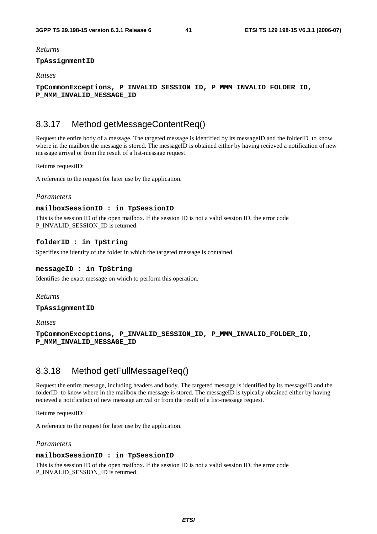### *Returns*

#### **TpAssignmentID**

### *Raises*

**TpCommonExceptions, P\_INVALID\_SESSION\_ID, P\_MMM\_INVALID\_FOLDER\_ID, P\_MMM\_INVALID\_MESSAGE\_ID** 

## 8.3.17 Method getMessageContentReq()

Request the entire body of a message. The targeted message is identified by its messageID and the folderID to know where in the mailbox the message is stored. The messageID is obtained either by having recieved a notification of new message arrival or from the result of a list-message request.

#### Returns requestID:

A reference to the request for later use by the application.

## *Parameters*

### **mailboxSessionID : in TpSessionID**

This is the session ID of the open mailbox. If the session ID is not a valid session ID, the error code P\_INVALID\_SESSION\_ID is returned.

### **folderID : in TpString**

Specifies the identity of the folder in which the targeted message is contained.

## **messageID : in TpString**

Identifies the exact message on which to perform this operation.

### *Returns*

### **TpAssignmentID**

*Raises* 

**TpCommonExceptions, P\_INVALID\_SESSION\_ID, P\_MMM\_INVALID\_FOLDER\_ID, P\_MMM\_INVALID\_MESSAGE\_ID** 

## 8.3.18 Method getFullMessageReq()

Request the entire message, including headers and body. The targeted message is identified by its messageID and the folderID to know where in the mailbox the message is stored. The messageID is typically obtained either by having recieved a notification of new message arrival or from the result of a list-message request.

Returns requestID:

A reference to the request for later use by the application.

### *Parameters*

### **mailboxSessionID : in TpSessionID**

This is the session ID of the open mailbox. If the session ID is not a valid session ID, the error code P\_INVALID\_SESSION\_ID is returned.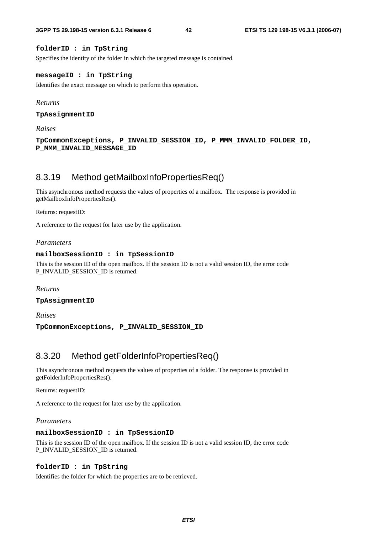## **folderID : in TpString**

Specifies the identity of the folder in which the targeted message is contained.

#### **messageID : in TpString**

Identifies the exact message on which to perform this operation.

#### *Returns*

**TpAssignmentID** 

*Raises* 

**TpCommonExceptions, P\_INVALID\_SESSION\_ID, P\_MMM\_INVALID\_FOLDER\_ID, P\_MMM\_INVALID\_MESSAGE\_ID** 

## 8.3.19 Method getMailboxInfoPropertiesReq()

This asynchronous method requests the values of properties of a mailbox. The response is provided in getMailboxInfoPropertiesRes().

Returns: requestID:

A reference to the request for later use by the application.

### *Parameters*

### **mailboxSessionID : in TpSessionID**

This is the session ID of the open mailbox. If the session ID is not a valid session ID, the error code P\_INVALID\_SESSION\_ID is returned.

*Returns* 

**TpAssignmentID** 

*Raises* 

**TpCommonExceptions, P\_INVALID\_SESSION\_ID** 

## 8.3.20 Method getFolderInfoPropertiesReq()

This asynchronous method requests the values of properties of a folder. The response is provided in getFolderInfoPropertiesRes().

Returns: requestID:

A reference to the request for later use by the application.

#### *Parameters*

### **mailboxSessionID : in TpSessionID**

This is the session ID of the open mailbox. If the session ID is not a valid session ID, the error code P\_INVALID\_SESSION\_ID is returned.

#### **folderID : in TpString**

Identifies the folder for which the properties are to be retrieved.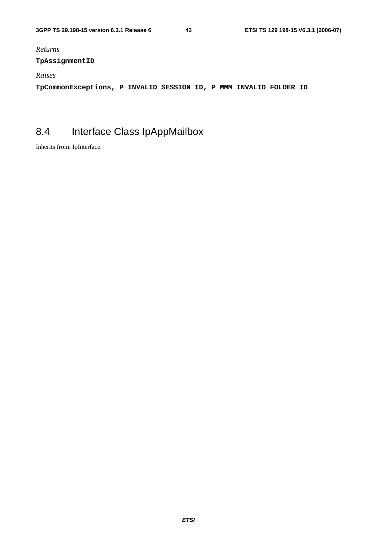*Returns* 

## **TpAssignmentID**

*Raises* 

**TpCommonExceptions, P\_INVALID\_SESSION\_ID, P\_MMM\_INVALID\_FOLDER\_ID** 

# 8.4 Interface Class IpAppMailbox

Inherits from: IpInterface.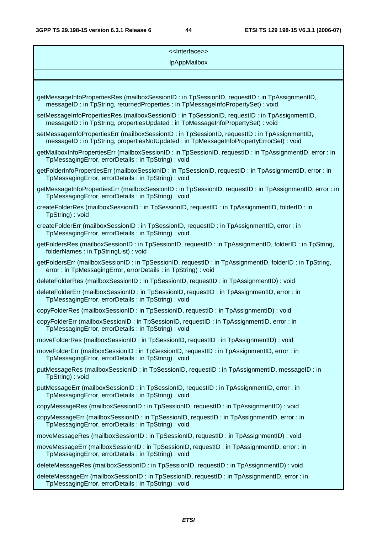| < <lnterface>&gt;</lnterface>                                                                                                                                                         |  |  |  |  |
|---------------------------------------------------------------------------------------------------------------------------------------------------------------------------------------|--|--|--|--|
| <b>IpAppMailbox</b>                                                                                                                                                                   |  |  |  |  |
|                                                                                                                                                                                       |  |  |  |  |
| getMessageInfoPropertiesRes (mailboxSessionID: in TpSessionID, requestID: in TpAssignmentID,<br>messageID: in TpString, returnedProperties: in TpMessageInfoPropertySet): void        |  |  |  |  |
| setMessageInfoPropertiesRes (mailboxSessionID: in TpSessionID, requestID: in TpAssignmentID,<br>messageID: in TpString, propertiesUpdated: in TpMessageInfoPropertySet): void         |  |  |  |  |
| setMessageInfoPropertiesErr (mailboxSessionID: in TpSessionID, requestID: in TpAssignmentID,<br>messageID: in TpString, propertiesNotUpdated: in TpMessageInfoPropertyErrorSet): void |  |  |  |  |
| getMailboxInfoPropertiesErr (mailboxSessionID: in TpSessionID, requestID: in TpAssignmentID, error: in<br>TpMessagingError, errorDetails : in TpString) : void                        |  |  |  |  |
| getFolderInfoPropertiesErr (mailboxSessionID: in TpSessionID, requestID: in TpAssignmentID, error: in<br>TpMessagingError, errorDetails : in TpString) : void                         |  |  |  |  |
| getMessageInfoPropertiesErr (mailboxSessionID: in TpSessionID, requestID: in TpAssignmentID, error: in<br>TpMessagingError, errorDetails : in TpString) : void                        |  |  |  |  |
| createFolderRes (mailboxSessionID: in TpSessionID, requestID: in TpAssignmentID, folderID: in<br>TpString): void                                                                      |  |  |  |  |
| createFolderErr (mailboxSessionID: in TpSessionID, requestID: in TpAssignmentID, error: in<br>TpMessagingError, errorDetails : in TpString) : void                                    |  |  |  |  |
| getFoldersRes (mailboxSessionID: in TpSessionID, requestID: in TpAssignmentID, folderID: in TpString,<br>folderNames: in TpStringList): void                                          |  |  |  |  |
| getFoldersErr (mailboxSessionID : in TpSessionID, requestID : in TpAssignmentID, folderID : in TpString,<br>error: in TpMessagingError, errorDetails: in TpString): void              |  |  |  |  |
| deleteFolderRes (mailboxSessionID: in TpSessionID, requestID: in TpAssignmentID): void                                                                                                |  |  |  |  |
| deleteFolderErr (mailboxSessionID: in TpSessionID, requestID: in TpAssignmentID, error: in<br>TpMessagingError, errorDetails : in TpString) : void                                    |  |  |  |  |
| copyFolderRes (mailboxSessionID: in TpSessionID, requestID: in TpAssignmentID): void                                                                                                  |  |  |  |  |
| copyFolderErr (mailboxSessionID: in TpSessionID, requestID: in TpAssignmentID, error: in<br>TpMessagingError, errorDetails: in TpString): void                                        |  |  |  |  |
| moveFolderRes (mailboxSessionID : in TpSessionID, requestID : in TpAssignmentID) : void                                                                                               |  |  |  |  |
| moveFolderErr (mailboxSessionID: in TpSessionID, requestID: in TpAssignmentID, error: in<br>TpMessagingError, errorDetails : in TpString) : void                                      |  |  |  |  |
| putMessageRes (mailboxSessionID : in TpSessionID, requestID : in TpAssignmentID, messageID : in<br>TpString): void                                                                    |  |  |  |  |
| putMessageErr (mailboxSessionID: in TpSessionID, requestID: in TpAssignmentID, error: in<br>TpMessagingError, errorDetails : in TpString) : void                                      |  |  |  |  |
| copyMessageRes (mailboxSessionID: in TpSessionID, requestID: in TpAssignmentID): void                                                                                                 |  |  |  |  |
| copyMessageErr (mailboxSessionID: in TpSessionID, requestID: in TpAssignmentID, error: in<br>TpMessagingError, errorDetails : in TpString) : void                                     |  |  |  |  |
| moveMessageRes (mailboxSessionID : in TpSessionID, requestID : in TpAssignmentID) : void                                                                                              |  |  |  |  |
| moveMessageErr (mailboxSessionID: in TpSessionID, requestID: in TpAssignmentID, error: in<br>TpMessagingError, errorDetails : in TpString) : void                                     |  |  |  |  |
| deleteMessageRes (mailboxSessionID : in TpSessionID, requestID : in TpAssignmentID) : void                                                                                            |  |  |  |  |
| deleteMessageErr (mailboxSessionID: in TpSessionID, requestID: in TpAssignmentID, error: in<br>TpMessagingError, errorDetails : in TpString) : void                                   |  |  |  |  |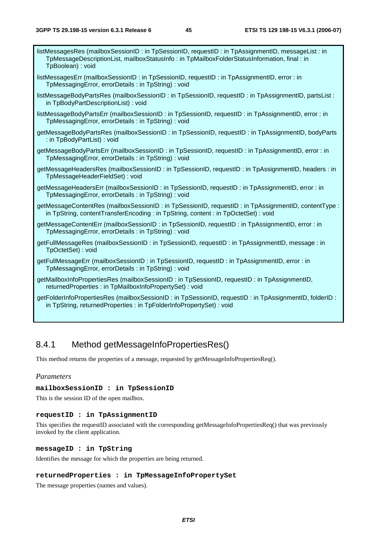| listMessagesRes (mailboxSessionID: in TpSessionID, requestID: in TpAssignmentID, messageList: in<br>TpMessageDescriptionList, mailboxStatusInfo: in TpMailboxFolderStatusInformation, final: in<br>TpBoolean) : void |
|----------------------------------------------------------------------------------------------------------------------------------------------------------------------------------------------------------------------|
| listMessagesErr (mailboxSessionID: in TpSessionID, requestID: in TpAssignmentID, error: in<br>TpMessagingError, errorDetails: in TpString): void                                                                     |
| listMessageBodyPartsRes (mailboxSessionID: in TpSessionID, requestID: in TpAssignmentID, partsList:<br>in TpBodyPartDescriptionList): void                                                                           |
| listMessageBodyPartsErr (mailboxSessionID: in TpSessionID, requestID: in TpAssignmentID, error: in<br>TpMessagingError, errorDetails : in TpString) : void                                                           |
| getMessageBodyPartsRes (mailboxSessionID: in TpSessionID, requestID: in TpAssignmentID, bodyParts<br>: in TpBodyPartList) : void                                                                                     |
| getMessageBodyPartsErr (mailboxSessionID: in TpSessionID, requestID: in TpAssignmentID, error: in<br>TpMessagingError, errorDetails: in TpString): void                                                              |
| getMessageHeadersRes (mailboxSessionID: in TpSessionID, requestID: in TpAssignmentID, headers: in<br>TpMessageHeaderFieldSet): void                                                                                  |
| getMessageHeadersErr (mailboxSessionID: in TpSessionID, requestID: in TpAssignmentID, error: in<br>TpMessagingError, errorDetails : in TpString) : void                                                              |
| getMessageContentRes (mailboxSessionID: in TpSessionID, requestID: in TpAssignmentID, contentType:<br>in TpString, contentTransferEncoding: in TpString, content: in TpOctetSet): void                               |
| getMessageContentErr (mailboxSessionID: in TpSessionID, requestID: in TpAssignmentID, error: in<br>TpMessagingError, errorDetails : in TpString) : void                                                              |
| getFullMessageRes (mailboxSessionID: in TpSessionID, requestID: in TpAssignmentID, message: in<br>TpOctetSet): void                                                                                                  |
| getFullMessageErr (mailboxSessionID: in TpSessionID, requestID: in TpAssignmentID, error: in<br>TpMessagingError, errorDetails : in TpString) : void                                                                 |
| getMailboxInfoPropertiesRes (mailboxSessionID: in TpSessionID, requestID: in TpAssignmentID,<br>returnedProperties : in TpMailboxInfoPropertySet) : void                                                             |
| getFolderInfoPropertiesRes (mailboxSessionID : in TpSessionID, requestID : in TpAssignmentID, folderID :<br>in TpString, returnedProperties : in TpFolderInfoPropertySet) : void                                     |
|                                                                                                                                                                                                                      |

## 8.4.1 Method getMessageInfoPropertiesRes()

This method returns the properties of a message, requested by getMessageInfoPropertiesReq().

## *Parameters*

### **mailboxSessionID : in TpSessionID**

This is the session ID of the open mailbox.

### **requestID : in TpAssignmentID**

This specifies the requestID associated with the corresponding getMessageInfoPropertiesReq() that was previously invoked by the client application.

### **messageID : in TpString**

Identifies the message for which the properties are being returned.

## **returnedProperties : in TpMessageInfoPropertySet**

The message properties (names and values).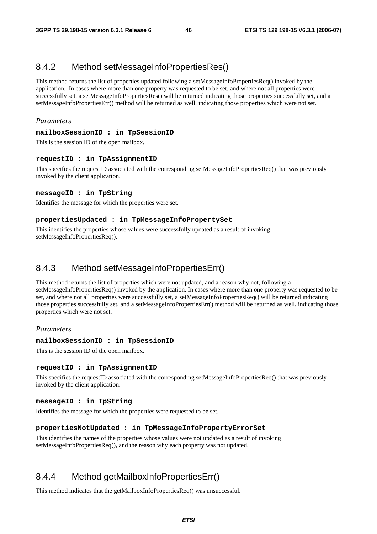## 8.4.2 Method setMessageInfoPropertiesRes()

This method returns the list of properties updated following a setMessageInfoPropertiesReq() invoked by the application. In cases where more than one property was requested to be set, and where not all properties were successfully set, a setMessageInfoPropertiesRes() will be returned indicating those properties successfully set, and a setMessageInfoPropertiesErr() method will be returned as well, indicating those properties which were not set.

## *Parameters*

## **mailboxSessionID : in TpSessionID**

This is the session ID of the open mailbox.

## **requestID : in TpAssignmentID**

This specifies the requestID associated with the corresponding setMessageInfoPropertiesReq() that was previously invoked by the client application.

## **messageID : in TpString**

Identifies the message for which the properties were set.

## **propertiesUpdated : in TpMessageInfoPropertySet**

This identifies the properties whose values were successfully updated as a result of invoking setMessageInfoPropertiesReq().

## 8.4.3 Method setMessageInfoPropertiesErr()

This method returns the list of properties which were not updated, and a reason why not, following a setMessageInfoPropertiesReq() invoked by the application. In cases where more than one property was requested to be set, and where not all properties were successfully set, a setMessageInfoPropertiesReq() will be returned indicating those properties successfully set, and a setMessageInfoPropertiesErr() method will be returned as well, indicating those properties which were not set.

#### *Parameters*

#### **mailboxSessionID : in TpSessionID**

This is the session ID of the open mailbox.

#### **requestID : in TpAssignmentID**

This specifies the requestID associated with the corresponding setMessageInfoPropertiesReq() that was previously invoked by the client application.

### **messageID : in TpString**

Identifies the message for which the properties were requested to be set.

#### **propertiesNotUpdated : in TpMessageInfoPropertyErrorSet**

This identifies the names of the properties whose values were not updated as a result of invoking setMessageInfoPropertiesReq(), and the reason why each property was not updated.

## 8.4.4 Method getMailboxInfoPropertiesErr()

This method indicates that the getMailboxInfoPropertiesReq() was unsuccessful.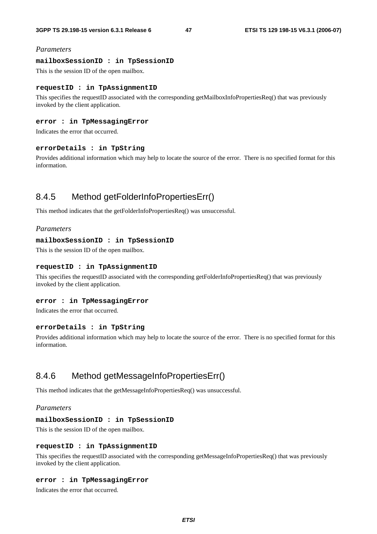#### *Parameters*

#### **mailboxSessionID : in TpSessionID**

This is the session ID of the open mailbox.

### **requestID : in TpAssignmentID**

This specifies the requestID associated with the corresponding getMailboxInfoPropertiesReq() that was previously invoked by the client application.

### **error : in TpMessagingError**

Indicates the error that occurred.

#### **errorDetails : in TpString**

Provides additional information which may help to locate the source of the error. There is no specified format for this information.

## 8.4.5 Method getFolderInfoPropertiesErr()

This method indicates that the getFolderInfoPropertiesReq() was unsuccessful.

#### *Parameters*

#### **mailboxSessionID : in TpSessionID**

This is the session ID of the open mailbox.

#### **requestID : in TpAssignmentID**

This specifies the requestID associated with the corresponding getFolderInfoPropertiesReq() that was previously invoked by the client application.

### **error : in TpMessagingError**

Indicates the error that occurred.

#### **errorDetails : in TpString**

Provides additional information which may help to locate the source of the error. There is no specified format for this information.

## 8.4.6 Method getMessageInfoPropertiesErr()

This method indicates that the getMessageInfoPropertiesReq() was unsuccessful.

### *Parameters*

#### **mailboxSessionID : in TpSessionID**

This is the session ID of the open mailbox.

#### **requestID : in TpAssignmentID**

This specifies the requestID associated with the corresponding getMessageInfoPropertiesReq() that was previously invoked by the client application.

#### **error : in TpMessagingError**

Indicates the error that occurred.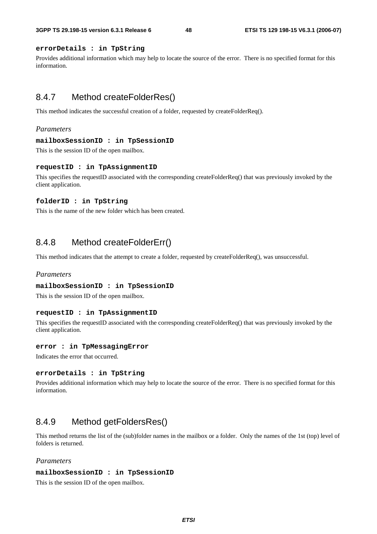### **errorDetails : in TpString**

Provides additional information which may help to locate the source of the error. There is no specified format for this information.

## 8.4.7 Method createFolderRes()

This method indicates the successful creation of a folder, requested by createFolderReq().

#### *Parameters*

#### **mailboxSessionID : in TpSessionID**

This is the session ID of the open mailbox.

#### **requestID : in TpAssignmentID**

This specifies the requestID associated with the corresponding createFolderReq() that was previously invoked by the client application.

#### **folderID : in TpString**

This is the name of the new folder which has been created.

## 8.4.8 Method createFolderErr()

This method indicates that the attempt to create a folder, requested by createFolderReq(), was unsuccessful.

### *Parameters*

#### **mailboxSessionID : in TpSessionID**

This is the session ID of the open mailbox.

#### **requestID : in TpAssignmentID**

This specifies the requestID associated with the corresponding createFolderReq() that was previously invoked by the client application.

#### **error : in TpMessagingError**

Indicates the error that occurred.

#### **errorDetails : in TpString**

Provides additional information which may help to locate the source of the error. There is no specified format for this information.

## 8.4.9 Method getFoldersRes()

This method returns the list of the (sub)folder names in the mailbox or a folder. Only the names of the 1st (top) level of folders is returned.

### *Parameters*

#### **mailboxSessionID : in TpSessionID**

This is the session ID of the open mailbox.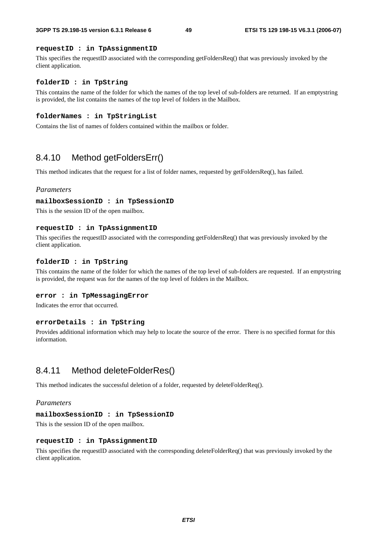### **requestID : in TpAssignmentID**

This specifies the requestID associated with the corresponding getFoldersReq() that was previously invoked by the client application.

#### **folderID : in TpString**

This contains the name of the folder for which the names of the top level of sub-folders are returned. If an emptystring is provided, the list contains the names of the top level of folders in the Mailbox.

#### **folderNames : in TpStringList**

Contains the list of names of folders contained within the mailbox or folder.

## 8.4.10 Method getFoldersErr()

This method indicates that the request for a list of folder names, requested by getFoldersReq(), has failed.

#### *Parameters*

#### **mailboxSessionID : in TpSessionID**

This is the session ID of the open mailbox.

#### **requestID : in TpAssignmentID**

This specifies the requestID associated with the corresponding getFoldersReq() that was previously invoked by the client application.

### **folderID : in TpString**

This contains the name of the folder for which the names of the top level of sub-folders are requested. If an emptystring is provided, the request was for the names of the top level of folders in the Mailbox.

#### **error : in TpMessagingError**

Indicates the error that occurred.

### **errorDetails : in TpString**

Provides additional information which may help to locate the source of the error. There is no specified format for this information.

## 8.4.11 Method deleteFolderRes()

This method indicates the successful deletion of a folder, requested by deleteFolderReq().

## *Parameters*

#### **mailboxSessionID : in TpSessionID**

This is the session ID of the open mailbox.

#### **requestID : in TpAssignmentID**

This specifies the requestID associated with the corresponding deleteFolderReq() that was previously invoked by the client application.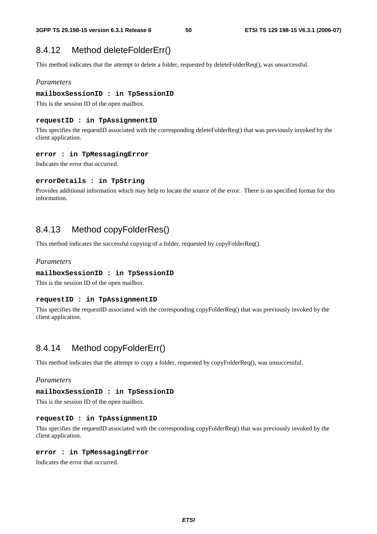## 8.4.12 Method deleteFolderErr()

This method indicates that the attempt to delete a folder, requested by deleteFolderReq(), was unsuccessful.

### *Parameters*

#### **mailboxSessionID : in TpSessionID**

This is the session ID of the open mailbox.

## **requestID : in TpAssignmentID**

This specifies the requestID associated with the corresponding deleteFolderReq() that was previously invoked by the client application.

#### **error : in TpMessagingError**

Indicates the error that occurred.

### **errorDetails : in TpString**

Provides additional information which may help to locate the source of the error. There is no specified format for this information.

## 8.4.13 Method copyFolderRes()

This method indicates the successful copying of a folder, requested by copyFolderReq().

### *Parameters*

#### **mailboxSessionID : in TpSessionID**

This is the session ID of the open mailbox.

#### **requestID : in TpAssignmentID**

This specifies the requestID associated with the corresponding copyFolderReq() that was previously invoked by the client application.

## 8.4.14 Method copyFolderErr()

This method indicates that the attempt to copy a folder, requested by copyFolderReq(), was unsuccessful.

### *Parameters*

## **mailboxSessionID : in TpSessionID**

This is the session ID of the open mailbox.

#### **requestID : in TpAssignmentID**

This specifies the requestID associated with the corresponding copyFolderReq() that was previously invoked by the client application.

#### **error : in TpMessagingError**

Indicates the error that occurred.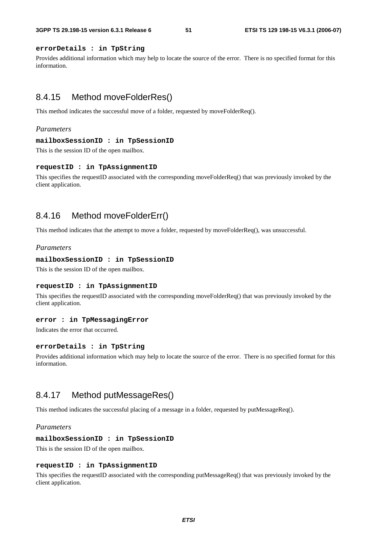## **errorDetails : in TpString**

Provides additional information which may help to locate the source of the error. There is no specified format for this information.

## 8.4.15 Method moveFolderRes()

This method indicates the successful move of a folder, requested by moveFolderReq().

### *Parameters*

#### **mailboxSessionID : in TpSessionID**

This is the session ID of the open mailbox.

#### **requestID : in TpAssignmentID**

This specifies the requestID associated with the corresponding moveFolderReq() that was previously invoked by the client application.

## 8.4.16 Method moveFolderErr()

This method indicates that the attempt to move a folder, requested by moveFolderReq(), was unsuccessful.

## *Parameters*

#### **mailboxSessionID : in TpSessionID**

This is the session ID of the open mailbox.

#### **requestID : in TpAssignmentID**

This specifies the requestID associated with the corresponding moveFolderReq() that was previously invoked by the client application.

#### **error : in TpMessagingError**

Indicates the error that occurred.

#### **errorDetails : in TpString**

Provides additional information which may help to locate the source of the error. There is no specified format for this information.

## 8.4.17 Method putMessageRes()

This method indicates the successful placing of a message in a folder, requested by putMessageReq().

#### *Parameters*

#### **mailboxSessionID : in TpSessionID**

This is the session ID of the open mailbox.

### **requestID : in TpAssignmentID**

This specifies the requestID associated with the corresponding putMessageReq() that was previously invoked by the client application.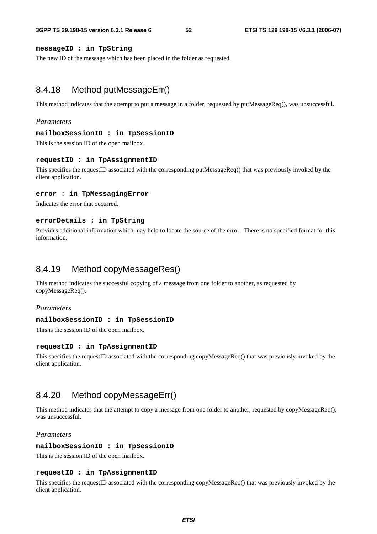### **messageID : in TpString**

The new ID of the message which has been placed in the folder as requested.

## 8.4.18 Method putMessageErr()

This method indicates that the attempt to put a message in a folder, requested by putMessageReq(), was unsuccessful.

### *Parameters*

#### **mailboxSessionID : in TpSessionID**

This is the session ID of the open mailbox.

#### **requestID : in TpAssignmentID**

This specifies the requestID associated with the corresponding putMessageReq() that was previously invoked by the client application.

#### **error : in TpMessagingError**

Indicates the error that occurred.

#### **errorDetails : in TpString**

Provides additional information which may help to locate the source of the error. There is no specified format for this information.

## 8.4.19 Method copyMessageRes()

This method indicates the successful copying of a message from one folder to another, as requested by copyMessageReq().

### *Parameters*

#### **mailboxSessionID : in TpSessionID**

This is the session ID of the open mailbox.

#### **requestID : in TpAssignmentID**

This specifies the requestID associated with the corresponding copyMessageReq() that was previously invoked by the client application.

## 8.4.20 Method copyMessageErr()

This method indicates that the attempt to copy a message from one folder to another, requested by copyMessageReq(), was unsuccessful.

## *Parameters*

#### **mailboxSessionID : in TpSessionID**

This is the session ID of the open mailbox.

### **requestID : in TpAssignmentID**

This specifies the requestID associated with the corresponding copyMessageReq() that was previously invoked by the client application.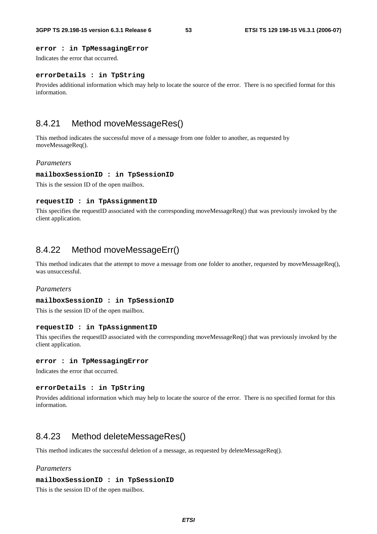### **error : in TpMessagingError**

Indicates the error that occurred.

### **errorDetails : in TpString**

Provides additional information which may help to locate the source of the error. There is no specified format for this information.

## 8.4.21 Method moveMessageRes()

This method indicates the successful move of a message from one folder to another, as requested by moveMessageReq().

## *Parameters*

#### **mailboxSessionID : in TpSessionID**

This is the session ID of the open mailbox.

#### **requestID : in TpAssignmentID**

This specifies the requestID associated with the corresponding moveMessageReq() that was previously invoked by the client application.

## 8.4.22 Method moveMessageErr()

This method indicates that the attempt to move a message from one folder to another, requested by moveMessageReq(), was unsuccessful.

### *Parameters*

#### **mailboxSessionID : in TpSessionID**

This is the session ID of the open mailbox.

#### **requestID : in TpAssignmentID**

This specifies the requestID associated with the corresponding moveMessageReq() that was previously invoked by the client application.

#### **error : in TpMessagingError**

Indicates the error that occurred.

#### **errorDetails : in TpString**

Provides additional information which may help to locate the source of the error. There is no specified format for this information.

## 8.4.23 Method deleteMessageRes()

This method indicates the successful deletion of a message, as requested by deleteMessageReq().

### *Parameters*

#### **mailboxSessionID : in TpSessionID**

This is the session ID of the open mailbox.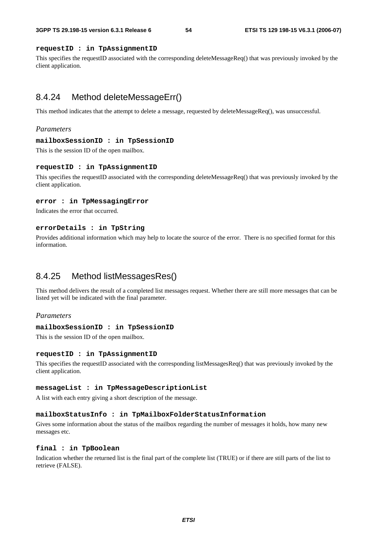### **requestID : in TpAssignmentID**

This specifies the requestID associated with the corresponding deleteMessageReq() that was previously invoked by the client application.

## 8.4.24 Method deleteMessageErr()

This method indicates that the attempt to delete a message, requested by deleteMessageReq(), was unsuccessful.

#### *Parameters*

#### **mailboxSessionID : in TpSessionID**

This is the session ID of the open mailbox.

#### **requestID : in TpAssignmentID**

This specifies the requestID associated with the corresponding deleteMessageReq() that was previously invoked by the client application.

#### **error : in TpMessagingError**

Indicates the error that occurred.

### **errorDetails : in TpString**

Provides additional information which may help to locate the source of the error. There is no specified format for this information.

## 8.4.25 Method listMessagesRes()

This method delivers the result of a completed list messages request. Whether there are still more messages that can be listed yet will be indicated with the final parameter.

## *Parameters*

#### **mailboxSessionID : in TpSessionID**

This is the session ID of the open mailbox.

#### **requestID : in TpAssignmentID**

This specifies the requestID associated with the corresponding listMessagesReq() that was previously invoked by the client application.

#### **messageList : in TpMessageDescriptionList**

A list with each entry giving a short description of the message.

#### **mailboxStatusInfo : in TpMailboxFolderStatusInformation**

Gives some information about the status of the mailbox regarding the number of messages it holds, how many new messages etc.

#### **final : in TpBoolean**

Indication whether the returned list is the final part of the complete list (TRUE) or if there are still parts of the list to retrieve (FALSE).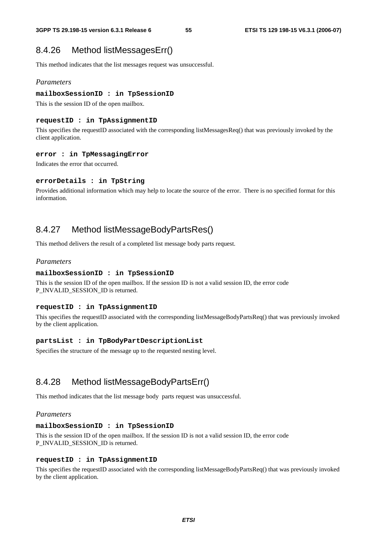## 8.4.26 Method listMessagesErr()

This method indicates that the list messages request was unsuccessful.

## *Parameters*

### **mailboxSessionID : in TpSessionID**

This is the session ID of the open mailbox.

## **requestID : in TpAssignmentID**

This specifies the requestID associated with the corresponding listMessagesReq() that was previously invoked by the client application.

## **error : in TpMessagingError**

Indicates the error that occurred.

## **errorDetails : in TpString**

Provides additional information which may help to locate the source of the error. There is no specified format for this information.

## 8.4.27 Method listMessageBodyPartsRes()

This method delivers the result of a completed list message body parts request.

## *Parameters*

## **mailboxSessionID : in TpSessionID**

This is the session ID of the open mailbox. If the session ID is not a valid session ID, the error code P\_INVALID\_SESSION\_ID is returned.

### **requestID : in TpAssignmentID**

This specifies the requestID associated with the corresponding listMessageBodyPartsReq() that was previously invoked by the client application.

## **partsList : in TpBodyPartDescriptionList**

Specifies the structure of the message up to the requested nesting level.

## 8.4.28 Method listMessageBodyPartsErr()

This method indicates that the list message body parts request was unsuccessful.

## *Parameters*

### **mailboxSessionID : in TpSessionID**

This is the session ID of the open mailbox. If the session ID is not a valid session ID, the error code P\_INVALID\_SESSION\_ID is returned.

## **requestID : in TpAssignmentID**

This specifies the requestID associated with the corresponding listMessageBodyPartsReq() that was previously invoked by the client application.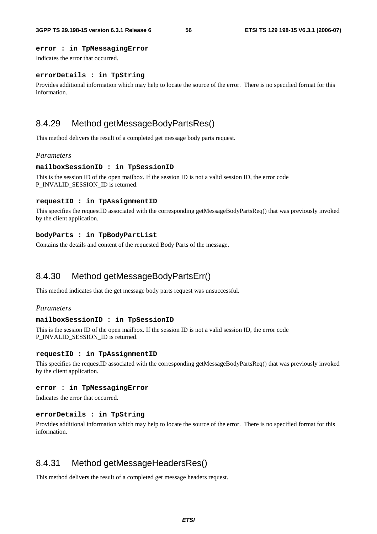### **error : in TpMessagingError**

Indicates the error that occurred.

### **errorDetails : in TpString**

Provides additional information which may help to locate the source of the error. There is no specified format for this information.

## 8.4.29 Method getMessageBodyPartsRes()

This method delivers the result of a completed get message body parts request.

#### *Parameters*

#### **mailboxSessionID : in TpSessionID**

This is the session ID of the open mailbox. If the session ID is not a valid session ID, the error code P\_INVALID\_SESSION\_ID is returned.

#### **requestID : in TpAssignmentID**

This specifies the requestID associated with the corresponding getMessageBodyPartsReq() that was previously invoked by the client application.

### **bodyParts : in TpBodyPartList**

Contains the details and content of the requested Body Parts of the message.

## 8.4.30 Method getMessageBodyPartsErr()

This method indicates that the get message body parts request was unsuccessful.

### *Parameters*

#### **mailboxSessionID : in TpSessionID**

This is the session ID of the open mailbox. If the session ID is not a valid session ID, the error code P\_INVALID\_SESSION\_ID is returned.

#### **requestID : in TpAssignmentID**

This specifies the requestID associated with the corresponding getMessageBodyPartsReq() that was previously invoked by the client application.

#### **error : in TpMessagingError**

Indicates the error that occurred.

#### **errorDetails : in TpString**

Provides additional information which may help to locate the source of the error. There is no specified format for this information.

## 8.4.31 Method getMessageHeadersRes()

This method delivers the result of a completed get message headers request.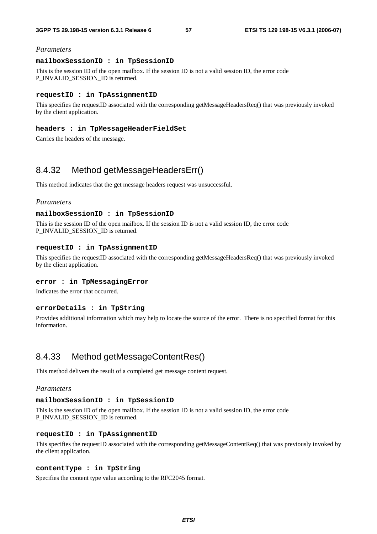#### *Parameters*

#### **mailboxSessionID : in TpSessionID**

This is the session ID of the open mailbox. If the session ID is not a valid session ID, the error code P\_INVALID\_SESSION\_ID is returned.

#### **requestID : in TpAssignmentID**

This specifies the requestID associated with the corresponding getMessageHeadersReq() that was previously invoked by the client application.

#### **headers : in TpMessageHeaderFieldSet**

Carries the headers of the message.

## 8.4.32 Method getMessageHeadersErr()

This method indicates that the get message headers request was unsuccessful.

#### *Parameters*

### **mailboxSessionID : in TpSessionID**

This is the session ID of the open mailbox. If the session ID is not a valid session ID, the error code P\_INVALID\_SESSION\_ID is returned.

## **requestID : in TpAssignmentID**

This specifies the requestID associated with the corresponding getMessageHeadersReq() that was previously invoked by the client application.

## **error : in TpMessagingError**

Indicates the error that occurred.

#### **errorDetails : in TpString**

Provides additional information which may help to locate the source of the error. There is no specified format for this information.

## 8.4.33 Method getMessageContentRes()

This method delivers the result of a completed get message content request.

## *Parameters*

### **mailboxSessionID : in TpSessionID**

This is the session ID of the open mailbox. If the session ID is not a valid session ID, the error code P\_INVALID\_SESSION\_ID is returned.

## **requestID : in TpAssignmentID**

This specifies the requestID associated with the corresponding getMessageContentReq() that was previously invoked by the client application.

## **contentType : in TpString**

Specifies the content type value according to the RFC2045 format.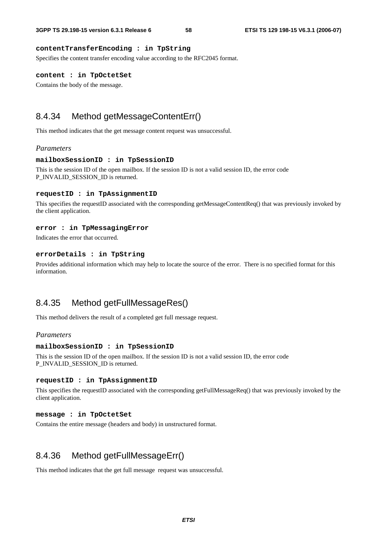## **contentTransferEncoding : in TpString**

Specifies the content transfer encoding value according to the RFC2045 format.

### **content : in TpOctetSet**

Contains the body of the message.

## 8.4.34 Method getMessageContentErr()

This method indicates that the get message content request was unsuccessful.

#### *Parameters*

#### **mailboxSessionID : in TpSessionID**

This is the session ID of the open mailbox. If the session ID is not a valid session ID, the error code P\_INVALID\_SESSION\_ID is returned.

#### **requestID : in TpAssignmentID**

This specifies the requestID associated with the corresponding getMessageContentReq() that was previously invoked by the client application.

#### **error : in TpMessagingError**

Indicates the error that occurred.

### **errorDetails : in TpString**

Provides additional information which may help to locate the source of the error. There is no specified format for this information.

## 8.4.35 Method getFullMessageRes()

This method delivers the result of a completed get full message request.

### *Parameters*

#### **mailboxSessionID : in TpSessionID**

This is the session ID of the open mailbox. If the session ID is not a valid session ID, the error code P\_INVALID\_SESSION\_ID is returned.

#### **requestID : in TpAssignmentID**

This specifies the requestID associated with the corresponding getFullMessageReq() that was previously invoked by the client application.

#### **message : in TpOctetSet**

Contains the entire message (headers and body) in unstructured format.

## 8.4.36 Method getFullMessageErr()

This method indicates that the get full message request was unsuccessful.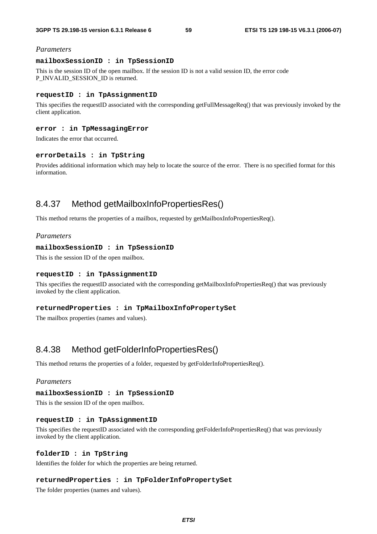#### *Parameters*

### **mailboxSessionID : in TpSessionID**

This is the session ID of the open mailbox. If the session ID is not a valid session ID, the error code P\_INVALID\_SESSION\_ID is returned.

#### **requestID : in TpAssignmentID**

This specifies the requestID associated with the corresponding getFullMessageReq() that was previously invoked by the client application.

### **error : in TpMessagingError**

Indicates the error that occurred.

### **errorDetails : in TpString**

Provides additional information which may help to locate the source of the error. There is no specified format for this information.

## 8.4.37 Method getMailboxInfoPropertiesRes()

This method returns the properties of a mailbox, requested by getMailboxInfoPropertiesReq().

## *Parameters*

#### **mailboxSessionID : in TpSessionID**

This is the session ID of the open mailbox.

#### **requestID : in TpAssignmentID**

This specifies the requestID associated with the corresponding getMailboxInfoPropertiesReq() that was previously invoked by the client application.

### **returnedProperties : in TpMailboxInfoPropertySet**

The mailbox properties (names and values).

## 8.4.38 Method getFolderInfoPropertiesRes()

This method returns the properties of a folder, requested by getFolderInfoPropertiesReq().

### *Parameters*

#### **mailboxSessionID : in TpSessionID**

This is the session ID of the open mailbox.

#### **requestID : in TpAssignmentID**

This specifies the requestID associated with the corresponding getFolderInfoPropertiesReq() that was previously invoked by the client application.

#### **folderID : in TpString**

Identifies the folder for which the properties are being returned.

#### **returnedProperties : in TpFolderInfoPropertySet**

The folder properties (names and values).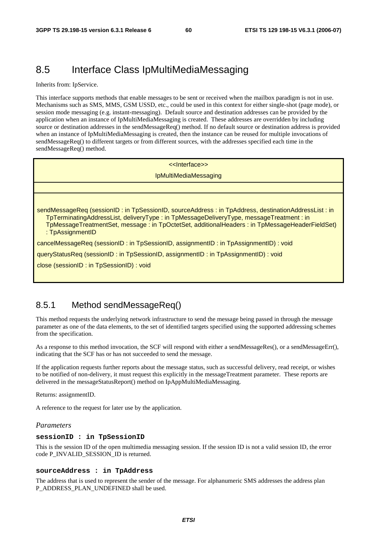# 8.5 Interface Class IpMultiMediaMessaging

Inherits from: IpService.

This interface supports methods that enable messages to be sent or received when the mailbox paradigm is not in use. Mechanisms such as SMS, MMS, GSM USSD, etc., could be used in this context for either single-shot (page mode), or session mode messaging (e.g. instant-messaging). Default source and destination addresses can be provided by the application when an instance of IpMultiMediaMessaging is created. These addresses are overridden by including source or destination addresses in the sendMessageReq() method. If no default source or destination address is provided when an instance of IpMultiMediaMessaging is created, then the instance can be reused for multiple invocations of sendMessageReq() to different targets or from different sources, with the addresses specified each time in the sendMessageReq() method.

## <<Interface>>

#### IpMultiMediaMessaging

sendMessageReq (sessionID : in TpSessionID, sourceAddress : in TpAddress, destinationAddressList : in TpTerminatingAddressList, deliveryType : in TpMessageDeliveryType, messageTreatment : in TpMessageTreatmentSet, message : in TpOctetSet, additionalHeaders : in TpMessageHeaderFieldSet)

: TpAssignmentID

cancelMessageReq (sessionID : in TpSessionID, assignmentID : in TpAssignmentID) : void

queryStatusReq (sessionID : in TpSessionID, assignmentID : in TpAssignmentID) : void

close (sessionID : in TpSessionID) : void

## 8.5.1 Method sendMessageReq()

This method requests the underlying network infrastructure to send the message being passed in through the message parameter as one of the data elements, to the set of identified targets specified using the supported addressing schemes from the specification.

As a response to this method invocation, the SCF will respond with either a sendMessageRes(), or a sendMessageErr(), indicating that the SCF has or has not succeeded to send the message.

If the application requests further reports about the message status, such as successful delivery, read receipt, or wishes to be notified of non-delivery, it must request this explicitly in the messageTreatment parameter. These reports are delivered in the messageStatusReport() method on IpAppMultiMediaMessaging.

Returns: assignmentID.

A reference to the request for later use by the application.

#### *Parameters*

#### **sessionID : in TpSessionID**

This is the session ID of the open multimedia messaging session. If the session ID is not a valid session ID, the error code P\_INVALID\_SESSION\_ID is returned.

#### **sourceAddress : in TpAddress**

The address that is used to represent the sender of the message. For alphanumeric SMS addresses the address plan P\_ADDRESS\_PLAN\_UNDEFINED shall be used.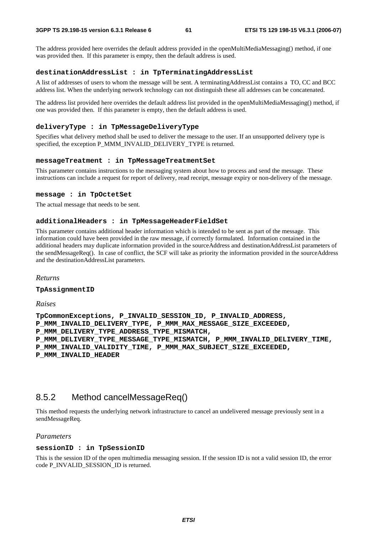The address provided here overrides the default address provided in the openMultiMediaMessaging() method, if one was provided then. If this parameter is empty, then the default address is used.

#### **destinationAddressList : in TpTerminatingAddressList**

A list of addresses of users to whom the message will be sent. A terminatingAddressList contains a TO, CC and BCC address list. When the underlying network technology can not distinguish these all addresses can be concatenated.

The address list provided here overrides the default address list provided in the openMultiMediaMessaging() method, if one was provided then. If this parameter is empty, then the default address is used.

#### **deliveryType : in TpMessageDeliveryType**

Specifies what delivery method shall be used to deliver the message to the user. If an unsupported delivery type is specified, the exception P\_MMM\_INVALID\_DELIVERY\_TYPE is returned.

#### **messageTreatment : in TpMessageTreatmentSet**

This parameter contains instructions to the messaging system about how to process and send the message. These instructions can include a request for report of delivery, read receipt, message expiry or non-delivery of the message.

#### **message : in TpOctetSet**

The actual message that needs to be sent.

### **additionalHeaders : in TpMessageHeaderFieldSet**

This parameter contains additional header information which is intended to be sent as part of the message. This information could have been provided in the raw message, if correctly formulated. Information contained in the additional headers may duplicate information provided in the sourceAddress and destinationAddressList parameters of the sendMessageReq(). In case of conflict, the SCF will take as priority the information provided in the sourceAddress and the destinationAddressList parameters.

*Returns* 

#### **TpAssignmentID**

*Raises* 

**TpCommonExceptions, P\_INVALID\_SESSION\_ID, P\_INVALID\_ADDRESS, P\_MMM\_INVALID\_DELIVERY\_TYPE, P\_MMM\_MAX\_MESSAGE\_SIZE\_EXCEEDED, P\_MMM\_DELIVERY\_TYPE\_ADDRESS\_TYPE\_MISMATCH, P\_MMM\_DELIVERY\_TYPE\_MESSAGE\_TYPE\_MISMATCH, P\_MMM\_INVALID\_DELIVERY\_TIME, P\_MMM\_INVALID\_VALIDITY\_TIME, P\_MMM\_MAX\_SUBJECT\_SIZE\_EXCEEDED, P\_MMM\_INVALID\_HEADER** 

## 8.5.2 Method cancelMessageReq()

This method requests the underlying network infrastructure to cancel an undelivered message previously sent in a sendMessageReq.

#### *Parameters*

#### **sessionID : in TpSessionID**

This is the session ID of the open multimedia messaging session. If the session ID is not a valid session ID, the error code P\_INVALID\_SESSION\_ID is returned.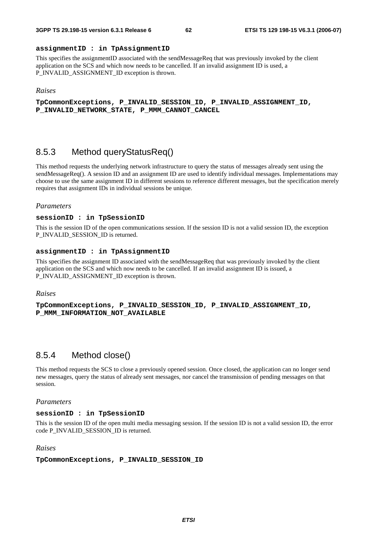### **assignmentID : in TpAssignmentID**

This specifies the assignmentID associated with the sendMessageReq that was previously invoked by the client application on the SCS and which now needs to be cancelled. If an invalid assignment ID is used, a P\_INVALID\_ASSIGNMENT\_ID exception is thrown.

#### *Raises*

**TpCommonExceptions, P\_INVALID\_SESSION\_ID, P\_INVALID\_ASSIGNMENT\_ID, P\_INVALID\_NETWORK\_STATE, P\_MMM\_CANNOT\_CANCEL** 

## 8.5.3 Method queryStatusReq()

This method requests the underlying network infrastructure to query the status of messages already sent using the sendMessageReq(). A session ID and an assignment ID are used to identify individual messages. Implementations may choose to use the same assignment ID in different sessions to reference different messages, but the specification merely requires that assignment IDs in individual sessions be unique.

#### *Parameters*

#### **sessionID : in TpSessionID**

This is the session ID of the open communications session. If the session ID is not a valid session ID, the exception P\_INVALID\_SESSION\_ID is returned.

#### **assignmentID : in TpAssignmentID**

This specifies the assignment ID associated with the sendMessageReq that was previously invoked by the client application on the SCS and which now needs to be cancelled. If an invalid assignment ID is issued, a P\_INVALID\_ASSIGNMENT\_ID exception is thrown.

#### *Raises*

**TpCommonExceptions, P\_INVALID\_SESSION\_ID, P\_INVALID\_ASSIGNMENT\_ID, P\_MMM\_INFORMATION\_NOT\_AVAILABLE** 

## 8.5.4 Method close()

This method requests the SCS to close a previously opened session. Once closed, the application can no longer send new messages, query the status of already sent messages, nor cancel the transmission of pending messages on that session.

### *Parameters*

### **sessionID : in TpSessionID**

This is the session ID of the open multi media messaging session. If the session ID is not a valid session ID, the error code P\_INVALID\_SESSION\_ID is returned.

#### *Raises*

#### **TpCommonExceptions, P\_INVALID\_SESSION\_ID**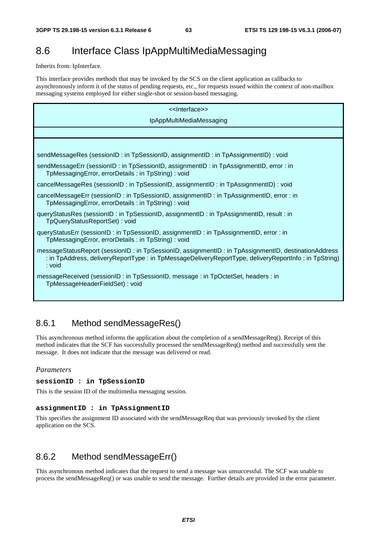# 8.6 Interface Class IpAppMultiMediaMessaging

Inherits from: IpInterface.

This interface provides methods that may be invoked by the SCS on the client application as callbacks to asynchronously inform it of the status of pending requests, etc., for requests issued within the context of non-mailbox messaging systems employed for either single-shot or session-based messaging.

| < <lnterface>&gt;</lnterface>                                                                                                                                                                                           |  |  |  |
|-------------------------------------------------------------------------------------------------------------------------------------------------------------------------------------------------------------------------|--|--|--|
| IpAppMultiMediaMessaging                                                                                                                                                                                                |  |  |  |
|                                                                                                                                                                                                                         |  |  |  |
|                                                                                                                                                                                                                         |  |  |  |
| sendMessageRes (sessionID: in TpSessionID, assignmentID: in TpAssignmentID): void                                                                                                                                       |  |  |  |
| sendMessageErr (sessionID: in TpSessionID, assignmentID: in TpAssignmentID, error: in<br>TpMessagingError, errorDetails: in TpString): void                                                                             |  |  |  |
| cancelMessageRes (sessionID : in TpSessionID, assignmentID : in TpAssignmentID) : void                                                                                                                                  |  |  |  |
| cancelMessageErr (sessionID: in TpSessionID, assignmentID: in TpAssignmentID, error: in<br>TpMessagingError, errorDetails: in TpString): void                                                                           |  |  |  |
| queryStatusRes (sessionID: in TpSessionID, assignmentID: in TpAssignmentID, result: in<br>TpQueryStatusReportSet): void                                                                                                 |  |  |  |
| queryStatusErr (sessionID: in TpSessionID, assignmentID: in TpAssignmentID, error: in<br>TpMessagingError, errorDetails: in TpString): void                                                                             |  |  |  |
| messageStatusReport (sessionID: in TpSessionID, assignmentID: in TpAssignmentID, destinationAddress<br>: in TpAddress, deliveryReportType : in TpMessageDeliveryReportType, deliveryReportInfo : in TpString)<br>∶ void |  |  |  |
| messageReceived (sessionID: in TpSessionID, message: in TpOctetSet, headers: in<br>TpMessageHeaderFieldSet): void                                                                                                       |  |  |  |

## 8.6.1 Method sendMessageRes()

This asynchronous method informs the application about the completion of a sendMessageReq(). Receipt of this method indicates that the SCF has successfully processed the sendMessageReq() method and successfully sent the message. It does not indicate that the message was delivered or read.

## *Parameters*

### **sessionID : in TpSessionID**

This is the session ID of the multimedia messaging session.

### **assignmentID : in TpAssignmentID**

This specifies the assignment ID associated with the sendMessageReq that was previously invoked by the client application on the SCS.

## 8.6.2 Method sendMessageErr()

This asynchronous method indicates that the request to send a message was unsuccessful. The SCF was unable to process the sendMessageReq() or was unable to send the message. Further details are provided in the error parameter.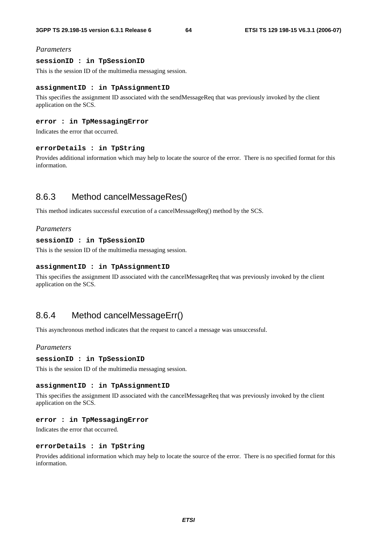## *Parameters*

#### **sessionID : in TpSessionID**

This is the session ID of the multimedia messaging session.

### **assignmentID : in TpAssignmentID**

This specifies the assignment ID associated with the sendMessageReq that was previously invoked by the client application on the SCS.

### **error : in TpMessagingError**

Indicates the error that occurred.

#### **errorDetails : in TpString**

Provides additional information which may help to locate the source of the error. There is no specified format for this information.

# 8.6.3 Method cancelMessageRes()

This method indicates successful execution of a cancelMessageReq() method by the SCS.

#### *Parameters*

### **sessionID : in TpSessionID**

This is the session ID of the multimedia messaging session.

#### **assignmentID : in TpAssignmentID**

This specifies the assignment ID associated with the cancelMessageReq that was previously invoked by the client application on the SCS.

## 8.6.4 Method cancelMessageErr()

This asynchronous method indicates that the request to cancel a message was unsuccessful.

## *Parameters*

#### **sessionID : in TpSessionID**

This is the session ID of the multimedia messaging session.

#### **assignmentID : in TpAssignmentID**

This specifies the assignment ID associated with the cancelMessageReq that was previously invoked by the client application on the SCS.

### **error : in TpMessagingError**

Indicates the error that occurred.

#### **errorDetails : in TpString**

Provides additional information which may help to locate the source of the error. There is no specified format for this information.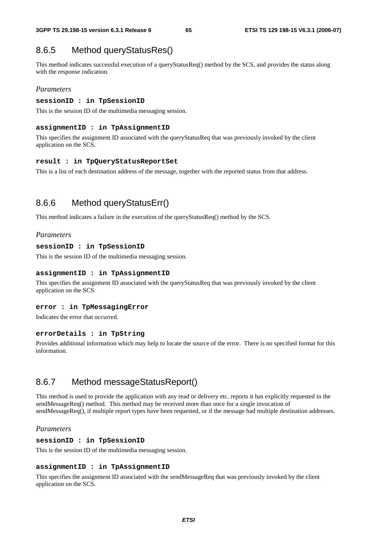## 8.6.5 Method queryStatusRes()

This method indicates successful execution of a queryStatusReq() method by the SCS, and provides the status along with the response indication.

## *Parameters*

### **sessionID : in TpSessionID**

This is the session ID of the multimedia messaging session.

#### **assignmentID : in TpAssignmentID**

This specifies the assignment ID associated with the queryStatusReq that was previously invoked by the client application on the SCS.

#### **result : in TpQueryStatusReportSet**

This is a list of each destination address of the message, together with the reported status from that address.

## 8.6.6 Method queryStatusErr()

This method indicates a failure in the execution of the queryStatusReq() method by the SCS.

#### *Parameters*

#### **sessionID : in TpSessionID**

This is the session ID of the multimedia messaging session.

#### **assignmentID : in TpAssignmentID**

This specifies the assignment ID associated with the queryStatusReq that was previously invoked by the client application on the SCS.

#### **error : in TpMessagingError**

Indicates the error that occurred.

### **errorDetails : in TpString**

Provides additional information which may help to locate the source of the error. There is no specified format for this information.

## 8.6.7 Method messageStatusReport()

This method is used to provide the application with any read or delivery etc. reports it has explicitly requested in the sendMessageReq() method. This method may be received more than once for a single invocation of sendMessageReq(), if multiple report types have been requested, or if the message had multiple destination addresses.

#### *Parameters*

#### **sessionID : in TpSessionID**

This is the session ID of the multimedia messaging session.

#### **assignmentID : in TpAssignmentID**

This specifies the assignment ID associated with the sendMessageReq that was previously invoked by the client application on the SCS.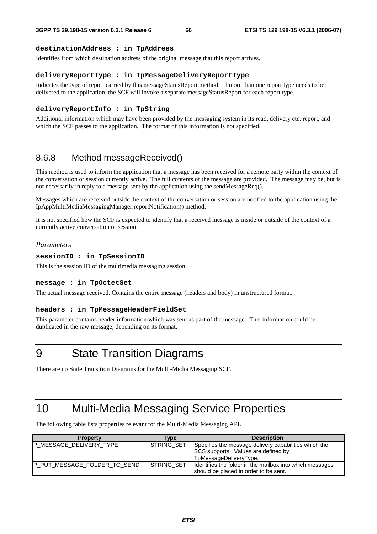#### **destinationAddress : in TpAddress**

Identifies from which destination address of the original message that this report arrives.

#### **deliveryReportType : in TpMessageDeliveryReportType**

Indicates the type of report carried by this messageStatusReport method. If more than one report type needs to be delivered to the application, the SCF will invoke a separate messageStatusReport for each report type.

#### **deliveryReportInfo : in TpString**

Additional information which may have been provided by the messaging system in its read, delivery etc. report, and which the SCF passes to the application. The format of this information is not specified.

## 8.6.8 Method messageReceived()

This method is used to inform the application that a message has been received for a remote party within the context of the conversation or session currently active. The full contents of the message are provided. The message may be, but is not necessarily in reply to a message sent by the application using the sendMessageReq().

Messages which are received outside the context of the conversation or session are notified to the application using the IpAppMultiMediaMessagingManager.reportNotification() method.

It is not specified how the SCF is expected to identify that a received message is inside or outside of the context of a currently active conversation or session.

#### *Parameters*

#### **sessionID : in TpSessionID**

This is the session ID of the multimedia messaging session.

#### **message : in TpOctetSet**

The actual message received. Contains the entire message (headers and body) in unstructured format.

#### **headers : in TpMessageHeaderFieldSet**

This parameter contains header information which was sent as part of the message. This information could be duplicated in the raw message, depending on its format.

9 State Transition Diagrams

There are no State Transition Diagrams for the Multi-Media Messaging SCF.

# 10 Multi-Media Messaging Service Properties

The following table lists properties relevant for the Multi-Media Messaging API.

| <b>Property</b>              | <b>Type</b>       | <b>Description</b>                                                                                                            |
|------------------------------|-------------------|-------------------------------------------------------------------------------------------------------------------------------|
| P MESSAGE DELIVERY TYPE      | <b>STRING SET</b> | Specifies the message delivery capabilities which the<br><b>SCS</b> supports. Values are defined by<br>TpMessageDeliveryType. |
| P PUT MESSAGE FOLDER TO SEND | STRING_SET        | Identifies the folder in the mailbox into which messages<br>should be placed in order to be sent.                             |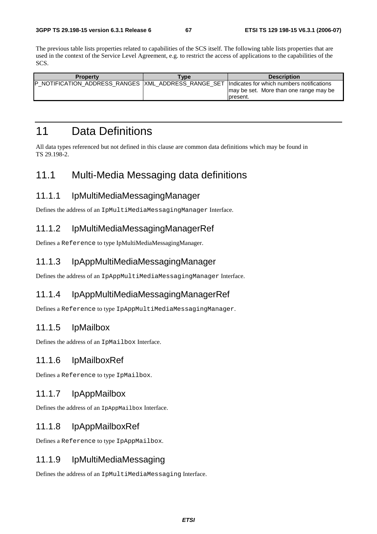The previous table lists properties related to capabilities of the SCS itself. The following table lists properties that are used in the context of the Service Level Agreement, e.g. to restrict the access of applications to the capabilities of the SCS.

| Propertv | <b>Type</b> | <b>Description</b>                                                                                                                                     |
|----------|-------------|--------------------------------------------------------------------------------------------------------------------------------------------------------|
|          |             | NOTIFICATION_ADDRESS_RANGES  XML_ADDRESS_RANGE_SET  Indicates for which numbers notifications<br>I may be set. More than one range may be<br>Ipresent. |

# 11 Data Definitions

All data types referenced but not defined in this clause are common data definitions which may be found in TS 29.198-2.

# 11.1 Multi-Media Messaging data definitions

## 11.1.1 IpMultiMediaMessagingManager

Defines the address of an IpMultiMediaMessagingManager Interface.

## 11.1.2 IpMultiMediaMessagingManagerRef

Defines a Reference to type IpMultiMediaMessagingManager.

## 11.1.3 IpAppMultiMediaMessagingManager

Defines the address of an IpAppMultiMediaMessagingManager Interface.

## 11.1.4 IpAppMultiMediaMessagingManagerRef

Defines a Reference to type IpAppMultiMediaMessagingManager.

## 11.1.5 IpMailbox

Defines the address of an IpMailbox Interface.

## 11.1.6 IpMailboxRef

Defines a Reference to type IpMailbox.

## 11.1.7 IpAppMailbox

Defines the address of an IpAppMailbox Interface.

## 11.1.8 IpAppMailboxRef

Defines a Reference to type IpAppMailbox.

## 11.1.9 IpMultiMediaMessaging

Defines the address of an IpMultiMediaMessaging Interface.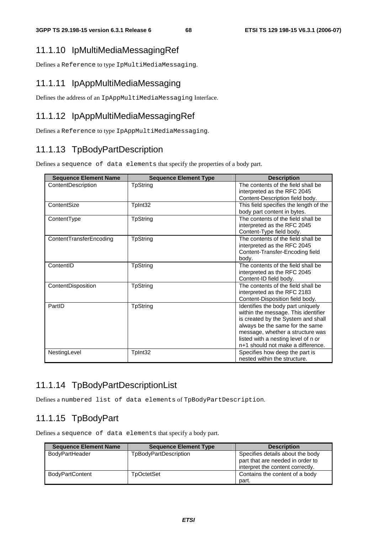## 11.1.10 IpMultiMediaMessagingRef

Defines a Reference to type IpMultiMediaMessaging.

## 11.1.11 IpAppMultiMediaMessaging

Defines the address of an IpAppMultiMediaMessaging Interface.

## 11.1.12 IpAppMultiMediaMessagingRef

Defines a Reference to type IpAppMultiMediaMessaging.

# 11.1.13 TpBodyPartDescription

Defines a sequence of data elements that specify the properties of a body part.

| <b>Sequence Element Name</b> | <b>Sequence Element Type</b> | <b>Description</b>                                                                                                                                                                                                                                                |
|------------------------------|------------------------------|-------------------------------------------------------------------------------------------------------------------------------------------------------------------------------------------------------------------------------------------------------------------|
| ContentDescription           | <b>TpString</b>              | The contents of the field shall be<br>interpreted as the RFC 2045<br>Content-Description field body.                                                                                                                                                              |
| ContentSize                  | Tplnt32                      | This field specifies the length of the<br>body part content in bytes.                                                                                                                                                                                             |
| ContentType                  | <b>TpString</b>              | The contents of the field shall be<br>interpreted as the RFC 2045<br>Content-Type field body.                                                                                                                                                                     |
| ContentTransferEncoding      | <b>TpString</b>              | The contents of the field shall be<br>interpreted as the RFC 2045<br>Content-Transfer-Encoding field<br>body.                                                                                                                                                     |
| ContentID                    | TpString                     | The contents of the field shall be<br>interpreted as the RFC 2045<br>Content-ID field body.                                                                                                                                                                       |
| ContentDisposition           | <b>TpString</b>              | The contents of the field shall be<br>interpreted as the RFC 2183<br>Content-Disposition field body.                                                                                                                                                              |
| PartID                       | <b>TpString</b>              | Identifies the body part uniquely<br>within the message. This identifier<br>is created by the System and shall<br>always be the same for the same<br>message, whether a structure was<br>listed with a nesting level of n or<br>n+1 should not make a difference. |
| NestingLevel                 | TpInt32                      | Specifies how deep the part is<br>nested within the structure.                                                                                                                                                                                                    |

## 11.1.14 TpBodyPartDescriptionList

Defines a numbered list of data elements of TpBodyPartDescription.

## 11.1.15 TpBodyPart

Defines a sequence of data elements that specify a body part.

| <b>Sequence Element Name</b> | <b>Sequence Element Type</b> | <b>Description</b>                                                                                       |
|------------------------------|------------------------------|----------------------------------------------------------------------------------------------------------|
| <b>BodyPartHeader</b>        | TpBodyPartDescription        | Specifies details about the body<br>part that are needed in order to<br>interpret the content correctly. |
| BodyPartContent              | TpOctetSet                   | Contains the content of a body<br>part.                                                                  |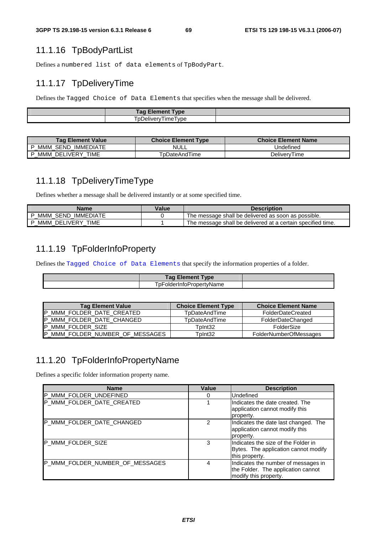# 11.1.16 TpBodyPartList

Defines a numbered list of data elements of TpBodyPart.

## 11.1.17 TpDeliveryTime

Defines the Tagged Choice of Data Elements that specifies when the message shall be delivered.

| <b>Tag Element</b><br><b>Type</b> |  |
|-----------------------------------|--|
| ' vne<br>ہی دینا کا<br>ግ⊢<br>     |  |

| Taq Element Value              | <b>Choice Element Type</b> | <b>Choice Element Name</b> |
|--------------------------------|----------------------------|----------------------------|
| IMMEDIATE<br>SEND<br>MMM       | <b>NULL</b>                | Undefined                  |
| TIME<br><b>DELIVERY</b><br>ммм | TpDateAndTime              | DelivervTime               |

# 11.1.18 TpDeliveryTimeType

Defines whether a message shall be delivered instantly or at some specified time.

| Name                           | Value | <b>Description</b>                                          |
|--------------------------------|-------|-------------------------------------------------------------|
| SEND<br>IMMEDIATE<br>MMM       |       | The message shall be delivered as soon as possible.         |
| TIME<br>DELIVERY<br>ммм<br>ID. |       | The message shall be delivered at a certain specified time. |

# 11.1.19 TpFolderInfoProperty

Defines the Tagged Choice of Data Elements that specify the information properties of a folder.

| Гам<br><b>Vpe</b> |  |
|-------------------|--|
| nı<br>זור<br>ame  |  |

| <b>Tag Element Value</b>        | <b>Choice Element Type</b> | <b>Choice Element Name</b>    |
|---------------------------------|----------------------------|-------------------------------|
| P_MMM_FOLDER_DATE_CREATED       | <b>T</b> pDateAndTime      | <b>FolderDateCreated</b>      |
| P_MMM_FOLDER_DATE_CHANGED       | TpDateAndTime              | FolderDateChanged             |
| IP MMM FOLDER SIZE              | TpInt32                    | FolderSize                    |
| P MMM FOLDER NUMBER OF MESSAGES | TpInt32                    | <b>FolderNumberOfMessages</b> |

# 11.1.20 TpFolderInfoPropertyName

Defines a specific folder information property name.

| <b>Name</b>                     | Value         | <b>Description</b>                                                                                 |
|---------------------------------|---------------|----------------------------------------------------------------------------------------------------|
| P_MMM_FOLDER_UNDEFINED          | 0             | Undefined                                                                                          |
| P_MMM_FOLDER_DATE_CREATED       |               | IIndicates the date created. The<br>application cannot modify this<br>property.                    |
| P_MMM_FOLDER_DATE_CHANGED       | $\mathcal{P}$ | Indicates the date last changed. The<br>application cannot modify this<br>property.                |
| P MMM FOLDER SIZE               | 3             | Indicates the size of the Folder in<br>Bytes. The application cannot modify<br>this property.      |
| P MMM FOLDER NUMBER OF MESSAGES | 4             | Indicates the number of messages in<br>the Folder. The application cannot<br>modify this property. |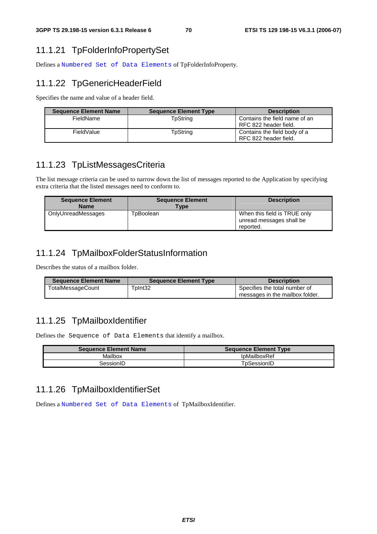# 11.1.21 TpFolderInfoPropertySet

Defines a Numbered Set of Data Elements of TpFolderInfoProperty.

# 11.1.22 TpGenericHeaderField

Specifies the name and value of a header field.

| <b>Sequence Element Name</b> | <b>Sequence Element Type</b> | <b>Description</b>                                     |
|------------------------------|------------------------------|--------------------------------------------------------|
| FieldName                    | TpString                     | Contains the field name of an<br>RFC 822 header field. |
| FieldValue                   | TpString                     | Contains the field body of a<br>RFC 822 header field.  |

## 11.1.23 TpListMessagesCriteria

The list message criteria can be used to narrow down the list of messages reported to the Application by specifying extra criteria that the listed messages need to conform to.

| <b>Sequence Element</b><br><b>Name</b> | <b>Sequence Element</b><br>$T$ <sub>VDe</sub> | <b>Description</b>                                                    |
|----------------------------------------|-----------------------------------------------|-----------------------------------------------------------------------|
| OnlyUnreadMessages                     | TpBoolean                                     | When this field is TRUE only<br>unread messages shall be<br>reported. |

## 11.1.24 TpMailboxFolderStatusInformation

Describes the status of a mailbox folder.

| <b>Sequence Element Name</b> | <b>Sequence Element Type</b> | <b>Description</b>              |
|------------------------------|------------------------------|---------------------------------|
| TotalMessageCount            | TpInt32                      | Specifies the total number of   |
|                              |                              | messages in the mailbox folder. |

## 11.1.25 TpMailboxIdentifier

Defines the Sequence of Data Elements that identify a mailbox.

| <b>Sequence Element Name</b> | <b>Sequence Element Type</b> |
|------------------------------|------------------------------|
| Mailbox                      | IpMailboxRef                 |
| SessionID                    | TpSessionID                  |

## 11.1.26 TpMailboxIdentifierSet

Defines a Numbered Set of Data Elements of TpMailboxIdentifier.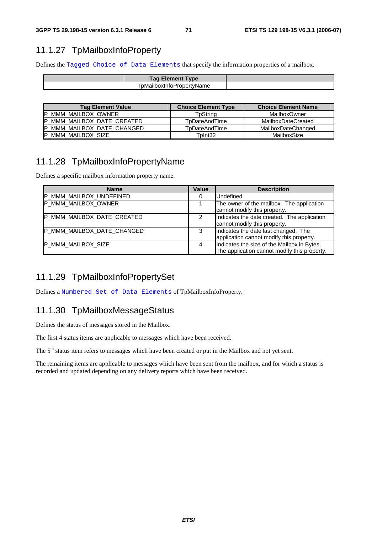## 11.1.27 TpMailboxInfoProperty

Defines the Tagged Choice of Data Elements that specify the information properties of a mailbox.

| <b>Element Type</b><br>Tag      |  |
|---------------------------------|--|
| l pMailboxInto<br>oPropertvName |  |

| <b>Tag Element Value</b>    | <b>Choice Element Type</b> | <b>Choice Element Name</b> |
|-----------------------------|----------------------------|----------------------------|
| <b>IP MMM MAILBOX OWNER</b> | TpString                   | <b>MailboxOwner</b>        |
| P_MMM_MAILBOX_DATE_CREATED  | TpDateAndTime              | MailboxDateCreated         |
| IP MMM MAILBOX DATE CHANGED | TpDateAndTime              | MailboxDateChanged         |
| <b>P MMM MAILBOX SIZE</b>   | TpInt32                    | MailboxSize                |

## 11.1.28 TpMailboxInfoPropertyName

Defines a specific mailbox information property name.

| <b>Name</b>                | Value | <b>Description</b>                                                                          |
|----------------------------|-------|---------------------------------------------------------------------------------------------|
| P_MMM_MAILBOX_UNDEFINED    | 0     | Undefined.                                                                                  |
| P_MMM_MAILBOX_OWNER        |       | The owner of the mailbox. The application<br>cannot modify this property.                   |
| P_MMM_MAILBOX_DATE_CREATED | 2     | Indicates the date created. The application<br>cannot modify this property.                 |
| P_MMM_MAILBOX_DATE_CHANGED | З     | Indicates the date last changed. The<br>application cannot modify this property.            |
| <b>IP MMM MAILBOX SIZE</b> | 4     | Indicates the size of the Mailbox in Bytes.<br>The application cannot modify this property. |

## 11.1.29 TpMailboxInfoPropertySet

Defines a Numbered Set of Data Elements of TpMailboxInfoProperty.

## 11.1.30 TpMailboxMessageStatus

Defines the status of messages stored in the Mailbox.

The first 4 status items are applicable to messages which have been received.

The 5<sup>th</sup> status item refers to messages which have been created or put in the Mailbox and not yet sent.

The remaining items are applicable to messages which have been sent from the mailbox, and for which a status is recorded and updated depending on any delivery reports which have been received.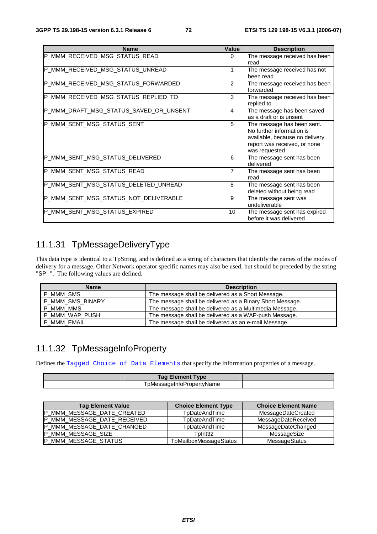| <b>Name</b>                            | <b>Value</b>   | <b>Description</b>                                                                                                                         |
|----------------------------------------|----------------|--------------------------------------------------------------------------------------------------------------------------------------------|
| P_MMM_RECEIVED_MSG_STATUS_READ         | $\Omega$       | The message received has been<br>read                                                                                                      |
| P MMM RECEIVED MSG STATUS UNREAD       | 1              | The message received has not<br>been read                                                                                                  |
| P_MMM_RECEIVED_MSG_STATUS_FORWARDED    | 2              | The message received has been<br>forwarded                                                                                                 |
| P_MMM_RECEIVED_MSG_STATUS_REPLIED_TO   | 3              | The message received has been<br>replied to                                                                                                |
| P_MMM_DRAFT_MSG_STATUS_SAVED_OR_UNSENT | 4              | The message has been saved<br>as a draft or is unsent                                                                                      |
| P_MMM_SENT_MSG_STATUS_SENT             | 5              | The message has been sent.<br>No further information is<br>available, because no delivery<br>report was received, or none<br>was requested |
| P_MMM_SENT_MSG_STATUS_DELIVERED        | 6              | The message sent has been<br>delivered                                                                                                     |
| P_MMM_SENT_MSG_STATUS_READ             | $\overline{7}$ | The message sent has been<br>read                                                                                                          |
| P_MMM_SENT_MSG_STATUS_DELETED_UNREAD   | 8              | The message sent has been<br>deleted without being read                                                                                    |
| P_MMM_SENT_MSG_STATUS_NOT_DELIVERABLE  | 9              | The message sent was<br>undeliverable                                                                                                      |
| P_MMM_SENT_MSG_STATUS_EXPIRED          | 10             | The message sent has expired<br>before it was delivered                                                                                    |

### 11.1.31 TpMessageDeliveryType

This data type is identical to a TpString, and is defined as a string of characters that identify the names of the modes of delivery for a message. Other Network operator specific names may also be used, but should be preceded by the string "SP\_". The following values are defined.

| <b>Name</b>    | <b>Description</b>                                        |
|----------------|-----------------------------------------------------------|
| MMM_SMS        | The message shall be delivered as a Short Message.        |
| MMM SMS BINARY | The message shall be delivered as a Binary Short Message. |
| MMM MMS        | The message shall be delivered as a Multimedia Message.   |
| _MMM_WAP_PUSH  | The message shall be delivered as a WAP-push Message.     |
| MMM EMAIL      | The message shall be delivered as an e-mail Message.      |

#### 11.1.32 TpMessageInfoProperty

Defines the Tagged Choice of Data Elements that specify the information properties of a message.

| <b>Tag Element Type</b>   |  |
|---------------------------|--|
| TpMessageInfoPropertvName |  |

| <b>Tag Element Value</b>    | <b>Choice Element Type</b> | <b>Choice Element Name</b> |
|-----------------------------|----------------------------|----------------------------|
| P MMM MESSAGE DATE CREATED  | TpDateAndTime              | MessageDateCreated         |
| P_MMM_MESSAGE_DATE_RECEIVED | <b>T</b> pDateAndTime      | MessageDateReceived        |
| P_MMM_MESSAGE_DATE_CHANGED  | TpDateAndTime              | MessageDateChanged         |
| <b>P MMM MESSAGE SIZE</b>   | TpInt32                    | MessageSize                |
| P_MMM_MESSAGE_STATUS        | TpMailboxMessageStatus     | MessageStatus              |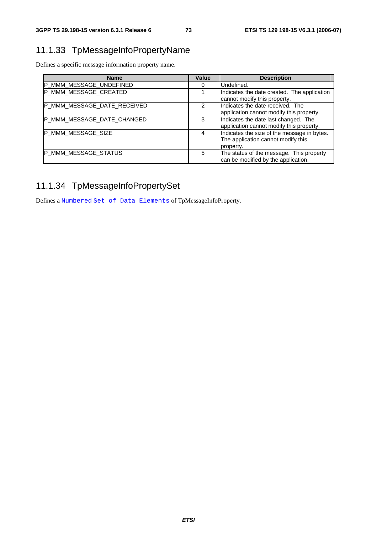# 11.1.33 TpMessageInfoPropertyName

Defines a specific message information property name.

| <b>Name</b>                 | Value | <b>Description</b>                                                                             |
|-----------------------------|-------|------------------------------------------------------------------------------------------------|
| P_MMM_MESSAGE_UNDEFINED     | 0     | Undefined.                                                                                     |
| P_MMM_MESSAGE_CREATED       |       | Indicates the date created. The application<br>cannot modify this property.                    |
| P_MMM_MESSAGE_DATE_RECEIVED |       | Indicates the date received. The<br>application cannot modify this property.                   |
| P_MMM_MESSAGE_DATE_CHANGED  | 3     | Indicates the date last changed. The<br>application cannot modify this property.               |
| P_MMM_MESSAGE_SIZE          | 4     | Indicates the size of the message in bytes.<br>The application cannot modify this<br>property. |
| P_MMM_MESSAGE_STATUS        | 5     | The status of the message. This property<br>can be modified by the application.                |

# 11.1.34 TpMessageInfoPropertySet

Defines a Numbered Set of Data Elements of TpMessageInfoProperty.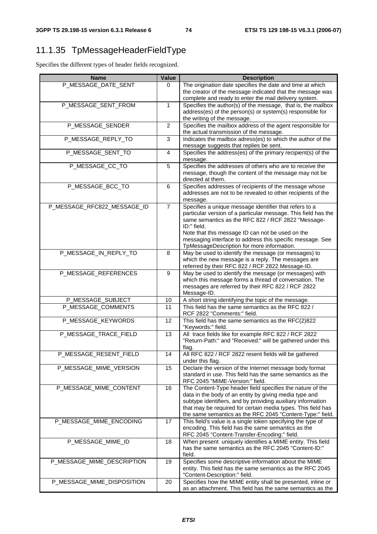# 11.1.35 TpMessageHeaderFieldType

Specifies the different types of header fields recognized.

| <b>Name</b>                 | Value          | <b>Description</b>                                                                                                                                                                                                                                                                                                                                           |
|-----------------------------|----------------|--------------------------------------------------------------------------------------------------------------------------------------------------------------------------------------------------------------------------------------------------------------------------------------------------------------------------------------------------------------|
| P_MESSAGE_DATE_SENT         | 0              | The origination date specifies the date and time at which<br>the creator of the message indicated that the message was<br>complete and ready to enter the mail delivery system.                                                                                                                                                                              |
| P_MESSAGE_SENT_FROM         | 1              | Specifies the author(s) of the message, that is, the mailbox<br>address(es) of the person(s) or system(s) responsible for<br>the writing of the message.                                                                                                                                                                                                     |
| P_MESSAGE_SENDER            | $\overline{2}$ | Specifies the mailbox address of the agent responsible for<br>the actual transmission of the message.                                                                                                                                                                                                                                                        |
| P_MESSAGE_REPLY_TO          | 3              | Indicates the mailbox adress(es) to which the author of the<br>message suggests that replies be sent.                                                                                                                                                                                                                                                        |
| P_MESSAGE_SENT_TO           | $\overline{4}$ | Specifies the address(es) of the primary recipient(s) of the<br>message.                                                                                                                                                                                                                                                                                     |
| P_MESSAGE_CC_TO             | 5              | Specifies the addresses of others who are to receive the<br>message, though the content of the message may not be<br>directed at them.                                                                                                                                                                                                                       |
| P_MESSAGE_BCC_TO            | 6              | Specifies addresses of recipients of the message whose<br>addresses are not to be revealed to other recipients of the<br>message.                                                                                                                                                                                                                            |
| P_MESSAGE_RFC822_MESSAGE_ID | $\overline{7}$ | Specifies a unique message identifier that refers to a<br>particular version of a particular message. This field has the<br>same semantics as the RFC 822 / RCF 2822 "Message-<br>ID:" field.<br>Note that this message ID can not be used on the<br>messaging interface to address this specific message. See<br>TpMessageDescription for more information. |
| P_MESSAGE_IN_REPLY_TO       | 8              | May be used to identify the message (or messages) to<br>which the new message is a reply. The messages are<br>referred by their RFC 822 / RCF 2822 Message-ID.                                                                                                                                                                                               |
| P_MESSAGE_REFERENCES        | 9              | May be used to identify the message (or messages) with<br>which this message forms a thread of conversation. The<br>messages are referred by their RFC 822 / RCF 2822<br>Message-ID.                                                                                                                                                                         |
| P_MESSAGE_SUBJECT           | 10             | A short string identifying the topic of the message.                                                                                                                                                                                                                                                                                                         |
| P_MESSAGE_COMMENTS          | 11             | This field has the same semantics as the RFC 822 /<br>RCF 2822 "Comments:" field.                                                                                                                                                                                                                                                                            |
| P_MESSAGE_KEYWORDS          | 12             | This field has the same semantics as the RFC(2)822<br>"Keywords:" field.                                                                                                                                                                                                                                                                                     |
| P_MESSAGE_TRACE_FIELD       | 13             | All trace fields like for example RFC 822 / RCF 2822<br>"Return-Path:" and "Received:" will be gathered under this<br>flag.                                                                                                                                                                                                                                  |
| P_MESSAGE_RESENT_FIELD      | 14             | All RFC 822 / RCF 2822 resent fields will be gathered<br>under this flag.                                                                                                                                                                                                                                                                                    |
| P_MESSAGE_MIME_VERSION      | 15             | Declare the version of the Internet message body format<br>standard in use. This field has the same semantics as the<br>RFC 2045 "MIME-Version:" field.                                                                                                                                                                                                      |
| P_MESSAGE_MIME_CONTENT      | 16             | The Content-Type header field specifies the nature of the<br>data in the body of an entity by giving media type and<br>subtype identifiers, and by providing auxiliary information<br>that may be required for certain media types. This field has<br>the same semantics as the RFC 2045 "Content-Type:" field.                                              |
| P_MESSAGE_MIME_ENCODING     | 17             | This field's value is a single token specifying the type of<br>encoding. This field has the same semantics as the<br>RFC 2045 "Content-Transfer-Encoding:" field.                                                                                                                                                                                            |
| P_MESSAGE_MIME_ID           | 18             | When present uniquely identifies a MIME entity. This field<br>has the same semantics as the RFC 2045 "Content-ID:"<br>field.                                                                                                                                                                                                                                 |
| P_MESSAGE_MIME_DESCRIPTION  | 19             | Specifies some descriptive information about the MIME<br>entity. This field has the same semantics as the RFC 2045<br>"Content-Description:" field.                                                                                                                                                                                                          |
| P_MESSAGE_MIME_DISPOSITION  | 20             | Specifies how the MIME entity shall be presented, inline or<br>as an attachment. This field has the same semantics as the                                                                                                                                                                                                                                    |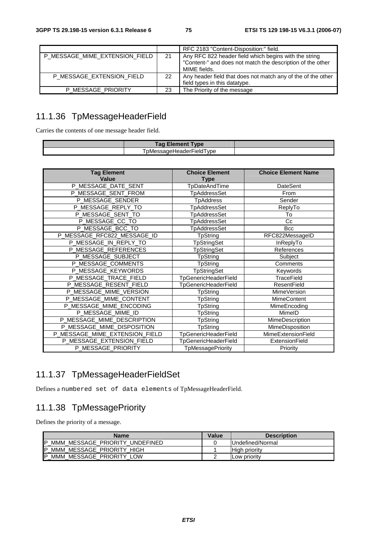|                                |    | RFC 2183 "Content-Disposition:" field.                       |
|--------------------------------|----|--------------------------------------------------------------|
| P MESSAGE MIME EXTENSION FIELD | 21 | Any RFC 822 header field which begins with the string        |
|                                |    | "Content-" and does not match the description of the other   |
|                                |    | MIME fields.                                                 |
| P MESSAGE EXTENSION FIELD      | 22 | Any header field that does not match any of the of the other |
|                                |    | field types in this datatype.                                |
| P MESSAGE PRIORITY             | 23 | The Priority of the message                                  |

# 11.1.36 TpMessageHeaderField

Carries the contents of one message header field.

| īag<br>vpe<br>ement                                             |  |
|-----------------------------------------------------------------|--|
| $\overline{\phantom{a}}$<br>'nMe.<br>'I vpe<br>`saɑeHeaderField |  |

| <b>Tag Element</b><br>Value    | <b>Choice Element</b><br><b>Type</b> | <b>Choice Element Name</b> |
|--------------------------------|--------------------------------------|----------------------------|
| P_MESSAGE_DATE_SENT            | <b>TpDateAndTime</b>                 | <b>DateSent</b>            |
| P_MESSAGE_SENT_FROM            | <b>TpAddressSet</b>                  | From                       |
| P_MESSAGE_SENDER               | <b>TpAddress</b>                     | Sender                     |
| P_MESSAGE_REPLY_TO             | <b>TpAddressSet</b>                  | ReplyTo                    |
| P_MESSAGE_SENT_TO              | TpAddressSet                         | To                         |
| P_MESSAGE_CC_TO                | <b>TpAddressSet</b>                  | Cc                         |
| P_MESSAGE_BCC_TO               | <b>TpAddressSet</b>                  | <b>Bcc</b>                 |
| P_MESSAGE_RFC822_MESSAGE_ID    | <b>TpString</b>                      | RFC822MessageID            |
| P_MESSAGE_IN_REPLY_TO          | <b>TpStringSet</b>                   | InReplyTo                  |
| P_MESSAGE_REFERENCES           | TpStringSet                          | References                 |
| P_MESSAGE_SUBJECT              | TpString                             | Subject                    |
| P_MESSAGE_COMMENTS             | TpString                             | Comments                   |
| P_MESSAGE_KEYWORDS             | <b>TpStringSet</b>                   | Keywords                   |
| P_MESSAGE_TRACE_FIELD          | <b>TpGenericHeaderField</b>          | <b>TraceField</b>          |
| P_MESSAGE_RESENT_FIELD         | <b>TpGenericHeaderField</b>          | <b>ResentField</b>         |
| P_MESSAGE_MIME_VERSION         | TpString                             | MimeVersion                |
| P_MESSAGE_MIME_CONTENT         | TpString                             | <b>MimeContent</b>         |
| P_MESSAGE_MIME_ENCODING        | TpString                             | MimeEncoding               |
| P_MESSAGE_MIME_ID              | TpString                             | MimeID                     |
| P_MESSAGE_MIME_DESCRIPTION     | TpString                             | MimeDescription            |
| P_MESSAGE_MIME_DISPOSITION     | <b>TpString</b>                      | MimeDisposition            |
| P_MESSAGE_MIME_EXTENSION_FIELD | <b>TpGenericHeaderField</b>          | MimeExtensionField         |
| P_MESSAGE_EXTENSION_FIELD      | <b>TpGenericHeaderField</b>          | ExtensionField             |
| P_MESSAGE_PRIORITY             | TpMessagePriority                    | Priority                   |

### 11.1.37 TpMessageHeaderFieldSet

Defines a numbered set of data elements of TpMessageHeaderField.

### 11.1.38 TpMessagePriority

Defines the priority of a message.

| Name                                 | Value | <b>Description</b>   |
|--------------------------------------|-------|----------------------|
| MMM MESSAGE PRIORITY UNDEFINED<br>ID |       | IUndefined/Normal    |
| MMM MESSAGE PRIORITY HIGH<br>IP      |       | <b>High priority</b> |
| MMM MESSAGE PRIORITY LOW<br>ID       |       | ILow prioritv        |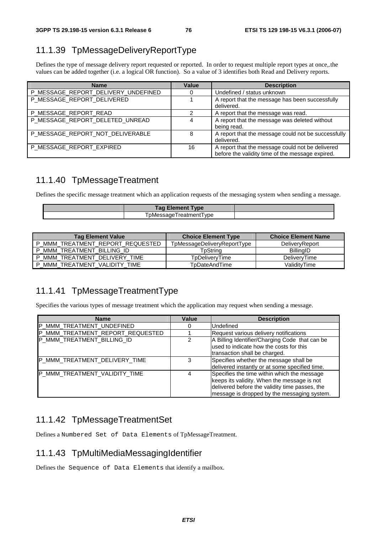# 11.1.39 TpMessageDeliveryReportType

Defines the type of message delivery report requested or reported. In order to request multiple report types at once,.the values can be added together (i.e. a logical OR function). So a value of 3 identifies both Read and Delivery reports.

| <b>Name</b>                         | Value | <b>Description</b>                                                                                   |
|-------------------------------------|-------|------------------------------------------------------------------------------------------------------|
| P_MESSAGE_REPORT_DELIVERY_UNDEFINED |       | Undefined / status unknown                                                                           |
| P_MESSAGE_REPORT_DELIVERED          |       | A report that the message has been successfully<br>delivered.                                        |
| P MESSAGE REPORT READ               |       | A report that the message was read.                                                                  |
| P_MESSAGE_REPORT_DELETED_UNREAD     |       | A report that the message was deleted without<br>being read.                                         |
| P_MESSAGE_REPORT_NOT_DELIVERABLE    | 8     | A report that the message could not be successfully<br>delivered.                                    |
| P_MESSAGE_REPORT_EXPIRED            | 16    | A report that the message could not be delivered<br>before the validity time of the message expired. |

#### 11.1.40 TpMessageTreatment

Defines the specific message treatment which an application requests of the messaging system when sending a message.

| <b>rag</b><br>$     -$<br><b>Element Type</b> |  |
|-----------------------------------------------|--|
| vne<br>.<br>--                                |  |
|                                               |  |

| <b>Tag Element Value</b>         | <b>Choice Element Type</b>  | <b>Choice Element Name</b> |
|----------------------------------|-----------------------------|----------------------------|
| _MMM_TREATMENT_REPORT_REQUESTED  | TpMessageDeliveryReportType | DeliveryReport             |
| MMM TREATMENT BILLING ID         | TpString                    | <b>BillingID</b>           |
| P MMM TREATMENT DELIVERY TIME    | TpDeliveryTime              | DelivervTime               |
| MMM TREATMENT VALIDITY TIME<br>D | TpDateAndTime               | ValiditvTime               |

### 11.1.41 TpMessageTreatmentType

Specifies the various types of message treatment which the application may request when sending a message.

| <b>Name</b>                      | Value | <b>Description</b>                                                                                                                                                                          |
|----------------------------------|-------|---------------------------------------------------------------------------------------------------------------------------------------------------------------------------------------------|
| P_MMM_TREATMENT_UNDEFINED        | 0     | Undefined                                                                                                                                                                                   |
| P_MMM_TREATMENT_REPORT_REQUESTED |       | Request various delivery notifications                                                                                                                                                      |
| P_MMM_TREATMENT_BILLING_ID       |       | A Billing Identifier/Charging Code that can be<br>used to indicate how the costs for this<br>transaction shall be charged.                                                                  |
| P_MMM_TREATMENT_DELIVERY_TIME    | 3     | Specifies whether the message shall be<br>delivered instantly or at some specified time.                                                                                                    |
| P_MMM_TREATMENT_VALIDITY_TIME    |       | Specifies the time within which the message<br>keeps its validity. When the message is not<br>delivered before the validity time passes, the<br>message is dropped by the messaging system. |

### 11.1.42 TpMessageTreatmentSet

Defines a Numbered Set of Data Elements of TpMessageTreatment.

#### 11.1.43 TpMultiMediaMessagingIdentifier

Defines the Sequence of Data Elements that identify a mailbox.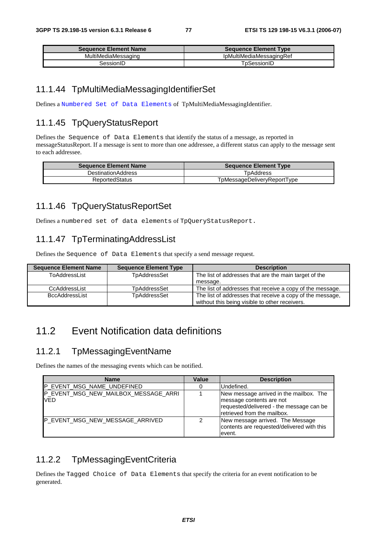| <b>Sequence Element Name</b> | <b>Sequence Element Type</b> |  |
|------------------------------|------------------------------|--|
| MultiMediaMessaging          | IpMultiMediaMessagingRef     |  |
| 3essionID                    | TɒSessionID                  |  |

#### 11.1.44 TpMultiMediaMessagingIdentifierSet

Defines a Numbered Set of Data Elements of TpMultiMediaMessagingIdentifier.

#### 11.1.45 TpQueryStatusReport

Defines the Sequence of Data Elements that identify the status of a message, as reported in messageStatusReport. If a message is sent to more than one addressee, a different status can apply to the message sent to each addressee.

| <b>Sequence Element Name</b> | <b>Sequence Element Type</b> |
|------------------------------|------------------------------|
| <b>DestinationAddress</b>    | TpAddress                    |
| <b>ReportedStatus</b>        | TpMessageDeliveryReportType  |

#### 11.1.46 TpQueryStatusReportSet

Defines a numbered set of data elements of TpQueryStatusReport.

#### 11.1.47 TpTerminatingAddressList

Defines the Sequence of Data Elements that specify a send message request.

| <b>Sequence Element Name</b> | <b>Sequence Element Type</b> | <b>Description</b>                                                                                          |
|------------------------------|------------------------------|-------------------------------------------------------------------------------------------------------------|
| ToAddressList                | TpAddressSet                 | The list of addresses that are the main target of the                                                       |
|                              |                              | message.                                                                                                    |
| CcAddressList                | TpAddressSet                 | The list of addresses that receive a copy of the message.                                                   |
| <b>BccAddressList</b>        | TpAddressSet                 | The list of addresses that receive a copy of the message,<br>without this being visible to other receivers. |

### 11.2 Event Notification data definitions

#### 11.2.1 TpMessagingEventName

Defines the names of the messaging events which can be notified.

| <b>Name</b>                                 | <b>Value</b> | <b>Description</b>                                                                                                                             |
|---------------------------------------------|--------------|------------------------------------------------------------------------------------------------------------------------------------------------|
| P_EVENT_MSG_NAME_UNDEFINED                  |              | IUndefined.                                                                                                                                    |
| P EVENT MSG NEW MAILBOX MESSAGE ARRI<br>VED |              | New message arrived in the mailbox. The<br>message contents are not<br>requested/delivered - the message can be<br>retrieved from the mailbox. |
| <b>P EVENT MSG NEW MESSAGE ARRIVED</b>      |              | New message arrived. The Message<br>contents are requested/delivered with this<br>event.                                                       |

#### 11.2.2 TpMessagingEventCriteria

Defines the Tagged Choice of Data Elements that specify the criteria for an event notification to be generated.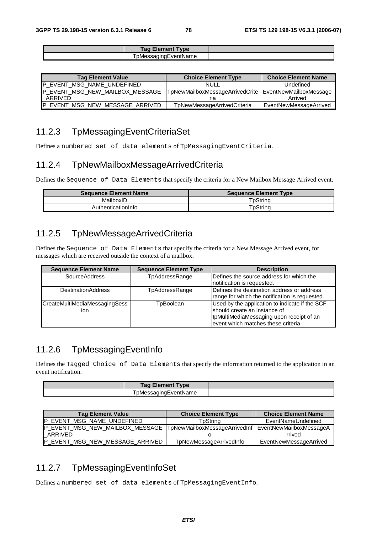| $\epsilon$ lement $\tau$<br>Tag .<br><b>Type</b> |  |
|--------------------------------------------------|--|
| ™nɑEventName<br>אמומח                            |  |

| <b>Tag Element Value</b>               | <b>Choice Element Type</b>                             | <b>Choice Element Name</b> |
|----------------------------------------|--------------------------------------------------------|----------------------------|
| P EVENT MSG NAME UNDEFINED             | NULL                                                   | Undefined                  |
| <b>P EVENT MSG NEW MAILBOX MESSAGE</b> | TpNewMailboxMessageArrivedCrite EventNewMailboxMessage |                            |
| I ARRIVED                              |                                                        | Arrived                    |
| <b>P EVENT MSG NEW MESSAGE ARRIVED</b> | TpNewMessageArrivedCriteria                            | EventNewMessageArrived     |

#### 11.2.3 TpMessagingEventCriteriaSet

Defines a numbered set of data elements of TpMessagingEventCriteria.

#### 11.2.4 TpNewMailboxMessageArrivedCriteria

Defines the Sequence of Data Elements that specify the criteria for a New Mailbox Message Arrived event.

| <b>Sequence Element Name</b> | <b>Sequence Element Type</b> |
|------------------------------|------------------------------|
| MailboxID                    | TpString                     |
| AuthenticationInfo           | TpStrina                     |

#### 11.2.5 TpNewMessageArrivedCriteria

Defines the Sequence of Data Elements that specify the criteria for a New Message Arrived event, for messages which are received outside the context of a mailbox.

| <b>Sequence Element Name</b>         | <b>Sequence Element Type</b> | <b>Description</b>                                                                                                                                                |
|--------------------------------------|------------------------------|-------------------------------------------------------------------------------------------------------------------------------------------------------------------|
| <b>SourceAddress</b>                 | TpAddressRange               | Defines the source address for which the                                                                                                                          |
|                                      |                              | notification is requested.                                                                                                                                        |
| <b>DestinationAddress</b>            | TpAddressRange               | Defines the destination address or address<br>range for which the notification is requested.                                                                      |
| CreateMultiMediaMessagingSess<br>ion | TpBoolean                    | Used by the application to indicate if the SCF<br>should create an instance of<br>IpMultiMediaMessaging upon receipt of an<br>event which matches these criteria. |

#### 11.2.6 TpMessagingEventInfo

Defines the Tagged Choice of Data Elements that specify the information returned to the application in an event notification.

| rag<br><b>Type</b><br>- 16 |  |
|----------------------------|--|
| $-1$ cases $-$<br>nvame    |  |

| <b>Tag Element Value</b>                                                              | <b>Choice Element Type</b> | <b>Choice Element Name</b> |
|---------------------------------------------------------------------------------------|----------------------------|----------------------------|
| IP EVENT MSG NAME UNDEFINED                                                           | TpString                   | EventNameUndefined         |
| P_EVENT_MSG_NEW_MAILBOX_MESSAGE TpNewMailboxMessageArrivedInf EventNewMailboxMessageA |                            |                            |
| ARRIVED                                                                               |                            | rrived                     |
| P EVENT MSG NEW MESSAGE ARRIVED                                                       | TpNewMessageArrivedInfo    | EventNewMessageArrived     |

#### 11.2.7 TpMessagingEventInfoSet

Defines a numbered set of data elements of TpMessagingEventInfo.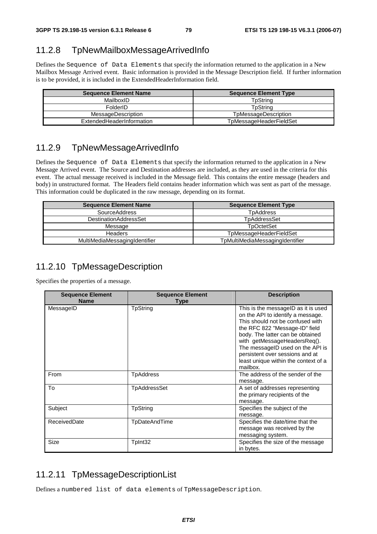#### 11.2.8 TpNewMailboxMessageArrivedInfo

Defines the Sequence of Data Elements that specify the information returned to the application in a New Mailbox Message Arrived event. Basic information is provided in the Message Description field. If further information is to be provided, it is included in the ExtendedHeaderInformation field.

| <b>Sequence Element Name</b> | <b>Sequence Element Type</b> |
|------------------------------|------------------------------|
| MailboxID                    | TpStrina                     |
| FolderID                     | TpStrina                     |
| <b>MessageDescription</b>    | TpMessageDescription         |
| ExtendedHeaderInformation    | TpMessageHeaderFieldSet      |

#### 11.2.9 TpNewMessageArrivedInfo

Defines the Sequence of Data Elements that specify the information returned to the application in a New Message Arrived event. The Source and Destination addresses are included, as they are used in the criteria for this event. The actual message received is included in the Message field. This contains the entire message (headers and body) in unstructured format. The Headers field contains header information which was sent as part of the message. This information could be duplicated in the raw message, depending on its format.

| <b>Sequence Element Name</b>  | <b>Sequence Element Type</b>    |
|-------------------------------|---------------------------------|
| <b>SourceAddress</b>          | <b>T</b> pAddress               |
| <b>DestinationAddressSet</b>  | TpAddressSet                    |
| Message                       | <b>T</b> pOctetSet              |
| <b>Headers</b>                | TpMessageHeaderFieldSet         |
| MultiMediaMessagingIdentifier | TpMultiMediaMessagingIdentifier |

#### 11.2.10 TpMessageDescription

Specifies the properties of a message.

| <b>Sequence Element</b><br><b>Name</b> | <b>Sequence Element</b><br><b>Type</b> | <b>Description</b>                                                                                                                                                                                                                                                                                                                            |
|----------------------------------------|----------------------------------------|-----------------------------------------------------------------------------------------------------------------------------------------------------------------------------------------------------------------------------------------------------------------------------------------------------------------------------------------------|
| MessageID                              | <b>TpString</b>                        | This is the messageID as it is used<br>on the API to identify a message.<br>This should not be confused with<br>the RFC 822 "Message-ID" field<br>body. The latter can be obtained<br>with getMessageHeadersReq().<br>The messageID used on the API is<br>persistent over sessions and at<br>least unique within the context of a<br>mailbox. |
| From                                   | TpAddress                              | The address of the sender of the<br>message.                                                                                                                                                                                                                                                                                                  |
| To                                     | TpAddressSet                           | A set of addresses representing<br>the primary recipients of the<br>message.                                                                                                                                                                                                                                                                  |
| Subject                                | TpString                               | Specifies the subject of the<br>message.                                                                                                                                                                                                                                                                                                      |
| ReceivedDate                           | TpDateAndTime                          | Specifies the date/time that the<br>message was received by the<br>messaging system.                                                                                                                                                                                                                                                          |
| Size                                   | TpInt32                                | Specifies the size of the message<br>in bytes.                                                                                                                                                                                                                                                                                                |

#### 11.2.11 TpMessageDescriptionList

Defines a numbered list of data elements of TpMessageDescription.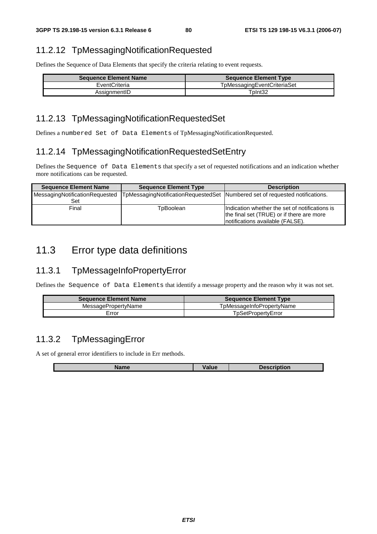# 11.2.12 TpMessagingNotificationRequested

Defines the Sequence of Data Elements that specify the criteria relating to event requests.

| <b>Sequence Element Name</b> | <b>Sequence Element Type</b> |
|------------------------------|------------------------------|
| EventCriteria                | TpMessagingEventCriteriaSet  |
| AssignmentID                 | TpInt32                      |

# 11.2.13 TpMessagingNotificationRequestedSet

Defines a numbered Set of Data Elements of TpMessagingNotificationRequested.

# 11.2.14 TpMessagingNotificationRequestedSetEntry

Defines the Sequence of Data Elements that specify a set of requested notifications and an indication whether more notifications can be requested.

| <b>Sequence Element Name</b>          | <b>Sequence Element Type</b> | <b>Description</b>                                                                                                              |
|---------------------------------------|------------------------------|---------------------------------------------------------------------------------------------------------------------------------|
| MessagingNotificationRequested<br>Set |                              | TpMessagingNotificationRequestedSet Numbered set of requested notifications.                                                    |
| Final                                 | TpBoolean                    | Indication whether the set of notifications is<br>the final set (TRUE) or if there are more<br>notifications available (FALSE). |

# 11.3 Error type data definitions

# 11.3.1 TpMessageInfoPropertyError

Defines the Sequence of Data Elements that identify a message property and the reason why it was not set.

| <b>Sequence Element Name</b> | <b>Sequence Element Type</b> |
|------------------------------|------------------------------|
| MessagePropertyName          | TpMessageInfoPropertyName    |
| Error                        | TpSetPropertvError           |

# 11.3.2 TpMessagingError

L

A set of general error identifiers to include in Err methods.

| am.<br>eanne | 'alue | Descrin<br>---<br>uon |
|--------------|-------|-----------------------|
|              |       |                       |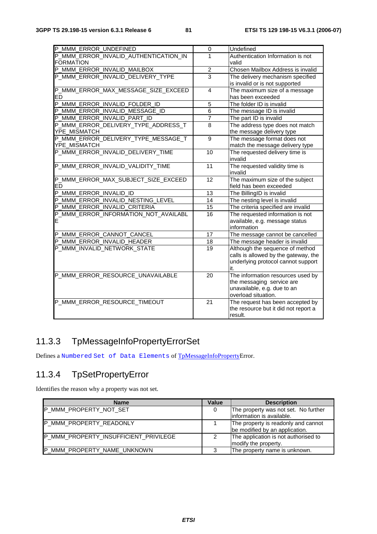| P_MMM_ERROR_UNDEFINED                 | 0              | Undefined                            |
|---------------------------------------|----------------|--------------------------------------|
| P_MMM_ERROR_INVALID_AUTHENTICATION_IN | 1              | Authentication Information is not    |
| <b>FORMATION</b>                      |                | valid                                |
| P_MMM_ERROR_INVALID_MAILBOX           | $\overline{2}$ | Chosen Mailbox Address is invalid    |
| P_MMM_ERROR_INVALID_DELIVERY_TYPE     | $\overline{3}$ | The delivery mechanism specified     |
|                                       |                | is invalid or is not supported       |
| P_MMM_ERROR_MAX_MESSAGE_SIZE_EXCEED   | $\overline{4}$ | The maximum size of a message        |
| <b>ED</b>                             |                | has been exceeded                    |
| P_MMM_ERROR_INVALID_FOLDER_ID         | 5              | The folder ID is invalid             |
| P_MMM_ERROR_INVALID_MESSAGE_ID        | $\overline{6}$ | The message ID is invalid            |
| P MMM ERROR INVALID PART ID           | $\overline{7}$ | The part ID is invalid               |
| P_MMM_ERROR_DELIVERY_TYPE_ADDRESS_T   | $\overline{8}$ | The address type does not match      |
| YPE_MISMATCH                          |                | the message delivery type            |
| P_MMM_ERROR_DELIVERY_TYPE_MESSAGE_T   | 9              | The message format does not          |
| YPE_MISMATCH                          |                | match the message delivery type      |
| P_MMM_ERROR_INVALID_DELIVERY_TIME     | 10             | The requested delivery time is       |
|                                       |                | invalid                              |
| P_MMM_ERROR_INVALID_VALIDITY_TIME     | 11             | The requested validity time is       |
|                                       |                | invalid                              |
| P_MMM_ERROR_MAX_SUBJECT_SIZE_EXCEED   | 12             | The maximum size of the subject      |
|                                       |                | field has been exceeded              |
| ED<br>P_MMM_ERROR_INVALID_ID<br>``    | 13             | The BillingID is invalid             |
| P_MMM_ERROR_INVALID_NESTING_LEVEL     | 14             | The nesting level is invalid         |
| P MMM ERROR INVALID CRITERIA          | 15             | The criteria specified are invalid   |
| P_MMM_ERROR_INFORMATION_NOT_AVAILABL  | 16             | The requested information is not     |
| ΙE                                    |                | available, e.g. message status       |
|                                       |                | information                          |
| P_MMM_ERROR_CANNOT_CANCEL             | 17             | The message cannot be cancelled      |
| P_MMM_ERROR_INVALID_HEADER            | 18             | The message header is invalid        |
| P_MMM_INVALID_NETWORK_STATE           | 19             | Although the sequence of method      |
|                                       |                | calls is allowed by the gateway, the |
|                                       |                | underlying protocol cannot support   |
|                                       |                | it.                                  |
| P_MMM_ERROR_RESOURCE_UNAVAILABLE      | 20             | The information resources used by    |
|                                       |                | the messaging service are            |
|                                       |                | unavailable, e.g. due to an          |
|                                       |                | overload situation.                  |
| P_MMM_ERROR_RESOURCE_TIMEOUT          | 21             | The request has been accepted by     |
|                                       |                | the resource but it did not report a |
|                                       |                | result.                              |

# 11.3.3 TpMessageInfoPropertyErrorSet

Defines a Numbered Set of Data Elements of TpMessageInfoPropertyError.

# 11.3.4 TpSetPropertyError

Identifies the reason why a property was not set.

| <b>Name</b>                           | Value | <b>Description</b>                                                    |
|---------------------------------------|-------|-----------------------------------------------------------------------|
| <b>IP MMM PROPERTY NOT SET</b>        | 0     | The property was not set. No further<br>linformation is available.    |
| P_MMM_PROPERTY_READONLY               |       | The property is readonly and cannot<br>be modified by an application. |
| P_MMM_PROPERTY_INSUFFICIENT_PRIVILEGE |       | The application is not authorised to<br>modify the property.          |
| P_MMM_PROPERTY_NAME_UNKNOWN           |       | The property name is unknown.                                         |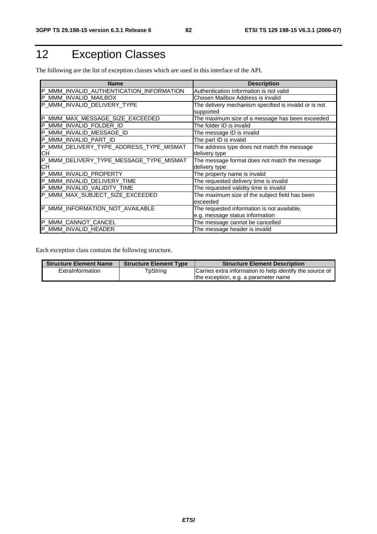# 12 Exception Classes

The following are the list of exception classes which are used in this interface of the API.

| <b>Name</b>                              | <b>Description</b>                                    |
|------------------------------------------|-------------------------------------------------------|
| P_MMM_INVALID_AUTHENTICATION_INFORMATION | Authentication Information is not valid               |
| P_MMM_INVALID_MAILBOX                    | Chosen Mailbox Address is invalid                     |
| P_MMM_INVALID_DELIVERY_TYPE              | The delivery mechanism specified is invalid or is not |
|                                          | supported                                             |
| P_MMM_MAX_MESSAGE_SIZE_EXCEEDED          | The maximum size of a message has been exceeded       |
| P_MMM_INVALID_FOLDER_ID                  | The folder ID is invalid                              |
| P_MMM_INVALID_MESSAGE_ID                 | The message ID is invalid                             |
| P_MMM_INVALID_PART_ID                    | The part ID is invalid                                |
| P_MMM_DELIVERY_TYPE_ADDRESS_TYPE_MISMAT  | The address type does not match the message           |
| CН                                       | delivery type                                         |
| P_MMM_DELIVERY_TYPE_MESSAGE_TYPE_MISMAT  | The message format does not match the message         |
| CН                                       | delivery type                                         |
| P_MMM_INVALID_PROPERTY                   | The property name is invalid                          |
| P_MMM_INVALID_DELIVERY_TIME              | The requested delivery time is invalid                |
| P_MMM_INVALID_VALIDITY_TIME              | The requested validity time is invalid                |
| P_MMM_MAX_SUBJECT_SIZE_EXCEEDED          | The maximum size of the subject field has been        |
|                                          | exceeded                                              |
| P_MMM_INFORMATION_NOT_AVAILABLE          | The requested information is not available,           |
|                                          | e.g. message status information                       |
| P_MMM_CANNOT_CANCEL                      | The message cannot be cancelled                       |
| P_MMM_INVALID_HEADER                     | The message header is invalid                         |

Each exception class contains the following structure.

| <b>Structure Element Name</b> | <b>Structure Element Type</b> | <b>Structure Element Description</b>                     |
|-------------------------------|-------------------------------|----------------------------------------------------------|
| ExtraInformation              | TpString                      | Carries extra information to help identify the source of |
|                               |                               | the exception, e.g. a parameter name                     |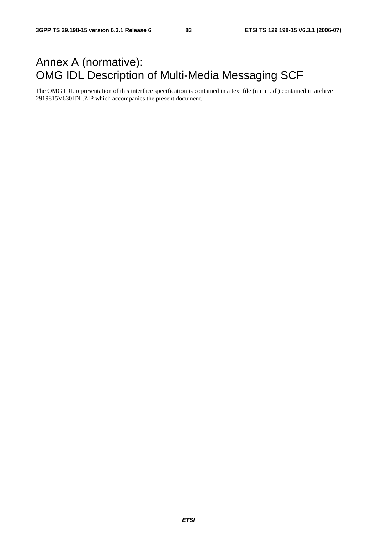# Annex A (normative): OMG IDL Description of Multi-Media Messaging SCF

The OMG IDL representation of this interface specification is contained in a text file (mmm.idl) contained in archive 2919815V630IDL.ZIP which accompanies the present document.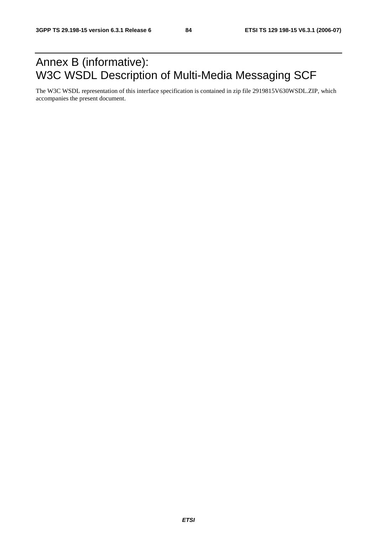# Annex B (informative): W3C WSDL Description of Multi-Media Messaging SCF

The W3C WSDL representation of this interface specification is contained in zip file 2919815V630WSDL.ZIP, which accompanies the present document.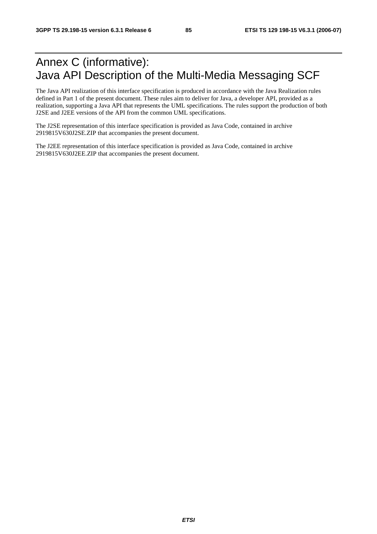# Annex C (informative): Java API Description of the Multi-Media Messaging SCF

The Java API realization of this interface specification is produced in accordance with the Java Realization rules defined in Part 1 of the present document. These rules aim to deliver for Java, a developer API, provided as a realization, supporting a Java API that represents the UML specifications. The rules support the production of both J2SE and J2EE versions of the API from the common UML specifications.

The J2SE representation of this interface specification is provided as Java Code, contained in archive 2919815V630J2SE.ZIP that accompanies the present document.

The J2EE representation of this interface specification is provided as Java Code, contained in archive 2919815V630J2EE.ZIP that accompanies the present document.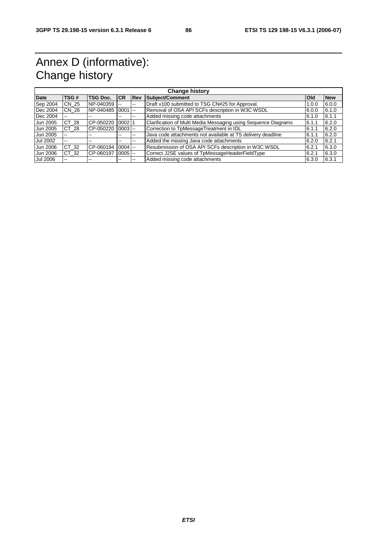# Annex D (informative): Change history

| <b>Change history</b> |       |                 |                          |                          |                                                                |        |            |
|-----------------------|-------|-----------------|--------------------------|--------------------------|----------------------------------------------------------------|--------|------------|
| <b>Date</b>           | TSG#  | <b>TSG Doc.</b> | <b>CR</b>                | Rev                      | <b>Subject/Comment</b>                                         | Old    | <b>New</b> |
| Sep 2004              | CN 25 | NP-040359       | --                       | $- -$                    | Draft v100 submitted to TSG CN#25 for Approval.                | 1.0.0  | 6.0.0      |
| Dec 2004              | CN 26 | NP-040485       | 0001                     | $ -$                     | Removal of OSA API SCFs description in W3C WSDL                | 6.0.0  | 6.1.0      |
| Dec 2004              | $- -$ | --              | $- -$                    | $\overline{\phantom{a}}$ | Added missing code attachments                                 | 6.1.0  | 6.1.1      |
| Jun 2005              | CT 28 | CP-050220       | 0002                     |                          | Clarification of Multi Media Messaging using Sequence Diagrams | 6.1.1  | 6.2.0      |
| Jun 2005              | CT 28 | CP-050220       | $0003$ $-$               |                          | Correction to TpMessageTreatment in IDL                        | 6.1.1  | 6.2.0      |
| Jun 2005              | --    |                 | $\overline{\phantom{m}}$ | $\overline{\phantom{m}}$ | Java code attachments not available at TS delivery deadline    | 16.1.1 | 6.2.0      |
| Jul 2002              | $- -$ |                 | $\overline{\phantom{m}}$ | $\sim$ $\sim$            | Added the missing Java code attachments                        | 6.2.0  | 6.2.1      |
| Jun 2006              | CT 32 | CP-060194       | $0004$ $-$               |                          | Resubmission of OSA API SCFs description in W3C WSDL           | 6.2.1  | 6.3.0      |
| Jun 2006              | CT 32 | CP-060197       | $0005$ $-$               |                          | Correct J2SE values of TpMessageHeaderFieldType                | 6.2.1  | 6.3.0      |
| Jul 2006              | $-1$  |                 | $- -$                    | $\overline{\phantom{m}}$ | Added missing code attachments                                 | 6.3.0  | 6.3.1      |